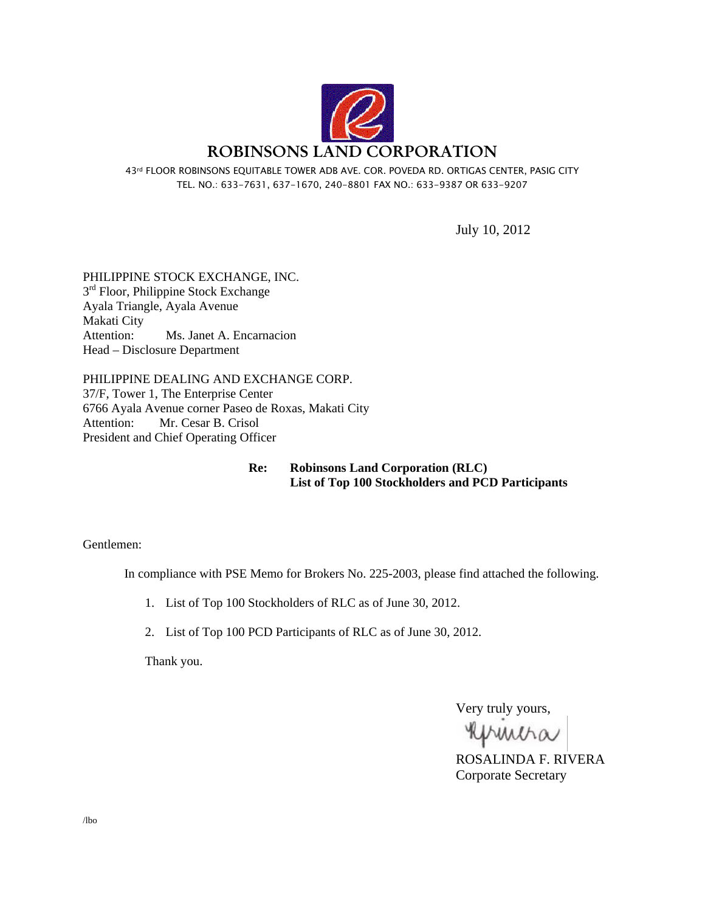

43rd FLOOR ROBINSONS EQUITABLE TOWER ADB AVE. COR. POVEDA RD. ORTIGAS CENTER, PASIG CITY TEL. NO.: 633-7631, 637-1670, 240-8801 FAX NO.: 633-9387 OR 633-9207

July 10, 2012

PHILIPPINE STOCK EXCHANGE, INC.  $3<sup>rd</sup>$  Floor, Philippine Stock Exchange Ayala Triangle, Ayala Avenue Makati City Attention: Ms. Janet A. Encarnacion Head – Disclosure Department

PHILIPPINE DEALING AND EXCHANGE CORP. 37/F, Tower 1, The Enterprise Center 6766 Ayala Avenue corner Paseo de Roxas, Makati City Attention: Mr. Cesar B. Crisol President and Chief Operating Officer

> **Re: Robinsons Land Corporation (RLC) List of Top 100 Stockholders and PCD Participants**

Gentlemen:

In compliance with PSE Memo for Brokers No. 225-2003, please find attached the following.

1. List of Top 100 Stockholders of RLC as of June 30, 2012.

2. List of Top 100 PCD Participants of RLC as of June 30, 2012.

Thank you.

Very truly yours,

primitia

ROSALINDA F. RIVERA Corporate Secretary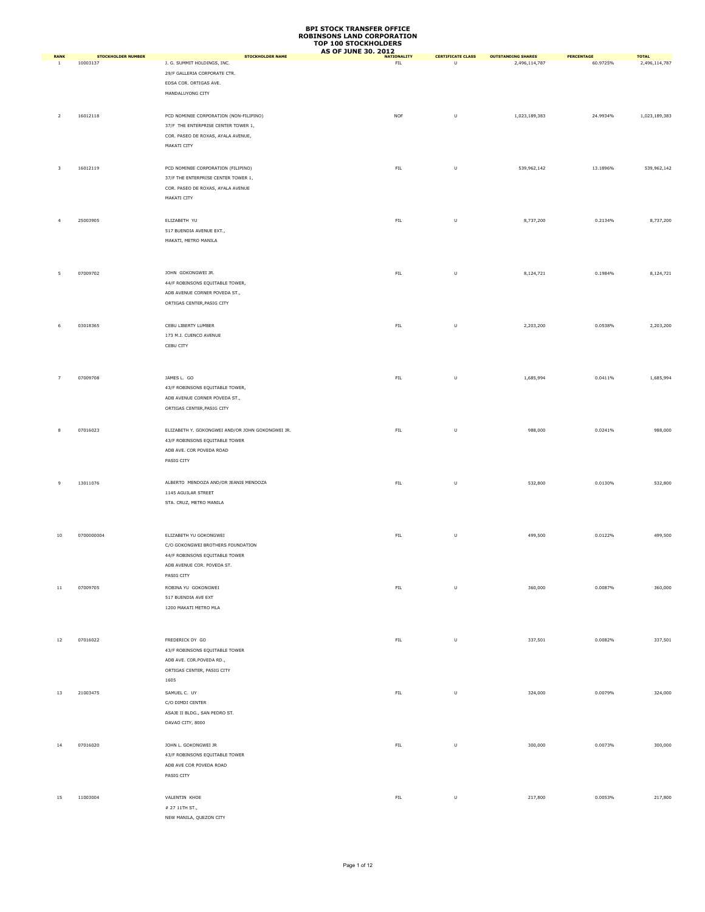| <b>RANK</b>    | <b>STOCKHOLDER NUMBER</b> | <b>STOCKHOLDER NAME</b>                          | <b>AS OF JUNE 30, 2012</b><br><b>NATIONALITY</b> | <b>CERTIFICATE CLASS</b> | <b>OUTSTANDING SHARES</b> | <b>PERCENTAGE</b> | <b>TOTAL</b>  |
|----------------|---------------------------|--------------------------------------------------|--------------------------------------------------|--------------------------|---------------------------|-------------------|---------------|
| <sup>1</sup>   | 10003137                  | J. G. SUMMIT HOLDINGS, INC.                      | FL                                               | $\sf U$                  | 2,496,114,787             | 60.9725%          | 2,496,114,787 |
|                |                           | 29/F GALLERIA CORPORATE CTR.                     |                                                  |                          |                           |                   |               |
|                |                           | EDSA COR. ORTIGAS AVE.                           |                                                  |                          |                           |                   |               |
|                |                           |                                                  |                                                  |                          |                           |                   |               |
|                |                           | MANDALUYONG CITY                                 |                                                  |                          |                           |                   |               |
|                |                           |                                                  |                                                  |                          |                           |                   |               |
| $\overline{2}$ | 16012118                  | PCD NOMINEE CORPORATION (NON-FILIPINO)           | <b>NOF</b>                                       | U                        | 1,023,189,383             | 24.9934%          | 1,023,189,383 |
|                |                           | 37/F THE ENTERPRISE CENTER TOWER 1,              |                                                  |                          |                           |                   |               |
|                |                           | COR. PASEO DE ROXAS, AYALA AVENUE,               |                                                  |                          |                           |                   |               |
|                |                           | MAKATI CITY                                      |                                                  |                          |                           |                   |               |
|                |                           |                                                  |                                                  |                          |                           |                   |               |
|                | 16012119                  |                                                  |                                                  |                          |                           |                   | 539,962,142   |
| 3              |                           | PCD NOMINEE CORPORATION (FILIPINO)               | ${\sf FIL}$                                      | U                        | 539,962,142               | 13.1896%          |               |
|                |                           | 37/F THE ENTERPRISE CENTER TOWER 1,              |                                                  |                          |                           |                   |               |
|                |                           | COR. PASEO DE ROXAS, AYALA AVENUE                |                                                  |                          |                           |                   |               |
|                |                           | MAKATI CITY                                      |                                                  |                          |                           |                   |               |
|                |                           |                                                  |                                                  |                          |                           |                   |               |
| $\overline{4}$ | 25003905                  | ELIZABETH YU                                     | ${\sf FIL}$                                      | $\sf U$                  | 8,737,200                 | 0.2134%           | 8,737,200     |
|                |                           | 517 BUENDIA AVENUE EXT.,                         |                                                  |                          |                           |                   |               |
|                |                           | MAKATI, METRO MANILA                             |                                                  |                          |                           |                   |               |
|                |                           |                                                  |                                                  |                          |                           |                   |               |
|                |                           |                                                  |                                                  |                          |                           |                   |               |
|                |                           |                                                  |                                                  |                          |                           |                   |               |
| 5              | 07009702                  | JOHN GOKONGWEI JR.                               | ${\sf FIL}$                                      | $\sf U$                  | 8,124,721                 | 0.1984%           | 8,124,721     |
|                |                           | 44/F ROBINSONS EQUITABLE TOWER,                  |                                                  |                          |                           |                   |               |
|                |                           | ADB AVENUE CORNER POVEDA ST.,                    |                                                  |                          |                           |                   |               |
|                |                           | ORTIGAS CENTER, PASIG CITY                       |                                                  |                          |                           |                   |               |
|                |                           |                                                  |                                                  |                          |                           |                   |               |
|                |                           |                                                  |                                                  |                          |                           |                   |               |
| 6              | 03018365                  | CEBU LIBERTY LUMBER                              | ${\sf FIL}$                                      | U                        | 2,203,200                 | 0.0538%           | 2,203,200     |
|                |                           | 173 M.J. CUENCO AVENUE                           |                                                  |                          |                           |                   |               |
|                |                           | CEBU CITY                                        |                                                  |                          |                           |                   |               |
|                |                           |                                                  |                                                  |                          |                           |                   |               |
|                |                           |                                                  |                                                  |                          |                           |                   |               |
| $\overline{7}$ | 07009708                  | JAMES L. GO                                      | ${\sf FIL}$                                      | $\sf U$                  | 1,685,994                 | 0.0411%           | 1,685,994     |
|                |                           |                                                  |                                                  |                          |                           |                   |               |
|                |                           | 43/F ROBINSONS EQUITABLE TOWER,                  |                                                  |                          |                           |                   |               |
|                |                           | ADB AVENUE CORNER POVEDA ST.,                    |                                                  |                          |                           |                   |               |
|                |                           | ORTIGAS CENTER, PASIG CITY                       |                                                  |                          |                           |                   |               |
|                |                           |                                                  |                                                  |                          |                           |                   |               |
| 8              | 07016023                  | ELIZABETH Y. GOKONGWEI AND/OR JOHN GOKONGWEI JR. | ${\sf FIL}$                                      | U                        | 988,000                   | 0.0241%           | 988,000       |
|                |                           | 43/F ROBINSONS EQUITABLE TOWER                   |                                                  |                          |                           |                   |               |
|                |                           | ADB AVE. COR POVEDA ROAD                         |                                                  |                          |                           |                   |               |
|                |                           | PASIG CITY                                       |                                                  |                          |                           |                   |               |
|                |                           |                                                  |                                                  |                          |                           |                   |               |
|                |                           |                                                  |                                                  |                          |                           |                   |               |
| 9              | 13011076                  | ALBERTO MENDOZA AND/OR JEANIE MENDOZA            | ${\sf FIL}$                                      | $\sf U$                  | 532,800                   | 0.0130%           | 532,800       |
|                |                           | 1145 AGUILAR STREET                              |                                                  |                          |                           |                   |               |
|                |                           | STA. CRUZ, METRO MANILA                          |                                                  |                          |                           |                   |               |
|                |                           |                                                  |                                                  |                          |                           |                   |               |
|                |                           |                                                  |                                                  |                          |                           |                   |               |
| $10\,$         | 0700000004                | ELIZABETH YU GOKONGWEI                           | ${\sf FIL}$                                      | U                        | 499,500                   | 0.0122%           | 499,500       |
|                |                           |                                                  |                                                  |                          |                           |                   |               |
|                |                           | C/O GOKONGWEI BROTHERS FOUNDATION                |                                                  |                          |                           |                   |               |
|                |                           | 44/F ROBINSONS EQUITABLE TOWER                   |                                                  |                          |                           |                   |               |
|                |                           | ADB AVENUE COR. POVEDA ST.                       |                                                  |                          |                           |                   |               |
|                |                           | PASIG CITY                                       |                                                  |                          |                           |                   |               |
| $11\,$         | 07009705                  | ROBINA YU GOKONGWEI                              | ${\sf FIL}$                                      | U                        | 360,000                   | 0.0087%           | 360,000       |
|                |                           | 517 BUENDIA AVE EXT                              |                                                  |                          |                           |                   |               |
|                |                           | 1200 MAKATI METRO MLA                            |                                                  |                          |                           |                   |               |
|                |                           |                                                  |                                                  |                          |                           |                   |               |
|                |                           |                                                  |                                                  |                          |                           |                   |               |
|                |                           |                                                  |                                                  |                          |                           |                   |               |
| 12             | 07016022                  | FREDERICK DY GO                                  | ${\sf FIL}$                                      | $\sf U$                  | 337,501                   | 0.0082%           | 337,501       |
|                |                           | 43/F ROBINSONS EQUITABLE TOWER                   |                                                  |                          |                           |                   |               |
|                |                           | ADB AVE. COR.POVEDA RD.,                         |                                                  |                          |                           |                   |               |
|                |                           | ORTIGAS CENTER, PASIG CITY                       |                                                  |                          |                           |                   |               |
|                |                           | 1605                                             |                                                  |                          |                           |                   |               |
|                |                           |                                                  |                                                  |                          |                           |                   |               |
| 13             | 21003475                  | SAMUEL C. UY                                     | ${\sf FIL}$                                      | U                        | 324,000                   | 0.0079%           | 324,000       |
|                |                           | C/O DIMDI CENTER                                 |                                                  |                          |                           |                   |               |
|                |                           | ASAJE II BLDG., SAN PEDRO ST.                    |                                                  |                          |                           |                   |               |
|                |                           | DAVAO CITY, 8000                                 |                                                  |                          |                           |                   |               |
|                |                           |                                                  |                                                  |                          |                           |                   |               |
| 14             | 07016020                  | JOHN L. GOKONGWEI JR                             | ${\sf FIL}$                                      | $\sf U$                  | 300,000                   | 0.0073%           | 300,000       |
|                |                           | 43/F ROBINSONS EQUITABLE TOWER                   |                                                  |                          |                           |                   |               |
|                |                           |                                                  |                                                  |                          |                           |                   |               |
|                |                           | ADB AVE COR POVEDA ROAD                          |                                                  |                          |                           |                   |               |
|                |                           | PASIG CITY                                       |                                                  |                          |                           |                   |               |
|                |                           |                                                  |                                                  |                          |                           |                   |               |
| 15             | 11003004                  | VALENTIN KHOE                                    | ${\sf FIL}$                                      | $\sf U$                  | 217,800                   | 0.0053%           | 217,800       |
|                |                           | # 27 11TH ST.,                                   |                                                  |                          |                           |                   |               |
|                |                           | NEW MANILA, QUEZON CITY                          |                                                  |                          |                           |                   |               |
|                |                           |                                                  |                                                  |                          |                           |                   |               |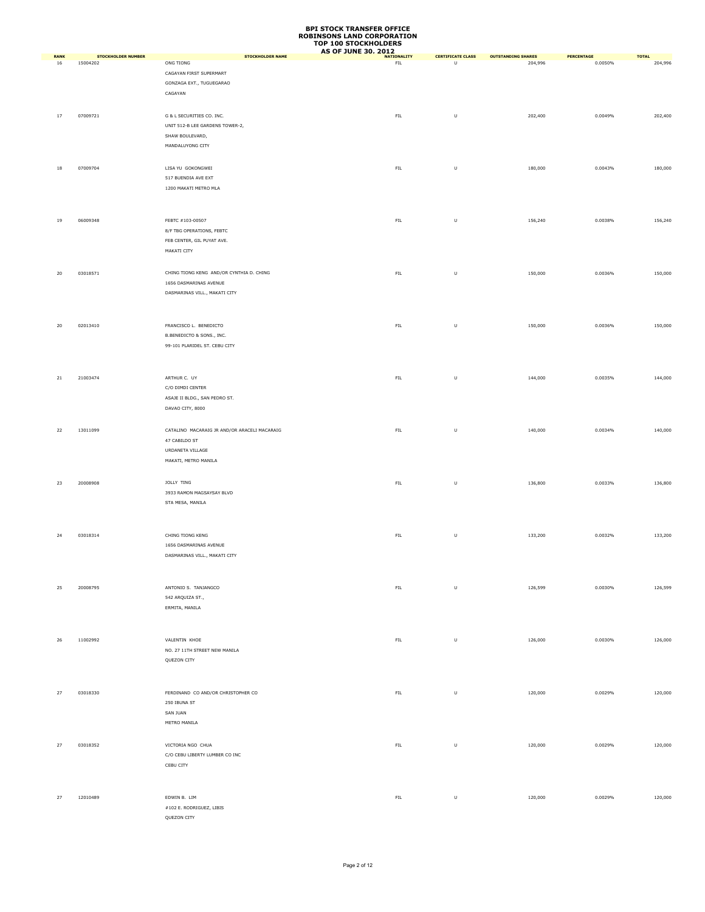|                   |                                       |                                                    | <b>AS OF JUNE 30, 2012</b>       |                                            |                                      |                       |                         |
|-------------------|---------------------------------------|----------------------------------------------------|----------------------------------|--------------------------------------------|--------------------------------------|-----------------------|-------------------------|
| <b>RANK</b><br>16 | <b>STOCKHOLDER NUMBER</b><br>15004202 | <b>STOCKHOLDER NAME</b><br>ONG TIONG               | <b>NATIONALITY</b><br><b>FIL</b> | <b>CERTIFICATE CLASS</b><br>$\overline{U}$ | <b>OUTSTANDING SHARES</b><br>204,996 | PERCENTAGE<br>0.0050% | <b>TOTAL</b><br>204,996 |
|                   |                                       | CAGAYAN FIRST SUPERMART                            |                                  |                                            |                                      |                       |                         |
|                   |                                       | GONZAGA EXT., TUGUEGARAO                           |                                  |                                            |                                      |                       |                         |
|                   |                                       | CAGAYAN                                            |                                  |                                            |                                      |                       |                         |
|                   |                                       |                                                    |                                  |                                            |                                      |                       |                         |
|                   |                                       | G & L SECURITIES CO. INC.                          |                                  |                                            |                                      |                       |                         |
| 17                | 07009721                              |                                                    | ${\sf FIL}$                      | U                                          | 202,400                              | 0.0049%               | 202,400                 |
|                   |                                       | UNIT 512-B LEE GARDENS TOWER-2,<br>SHAW BOULEVARD, |                                  |                                            |                                      |                       |                         |
|                   |                                       |                                                    |                                  |                                            |                                      |                       |                         |
|                   |                                       | MANDALUYONG CITY                                   |                                  |                                            |                                      |                       |                         |
|                   |                                       |                                                    |                                  |                                            |                                      |                       |                         |
| $18\,$            | 07009704                              | LISA YU GOKONGWEI                                  | ${\sf FIL}$                      | U                                          | 180,000                              | 0.0043%               | 180,000                 |
|                   |                                       | 517 BUENDIA AVE EXT                                |                                  |                                            |                                      |                       |                         |
|                   |                                       | 1200 MAKATI METRO MLA                              |                                  |                                            |                                      |                       |                         |
|                   |                                       |                                                    |                                  |                                            |                                      |                       |                         |
|                   |                                       |                                                    |                                  |                                            |                                      |                       |                         |
| 19                | 06009348                              | FEBTC #103-00507                                   | ${\sf FIL}$                      | U                                          | 156,240                              | 0.0038%               | 156,240                 |
|                   |                                       | 8/F TBG OPERATIONS, FEBTC                          |                                  |                                            |                                      |                       |                         |
|                   |                                       | FEB CENTER, GIL PUYAT AVE.                         |                                  |                                            |                                      |                       |                         |
|                   |                                       | MAKATI CITY                                        |                                  |                                            |                                      |                       |                         |
|                   |                                       |                                                    |                                  |                                            |                                      |                       |                         |
| $20\,$            | 03018571                              | CHING TIONG KENG AND/OR CYNTHIA D. CHING           | ${\sf FIL}$                      | U                                          | 150,000                              | 0.0036%               | 150,000                 |
|                   |                                       | 1656 DASMARINAS AVENUE                             |                                  |                                            |                                      |                       |                         |
|                   |                                       | DASMARINAS VILL., MAKATI CITY                      |                                  |                                            |                                      |                       |                         |
|                   |                                       |                                                    |                                  |                                            |                                      |                       |                         |
|                   |                                       |                                                    |                                  |                                            |                                      |                       |                         |
|                   |                                       |                                                    |                                  |                                            |                                      |                       |                         |
| 20                | 02013410                              | FRANCISCO L. BENEDICTO                             | ${\sf FIL}$                      | U                                          | 150,000                              | 0.0036%               | 150,000                 |
|                   |                                       | B.BENEDICTO & SONS., INC.                          |                                  |                                            |                                      |                       |                         |
|                   |                                       | 99-101 PLARIDEL ST. CEBU CITY                      |                                  |                                            |                                      |                       |                         |
|                   |                                       |                                                    |                                  |                                            |                                      |                       |                         |
|                   |                                       |                                                    |                                  |                                            |                                      |                       |                         |
| 21                | 21003474                              | ARTHUR C. UY                                       | ${\sf FIL}$                      | U                                          | 144,000                              | 0.0035%               | 144,000                 |
|                   |                                       | C/O DIMDI CENTER                                   |                                  |                                            |                                      |                       |                         |
|                   |                                       | ASAJE II BLDG., SAN PEDRO ST.                      |                                  |                                            |                                      |                       |                         |
|                   |                                       | DAVAO CITY, 8000                                   |                                  |                                            |                                      |                       |                         |
|                   |                                       |                                                    |                                  |                                            |                                      |                       |                         |
| 22                | 13011099                              | CATALINO MACARAIG JR AND/OR ARACELI MACARAIG       | ${\sf FIL}$                      | U                                          | 140,000                              | 0.0034%               | 140,000                 |
|                   |                                       | 47 CABILDO ST                                      |                                  |                                            |                                      |                       |                         |
|                   |                                       | URDANETA VILLAGE                                   |                                  |                                            |                                      |                       |                         |
|                   |                                       | MAKATI, METRO MANILA                               |                                  |                                            |                                      |                       |                         |
|                   |                                       |                                                    |                                  |                                            |                                      |                       |                         |
|                   |                                       |                                                    |                                  |                                            |                                      |                       |                         |
| 23                | 20008908                              | JOLLY TING                                         | ${\sf FIL}$                      | U                                          | 136,800                              | 0.0033%               | 136,800                 |
|                   |                                       | 3933 RAMON MAGSAYSAY BLVD                          |                                  |                                            |                                      |                       |                         |
|                   |                                       | STA MESA, MANILA                                   |                                  |                                            |                                      |                       |                         |
|                   |                                       |                                                    |                                  |                                            |                                      |                       |                         |
|                   |                                       |                                                    |                                  |                                            |                                      |                       |                         |
| 24                | 03018314                              | CHING TIONG KENG                                   | FIL                              | U                                          | 133,200                              | 0.0032%               | 133,200                 |
|                   |                                       | 1656 DASMARINAS AVENUE                             |                                  |                                            |                                      |                       |                         |
|                   |                                       | DASMARINAS VILL., MAKATI CITY                      |                                  |                                            |                                      |                       |                         |
|                   |                                       |                                                    |                                  |                                            |                                      |                       |                         |
|                   |                                       |                                                    |                                  |                                            |                                      |                       |                         |
| 25                | 20008795                              | ANTONIO S. TANJANGCO                               | ${\sf FIL}$                      | $\sf U$                                    | 126,599                              | 0.0030%               | 126,599                 |
|                   |                                       | 542 ARQUIZA ST.,                                   |                                  |                                            |                                      |                       |                         |
|                   |                                       | ERMITA, MANILA                                     |                                  |                                            |                                      |                       |                         |
|                   |                                       |                                                    |                                  |                                            |                                      |                       |                         |
|                   |                                       |                                                    |                                  |                                            |                                      |                       |                         |
| 26                | 11002992                              | VALENTIN KHOE                                      | ${\sf FIL}$                      | $\cup$                                     | 126,000                              | 0.0030%               | 126,000                 |
|                   |                                       | NO. 27 11TH STREET NEW MANILA                      |                                  |                                            |                                      |                       |                         |
|                   |                                       | QUEZON CITY                                        |                                  |                                            |                                      |                       |                         |
|                   |                                       |                                                    |                                  |                                            |                                      |                       |                         |
|                   |                                       |                                                    |                                  |                                            |                                      |                       |                         |
|                   |                                       |                                                    |                                  |                                            |                                      |                       |                         |
| 27                | 03018330                              | FERDINAND CO AND/OR CHRISTOPHER CO                 | ${\sf FIL}$                      | U                                          | 120,000                              | 0.0029%               | 120,000                 |
|                   |                                       | 250 IBUNA ST                                       |                                  |                                            |                                      |                       |                         |
|                   |                                       | SAN JUAN                                           |                                  |                                            |                                      |                       |                         |
|                   |                                       | METRO MANILA                                       |                                  |                                            |                                      |                       |                         |
|                   |                                       |                                                    |                                  |                                            |                                      |                       |                         |
| 27                | 03018352                              | VICTORIA NGO CHUA                                  | ${\sf FIL}$                      | U                                          | 120,000                              | 0.0029%               | 120,000                 |
|                   |                                       | C/O CEBU LIBERTY LUMBER CO INC                     |                                  |                                            |                                      |                       |                         |
|                   |                                       | CEBU CITY                                          |                                  |                                            |                                      |                       |                         |
|                   |                                       |                                                    |                                  |                                            |                                      |                       |                         |
|                   |                                       |                                                    |                                  |                                            |                                      |                       |                         |
| 27                | 12010489                              | EDWIN B. LIM                                       | ${\sf FIL}$                      | $\cup$                                     | 120,000                              | 0.0029%               | 120,000                 |
|                   |                                       | #102 E. RODRIGUEZ, LIBIS                           |                                  |                                            |                                      |                       |                         |
|                   |                                       | QUEZON CITY                                        |                                  |                                            |                                      |                       |                         |
|                   |                                       |                                                    |                                  |                                            |                                      |                       |                         |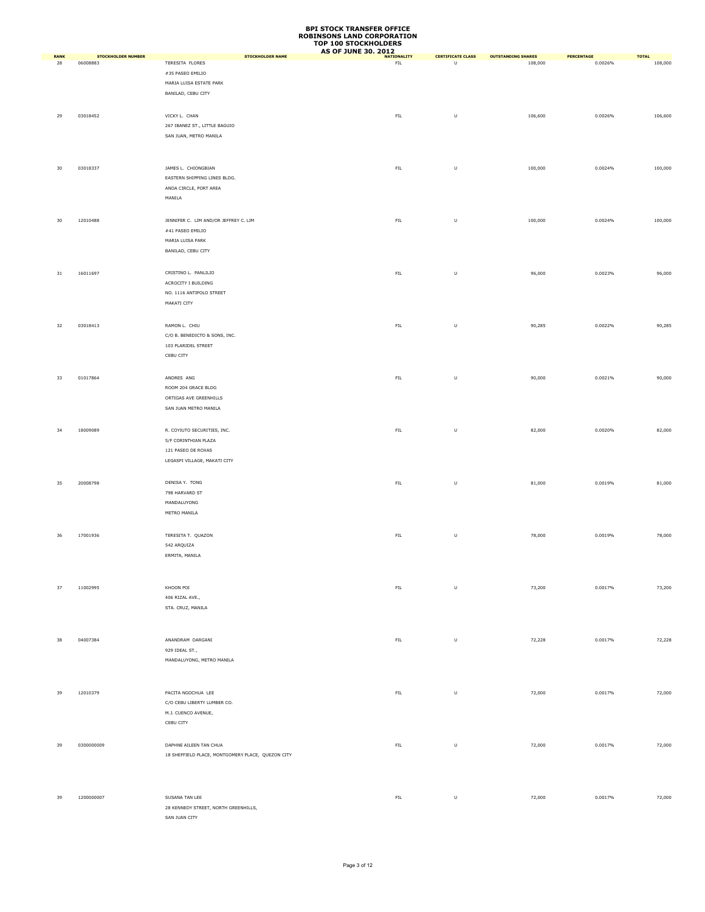|                   |                                       |                                                   | <b>AS OF JUNE 30, 2012</b>        |                               |                                      |                       |                         |
|-------------------|---------------------------------------|---------------------------------------------------|-----------------------------------|-------------------------------|--------------------------------------|-----------------------|-------------------------|
| <b>RANK</b><br>28 | <b>STOCKHOLDER NUMBER</b><br>06008883 | <b>STOCKHOLDER NAME</b><br>TERESITA FLORES        | <b>NATIONALITY</b><br>${\sf FIL}$ | <b>CERTIFICATE CLASS</b><br>U | <b>OUTSTANDING SHARES</b><br>108,000 | PERCENTAGE<br>0.0026% | <b>TOTAL</b><br>108,000 |
|                   |                                       | #35 PASEO EMILIO                                  |                                   |                               |                                      |                       |                         |
|                   |                                       |                                                   |                                   |                               |                                      |                       |                         |
|                   |                                       | MARIA LUISA ESTATE PARK                           |                                   |                               |                                      |                       |                         |
|                   |                                       | BANILAD, CEBU CITY                                |                                   |                               |                                      |                       |                         |
|                   |                                       |                                                   |                                   |                               |                                      |                       |                         |
| 29                | 03018452                              | VICKY L. CHAN                                     | ${\sf FIL}$                       | $\sf U$                       | 106,600                              | 0.0026%               | 106,600                 |
|                   |                                       | 267 IBANEZ ST., LITTLE BAGUIO                     |                                   |                               |                                      |                       |                         |
|                   |                                       | SAN JUAN, METRO MANILA                            |                                   |                               |                                      |                       |                         |
|                   |                                       |                                                   |                                   |                               |                                      |                       |                         |
|                   |                                       |                                                   |                                   |                               |                                      |                       |                         |
|                   |                                       |                                                   |                                   |                               |                                      |                       |                         |
| 30                | 03018337                              | JAMES L. CHIONGBIAN                               | ${\sf FIL}$                       | $\sf U$                       | 100,000                              | 0.0024%               | 100,000                 |
|                   |                                       | EASTERN SHIPPING LINES BLDG.                      |                                   |                               |                                      |                       |                         |
|                   |                                       | ANDA CIRCLE, PORT AREA                            |                                   |                               |                                      |                       |                         |
|                   |                                       | MANILA                                            |                                   |                               |                                      |                       |                         |
|                   |                                       |                                                   |                                   |                               |                                      |                       |                         |
|                   |                                       |                                                   |                                   |                               |                                      |                       |                         |
| 30                | 12010488                              | JENNIFER C. LIM AND/OR JEFFREY C. LIM             | ${\sf FIL}$                       | $\sf U$                       | 100,000                              | 0.0024%               | 100,000                 |
|                   |                                       | #41 PASEO EMILIO                                  |                                   |                               |                                      |                       |                         |
|                   |                                       | MARIA LUISA PARK                                  |                                   |                               |                                      |                       |                         |
|                   |                                       | BANILAD, CEBU CITY                                |                                   |                               |                                      |                       |                         |
|                   |                                       |                                                   |                                   |                               |                                      |                       |                         |
|                   |                                       |                                                   |                                   |                               |                                      |                       |                         |
| $31\,$            | 16011697                              | CRISTINO L. PANLILIO                              | ${\sf FIL}$                       | $\sf U$                       | 96,000                               | 0.0023%               | 96,000                  |
|                   |                                       | ACROCITY I BUILDING                               |                                   |                               |                                      |                       |                         |
|                   |                                       | NO. 1116 ANTIPOLO STREET                          |                                   |                               |                                      |                       |                         |
|                   |                                       | MAKATI CITY                                       |                                   |                               |                                      |                       |                         |
|                   |                                       |                                                   |                                   |                               |                                      |                       |                         |
|                   |                                       |                                                   |                                   |                               |                                      |                       |                         |
| 32                | 03018413                              | RAMON L. CHIU                                     | ${\sf FIL}$                       | U                             | 90,285                               | 0.0022%               | 90,285                  |
|                   |                                       | C/O B. BENEDICTO & SONS, INC.                     |                                   |                               |                                      |                       |                         |
|                   |                                       | 103 PLARIDEL STREET                               |                                   |                               |                                      |                       |                         |
|                   |                                       | CEBU CITY                                         |                                   |                               |                                      |                       |                         |
|                   |                                       |                                                   |                                   |                               |                                      |                       |                         |
| 33                | 01017864                              | ANDRES ANG                                        | ${\sf FIL}$                       | $\sf U$                       | 90,000                               | 0.0021%               | 90,000                  |
|                   |                                       | ROOM 204 GRACE BLDG                               |                                   |                               |                                      |                       |                         |
|                   |                                       |                                                   |                                   |                               |                                      |                       |                         |
|                   |                                       | ORTIGAS AVE GREENHILLS                            |                                   |                               |                                      |                       |                         |
|                   |                                       | SAN JUAN METRO MANILA                             |                                   |                               |                                      |                       |                         |
|                   |                                       |                                                   |                                   |                               |                                      |                       |                         |
| 34                | 18009089                              | R. COYIUTO SECURITIES, INC.                       | ${\sf FIL}$                       | $\sf U$                       | 82,000                               | 0.0020%               | 82,000                  |
|                   |                                       | 5/F CORINTHIAN PLAZA                              |                                   |                               |                                      |                       |                         |
|                   |                                       | 121 PASEO DE ROXAS                                |                                   |                               |                                      |                       |                         |
|                   |                                       |                                                   |                                   |                               |                                      |                       |                         |
|                   |                                       | LEGASPI VILLAGE, MAKATI CITY                      |                                   |                               |                                      |                       |                         |
|                   |                                       |                                                   |                                   |                               |                                      |                       |                         |
| 35                | 20008798                              | DENISA Y. TONG                                    | ${\sf FIL}$                       | U                             | 81,000                               | 0.0019%               | 81,000                  |
|                   |                                       | 798 HARVARD ST                                    |                                   |                               |                                      |                       |                         |
|                   |                                       | MANDALUYONG                                       |                                   |                               |                                      |                       |                         |
|                   |                                       | METRO MANILA                                      |                                   |                               |                                      |                       |                         |
|                   |                                       |                                                   |                                   |                               |                                      |                       |                         |
|                   |                                       |                                                   |                                   |                               |                                      |                       |                         |
| 36                | 17001936                              | TERESITA T. QUAZON                                | ${\sf FIL}$                       | $\sf U$                       | 78,000                               | 0.0019%               | 78,000                  |
|                   |                                       | 542 ARQUIZA                                       |                                   |                               |                                      |                       |                         |
|                   |                                       | ERMITA, MANILA                                    |                                   |                               |                                      |                       |                         |
|                   |                                       |                                                   |                                   |                               |                                      |                       |                         |
|                   |                                       |                                                   |                                   |                               |                                      |                       |                         |
|                   |                                       |                                                   | ${\sf FIL}$                       |                               |                                      |                       |                         |
| 37                | 11002995                              | KHOON POI                                         |                                   | $\sf U$                       | 73,200                               | 0.0017%               | 73,200                  |
|                   |                                       | 406 RIZAL AVE.,                                   |                                   |                               |                                      |                       |                         |
|                   |                                       | STA. CRUZ, MANILA                                 |                                   |                               |                                      |                       |                         |
|                   |                                       |                                                   |                                   |                               |                                      |                       |                         |
|                   |                                       |                                                   |                                   |                               |                                      |                       |                         |
| 38                | 04007384                              | ANANDRAM DARGANI                                  | FIL                               | $\sf U$                       | 72,228                               | 0.0017%               | 72,228                  |
|                   |                                       | 929 IDEAL ST.,                                    |                                   |                               |                                      |                       |                         |
|                   |                                       |                                                   |                                   |                               |                                      |                       |                         |
|                   |                                       | MANDALUYONG, METRO MANILA                         |                                   |                               |                                      |                       |                         |
|                   |                                       |                                                   |                                   |                               |                                      |                       |                         |
|                   |                                       |                                                   |                                   |                               |                                      |                       |                         |
| 39                | 12010379                              | PACITA NGOCHUA LEE                                | ${\sf FIL}$                       | $\sf U$                       | 72,000                               | 0.0017%               | 72,000                  |
|                   |                                       | C/O CEBU LIBERTY LUMBER CO.                       |                                   |                               |                                      |                       |                         |
|                   |                                       | M.J. CUENCO AVENUE,                               |                                   |                               |                                      |                       |                         |
|                   |                                       | CEBU CITY                                         |                                   |                               |                                      |                       |                         |
|                   |                                       |                                                   |                                   |                               |                                      |                       |                         |
|                   |                                       |                                                   |                                   |                               |                                      |                       |                         |
| 39                | 0300000009                            | DAPHNE AILEEN TAN CHUA                            | ${\sf FIL}$                       | U                             | 72,000                               | 0.0017%               | 72,000                  |
|                   |                                       | 18 SHEFFIELD PLACE, MONTGOMERY PLACE, QUEZON CITY |                                   |                               |                                      |                       |                         |
|                   |                                       |                                                   |                                   |                               |                                      |                       |                         |
|                   |                                       |                                                   |                                   |                               |                                      |                       |                         |
|                   |                                       |                                                   |                                   |                               |                                      |                       |                         |
| 39                | 1200000007                            | SUSANA TAN LEE                                    | ${\sf FIL}$                       | $\sf U$                       | 72,000                               | 0.0017%               | 72,000                  |
|                   |                                       |                                                   |                                   |                               |                                      |                       |                         |
|                   |                                       | 28 KENNEDY STREET, NORTH GREENHILLS,              |                                   |                               |                                      |                       |                         |
|                   |                                       | SAN JUAN CITY                                     |                                   |                               |                                      |                       |                         |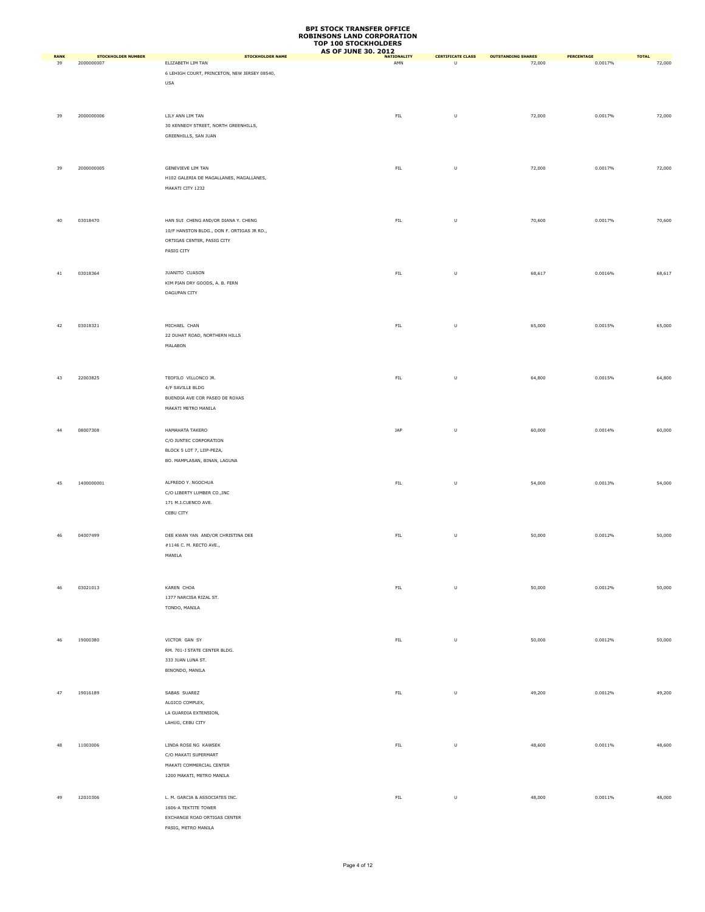|                   |                                         |                                                           | נאוויטוויטנאט וער סיטג<br><b>AS OF JUNE 30, 2012</b> |                                    |                                     |                       |                        |
|-------------------|-----------------------------------------|-----------------------------------------------------------|------------------------------------------------------|------------------------------------|-------------------------------------|-----------------------|------------------------|
| <b>RANK</b><br>39 | <b>STOCKHOLDER NUMBER</b><br>2000000007 | <b>STOCKHOLDER NAME</b><br>ELIZABETH LIM TAN              | <b>NATIONALITY</b><br>AMN                            | <b>CERTIFICATE CLASS</b><br>$\cup$ | <b>OUTSTANDING SHARES</b><br>72,000 | PERCENTAGE<br>0.0017% | <b>TOTAL</b><br>72,000 |
|                   |                                         | 6 LEHIGH COURT, PRINCETON, NEW JERSEY 08540,              |                                                      |                                    |                                     |                       |                        |
|                   |                                         | USA                                                       |                                                      |                                    |                                     |                       |                        |
|                   |                                         |                                                           |                                                      |                                    |                                     |                       |                        |
|                   |                                         |                                                           |                                                      |                                    |                                     |                       |                        |
| 39                | 2000000006                              | LILY ANN LIM TAN                                          | ${\sf FIL}$                                          | $\sf U$                            | 72,000                              | 0.0017%               | 72,000                 |
|                   |                                         | 30 KENNEDY STREET, NORTH GREENHILLS,                      |                                                      |                                    |                                     |                       |                        |
|                   |                                         | GREENHILLS, SAN JUAN                                      |                                                      |                                    |                                     |                       |                        |
|                   |                                         |                                                           |                                                      |                                    |                                     |                       |                        |
|                   |                                         |                                                           |                                                      |                                    |                                     |                       |                        |
| 39                | 2000000005                              | GENEVIEVE LIM TAN                                         | ${\sf FIL}$                                          | $\sf U$                            | 72,000                              | 0.0017%               | 72,000                 |
|                   |                                         | H102 GALERIA DE MAGALLANES, MAGALLANES,                   |                                                      |                                    |                                     |                       |                        |
|                   |                                         | MAKATI CITY 1232                                          |                                                      |                                    |                                     |                       |                        |
|                   |                                         |                                                           |                                                      |                                    |                                     |                       |                        |
|                   |                                         |                                                           |                                                      |                                    |                                     |                       |                        |
| 40                | 03018470                                | HAN SUI CHENG AND/OR DIANA Y. CHENG                       | ${\sf FIL}$                                          | $\sf U$                            | 70,600                              | 0.0017%               | 70,600                 |
|                   |                                         | 10/F HANSTON BLDG., DON F. ORTIGAS JR RD.,                |                                                      |                                    |                                     |                       |                        |
|                   |                                         | ORTIGAS CENTER, PASIG CITY                                |                                                      |                                    |                                     |                       |                        |
|                   |                                         | PASIG CITY                                                |                                                      |                                    |                                     |                       |                        |
|                   |                                         |                                                           |                                                      |                                    |                                     |                       |                        |
| 41                | 03018364                                | JUANITO CUASON                                            | ${\sf FIL}$                                          | $\sf U$                            | 68,617                              | 0.0016%               | 68,617                 |
|                   |                                         | KIM PIAN DRY GOODS, A. B. FERN                            |                                                      |                                    |                                     |                       |                        |
|                   |                                         | DAGUPAN CITY                                              |                                                      |                                    |                                     |                       |                        |
|                   |                                         |                                                           |                                                      |                                    |                                     |                       |                        |
|                   |                                         |                                                           |                                                      |                                    |                                     |                       |                        |
| 42                | 03018321                                | MICHAEL CHAN                                              | ${\sf FIL}$                                          | U                                  | 65,000                              | 0.0015%               | 65,000                 |
|                   |                                         | 22 DUHAT ROAD, NORTHERN HILLS                             |                                                      |                                    |                                     |                       |                        |
|                   |                                         | MALABON                                                   |                                                      |                                    |                                     |                       |                        |
|                   |                                         |                                                           |                                                      |                                    |                                     |                       |                        |
|                   |                                         |                                                           |                                                      |                                    |                                     |                       |                        |
| 43                | 22003825                                | TEOFILO VILLONCO JR.                                      | ${\sf FIL}$                                          | U                                  | 64,800                              | 0.0015%               | 64,800                 |
|                   |                                         | 4/F SAVILLE BLDG                                          |                                                      |                                    |                                     |                       |                        |
|                   |                                         | BUENDIA AVE COR PASEO DE ROXAS                            |                                                      |                                    |                                     |                       |                        |
|                   |                                         | MAKATI METRO MANILA                                       |                                                      |                                    |                                     |                       |                        |
|                   |                                         |                                                           |                                                      |                                    |                                     |                       |                        |
| 44                | 08007308                                | HAMAHATA TAKERO                                           | $\ensuremath{\text{JAP}}$                            | $\sf U$                            | 60,000                              | 0.0014%               | 60,000                 |
|                   |                                         | C/O JUNTEC CORPORATION                                    |                                                      |                                    |                                     |                       |                        |
|                   |                                         | BLOCK 5 LOT 7, LIIP-PEZA,<br>BO. MAMPLASAN, BINAN, LAGUNA |                                                      |                                    |                                     |                       |                        |
|                   |                                         |                                                           |                                                      |                                    |                                     |                       |                        |
|                   |                                         |                                                           |                                                      |                                    |                                     |                       |                        |
| 45                | 1400000001                              | ALFREDO Y. NGOCHUA<br>C/O LIBERTY LUMBER CO., INC         | ${\sf FIL}$                                          | $\sf U$                            | 54,000                              | 0.0013%               | 54,000                 |
|                   |                                         | 171 M.J.CUENCO AVE.                                       |                                                      |                                    |                                     |                       |                        |
|                   |                                         | CEBU CITY                                                 |                                                      |                                    |                                     |                       |                        |
|                   |                                         |                                                           |                                                      |                                    |                                     |                       |                        |
| 46                | 04007499                                | DEE KWAN YAN AND/OR CHRISTINA DEE                         | ${\sf FIL}$                                          | $\cup$                             | 50,000                              | 0.0012%               | 50,000                 |
|                   |                                         | #1146 C. M. RECTO AVE.,                                   |                                                      |                                    |                                     |                       |                        |
|                   |                                         | MANILA                                                    |                                                      |                                    |                                     |                       |                        |
|                   |                                         |                                                           |                                                      |                                    |                                     |                       |                        |
|                   |                                         |                                                           |                                                      |                                    |                                     |                       |                        |
| 46                | 03021013                                | KAREN CHOA                                                | ${\sf FIL}$                                          | $\sf U$                            | 50,000                              | 0.0012%               | 50,000                 |
|                   |                                         | 1377 NARCISA RIZAL ST.                                    |                                                      |                                    |                                     |                       |                        |
|                   |                                         | TONDO, MANILA                                             |                                                      |                                    |                                     |                       |                        |
|                   |                                         |                                                           |                                                      |                                    |                                     |                       |                        |
|                   |                                         |                                                           |                                                      |                                    |                                     |                       |                        |
| 46                | 19000380                                | VICTOR GAN SY                                             | ${\sf FIL}$                                          | $\cup$                             | 50,000                              | 0.0012%               | 50,000                 |
|                   |                                         | RM. 701-J STATE CENTER BLDG.                              |                                                      |                                    |                                     |                       |                        |
|                   |                                         | 333 JUAN LUNA ST.                                         |                                                      |                                    |                                     |                       |                        |
|                   |                                         | BINONDO, MANILA                                           |                                                      |                                    |                                     |                       |                        |
|                   |                                         |                                                           |                                                      |                                    |                                     |                       |                        |
| 47                | 19016189                                | SABAS SUAREZ                                              | ${\sf FIL}$                                          | $\sf U$                            | 49,200                              | 0.0012%               | 49,200                 |
|                   |                                         | ALGICO COMPLEX,                                           |                                                      |                                    |                                     |                       |                        |
|                   |                                         | LA GUARDIA EXTENSION,                                     |                                                      |                                    |                                     |                       |                        |
|                   |                                         | LAHUG, CEBU CITY                                          |                                                      |                                    |                                     |                       |                        |
|                   |                                         |                                                           |                                                      |                                    |                                     |                       |                        |
| 48                | 11003006                                | LINDA ROSE NG KAWSEK                                      | ${\sf FIL}$                                          | U                                  | 48,600                              | 0.0011%               | 48,600                 |
|                   |                                         | C/O MAKATI SUPERMART                                      |                                                      |                                    |                                     |                       |                        |
|                   |                                         | MAKATI COMMERCIAL CENTER                                  |                                                      |                                    |                                     |                       |                        |
|                   |                                         | 1200 MAKATI, METRO MANILA                                 |                                                      |                                    |                                     |                       |                        |
|                   |                                         |                                                           |                                                      |                                    |                                     |                       |                        |
| 49                | 12010306                                | L. M. GARCIA & ASSOCIATES INC.                            | ${\sf FIL}$                                          | $\sf U$                            | 48,000                              | 0.0011%               | 48,000                 |
|                   |                                         | 1606-A TEKTITE TOWER                                      |                                                      |                                    |                                     |                       |                        |
|                   |                                         | EXCHANGE ROAD ORTIGAS CENTER                              |                                                      |                                    |                                     |                       |                        |
|                   |                                         | PASIG, METRO MANILA                                       |                                                      |                                    |                                     |                       |                        |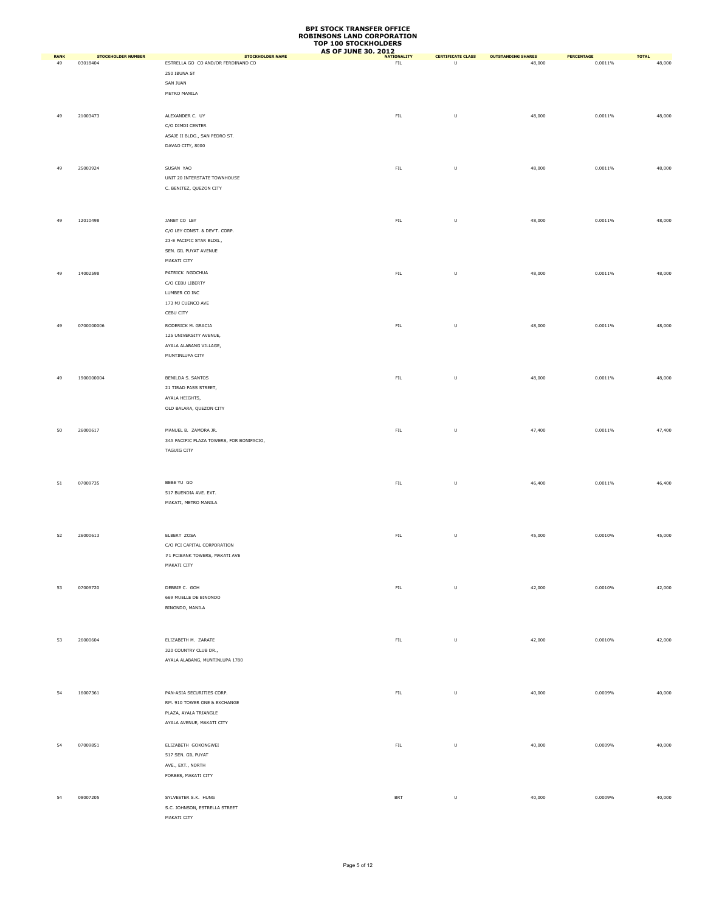|                   |                                       |                                                               | <b>AS OF JUNE 30, 2012</b> |                                                                                                            |                                     |                       |                        |
|-------------------|---------------------------------------|---------------------------------------------------------------|----------------------------|------------------------------------------------------------------------------------------------------------|-------------------------------------|-----------------------|------------------------|
| <b>RANK</b><br>49 | <b>STOCKHOLDER NUMBER</b><br>03018404 | <b>STOCKHOLDER NAME</b><br>ESTRELLA GO CO AND/OR FERDINAND CO | <b>NATIONALITY</b><br>FL   | <b>CERTIFICATE CLASS</b><br>U                                                                              | <b>OUTSTANDING SHARES</b><br>48,000 | PERCENTAGE<br>0.0011% | <b>TOTAL</b><br>48,000 |
|                   |                                       | 250 IBUNA ST                                                  |                            |                                                                                                            |                                     |                       |                        |
|                   |                                       | SAN JUAN                                                      |                            |                                                                                                            |                                     |                       |                        |
|                   |                                       | METRO MANILA                                                  |                            |                                                                                                            |                                     |                       |                        |
|                   |                                       |                                                               |                            |                                                                                                            |                                     |                       |                        |
|                   |                                       |                                                               |                            |                                                                                                            |                                     |                       |                        |
| 49                | 21003473                              | ALEXANDER C. UY                                               | ${\sf FIL}$                | U                                                                                                          | 48,000                              | 0.0011%               | 48,000                 |
|                   |                                       | C/O DIMDI CENTER                                              |                            |                                                                                                            |                                     |                       |                        |
|                   |                                       | ASAJE II BLDG., SAN PEDRO ST.                                 |                            |                                                                                                            |                                     |                       |                        |
|                   |                                       | DAVAO CITY, 8000                                              |                            |                                                                                                            |                                     |                       |                        |
|                   |                                       |                                                               |                            |                                                                                                            |                                     |                       |                        |
| 49                | 25003924                              | SUSAN YAO                                                     | ${\sf FIL}$                | $\sf U$                                                                                                    | 48,000                              | 0.0011%               | 48,000                 |
|                   |                                       | UNIT 20 INTERSTATE TOWNHOUSE                                  |                            |                                                                                                            |                                     |                       |                        |
|                   |                                       | C. BENITEZ, QUEZON CITY                                       |                            |                                                                                                            |                                     |                       |                        |
|                   |                                       |                                                               |                            |                                                                                                            |                                     |                       |                        |
|                   |                                       |                                                               |                            |                                                                                                            |                                     |                       |                        |
| 49                | 12010498                              | JANET CO LEY                                                  | ${\sf FIL}$                | $\sf U$                                                                                                    | 48,000                              | 0.0011%               | 48,000                 |
|                   |                                       | C/O LEY CONST. & DEV'T. CORP.                                 |                            |                                                                                                            |                                     |                       |                        |
|                   |                                       | 23-E PACIFIC STAR BLDG.,                                      |                            |                                                                                                            |                                     |                       |                        |
|                   |                                       | SEN. GIL PUYAT AVENUE                                         |                            |                                                                                                            |                                     |                       |                        |
|                   |                                       | MAKATI CITY                                                   |                            |                                                                                                            |                                     |                       |                        |
| 49                | 14002598                              | PATRICK NGOCHUA                                               | ${\sf FIL}$                | $\sf U$                                                                                                    | 48,000                              | 0.0011%               | 48,000                 |
|                   |                                       | C/O CEBU LIBERTY                                              |                            |                                                                                                            |                                     |                       |                        |
|                   |                                       | LUMBER CO INC                                                 |                            |                                                                                                            |                                     |                       |                        |
|                   |                                       | 173 MJ CUENCO AVE                                             |                            |                                                                                                            |                                     |                       |                        |
|                   |                                       | CEBU CITY                                                     |                            |                                                                                                            |                                     |                       |                        |
|                   |                                       |                                                               |                            |                                                                                                            |                                     |                       |                        |
| 49                | 0700000006                            | RODERICK M. GRACIA                                            | ${\sf FIL}$                | U                                                                                                          | 48,000                              | 0.0011%               | 48,000                 |
|                   |                                       | 125 UNIVERSITY AVENUE,                                        |                            |                                                                                                            |                                     |                       |                        |
|                   |                                       | AYALA ALABANG VILLAGE,                                        |                            |                                                                                                            |                                     |                       |                        |
|                   |                                       | MUNTINLUPA CITY                                               |                            |                                                                                                            |                                     |                       |                        |
|                   |                                       |                                                               |                            |                                                                                                            |                                     |                       |                        |
| 49                | 1900000004                            | BENILDA S. SANTOS                                             | ${\sf FIL}$                | U                                                                                                          | 48,000                              | 0.0011%               | 48,000                 |
|                   |                                       | 21 TIRAD PASS STREET,                                         |                            |                                                                                                            |                                     |                       |                        |
|                   |                                       | AYALA HEIGHTS,                                                |                            |                                                                                                            |                                     |                       |                        |
|                   |                                       | OLD BALARA, QUEZON CITY                                       |                            |                                                                                                            |                                     |                       |                        |
|                   |                                       |                                                               |                            |                                                                                                            |                                     |                       |                        |
| 50                | 26000617                              | MANUEL B. ZAMORA JR.                                          | ${\sf FIL}$                | $\sf U$                                                                                                    | 47,400                              | 0.0011%               | 47,400                 |
|                   |                                       | 34A PACIFIC PLAZA TOWERS, FOR BONIFACIO,                      |                            |                                                                                                            |                                     |                       |                        |
|                   |                                       | <b>TAGUIG CITY</b>                                            |                            |                                                                                                            |                                     |                       |                        |
|                   |                                       |                                                               |                            |                                                                                                            |                                     |                       |                        |
|                   |                                       |                                                               |                            |                                                                                                            |                                     |                       |                        |
|                   |                                       |                                                               |                            |                                                                                                            |                                     |                       |                        |
| 51                | 07009735                              | BEBE YU GO                                                    | ${\sf FIL}$                | $\sf U$                                                                                                    | 46,400                              | 0.0011%               | 46,400                 |
|                   |                                       | 517 BUENDIA AVE. EXT.                                         |                            |                                                                                                            |                                     |                       |                        |
|                   |                                       | MAKATI, METRO MANILA                                          |                            |                                                                                                            |                                     |                       |                        |
|                   |                                       |                                                               |                            |                                                                                                            |                                     |                       |                        |
|                   |                                       |                                                               |                            |                                                                                                            |                                     |                       |                        |
| 52                | 26000613                              | ELBERT ZOSA                                                   | ${\sf FIL}$                | $\sf U$                                                                                                    | 45,000                              | 0.0010%               | 45,000                 |
|                   |                                       | C/O PCI CAPITAL CORPORATION                                   |                            |                                                                                                            |                                     |                       |                        |
|                   |                                       | #1 PCIBANK TOWERS, MAKATI AVE                                 |                            |                                                                                                            |                                     |                       |                        |
|                   |                                       | MAKATI CITY                                                   |                            |                                                                                                            |                                     |                       |                        |
|                   |                                       |                                                               |                            |                                                                                                            |                                     |                       |                        |
| 53                | 07009720                              | DEBBIE C. GOH                                                 | ${\sf FIL}$                | $\mathsf{U}% _{T}=\mathsf{U}_{T}\!\left( a,b\right) ,\ \mathsf{U}_{T}=\mathsf{U}_{T}\!\left( a,b\right) ,$ | 42,000                              | 0.0010%               | 42,000                 |
|                   |                                       | 669 MUELLE DE BINONDO                                         |                            |                                                                                                            |                                     |                       |                        |
|                   |                                       | BINONDO, MANILA                                               |                            |                                                                                                            |                                     |                       |                        |
|                   |                                       |                                                               |                            |                                                                                                            |                                     |                       |                        |
|                   |                                       |                                                               |                            |                                                                                                            |                                     |                       |                        |
|                   |                                       |                                                               |                            |                                                                                                            |                                     |                       |                        |
| 53                | 26000604                              | ELIZABETH M. ZARATE                                           | ${\sf FIL}$                | $\sf U$                                                                                                    | 42,000                              | 0.0010%               | 42,000                 |
|                   |                                       | 320 COUNTRY CLUB DR.,                                         |                            |                                                                                                            |                                     |                       |                        |
|                   |                                       | AYALA ALABANG, MUNTINLUPA 1780                                |                            |                                                                                                            |                                     |                       |                        |
|                   |                                       |                                                               |                            |                                                                                                            |                                     |                       |                        |
|                   |                                       |                                                               |                            |                                                                                                            |                                     |                       |                        |
| 54                | 16007361                              | PAN-ASIA SECURITIES CORP.                                     | ${\sf FIL}$                | $\sf U$                                                                                                    | 40,000                              | 0.0009%               | 40,000                 |
|                   |                                       | RM. 910 TOWER ONE & EXCHANGE                                  |                            |                                                                                                            |                                     |                       |                        |
|                   |                                       | PLAZA, AYALA TRIANGLE                                         |                            |                                                                                                            |                                     |                       |                        |
|                   |                                       | AYALA AVENUE, MAKATI CITY                                     |                            |                                                                                                            |                                     |                       |                        |
|                   |                                       |                                                               |                            |                                                                                                            |                                     |                       |                        |
| 54                | 07009851                              | ELIZABETH GOKONGWEI                                           | ${\sf FIL}$                | $\sf U$                                                                                                    | 40,000                              | 0.0009%               | 40,000                 |
|                   |                                       | 517 SEN. GIL PUYAT                                            |                            |                                                                                                            |                                     |                       |                        |
|                   |                                       | AVE., EXT., NORTH                                             |                            |                                                                                                            |                                     |                       |                        |
|                   |                                       | FORBES, MAKATI CITY                                           |                            |                                                                                                            |                                     |                       |                        |
|                   |                                       |                                                               |                            |                                                                                                            |                                     |                       |                        |
| 54                | 08007205                              | SYLVESTER S.K. HUNG                                           | $\mathsf{BRT}$             | $\sf U$                                                                                                    | 40,000                              | 0.0009%               | 40,000                 |
|                   |                                       | S.C. JOHNSON, ESTRELLA STREET                                 |                            |                                                                                                            |                                     |                       |                        |
|                   |                                       | MAKATI CITY                                                   |                            |                                                                                                            |                                     |                       |                        |
|                   |                                       |                                                               |                            |                                                                                                            |                                     |                       |                        |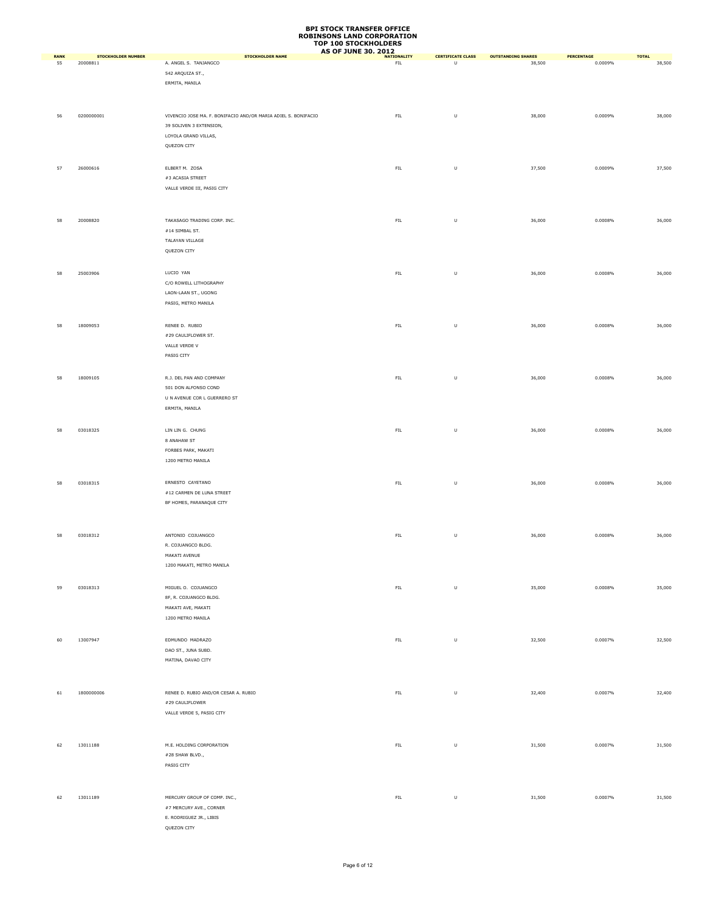|                   | <b>STOCKHOLDER NUMBER</b> | <b>STOCKHOLDER NAME</b>                                        | <b>AS OF JUNE 30, 2012</b><br><b>NATIONALITY</b> | <b>CERTIFICATE CLASS</b> | <b>OUTSTANDING SHARES</b> | PERCENTAGE |                        |
|-------------------|---------------------------|----------------------------------------------------------------|--------------------------------------------------|--------------------------|---------------------------|------------|------------------------|
| <b>RANK</b><br>55 | 20008811                  | A. ANGEL S. TANJANGCO                                          | <b>FIL</b>                                       | $\mathsf{U}$             | 38,500                    | 0.0009%    | <b>TOTAL</b><br>38,500 |
|                   |                           | 542 ARQUIZA ST.,                                               |                                                  |                          |                           |            |                        |
|                   |                           | ERMITA, MANILA                                                 |                                                  |                          |                           |            |                        |
|                   |                           |                                                                |                                                  |                          |                           |            |                        |
|                   |                           |                                                                |                                                  |                          |                           |            |                        |
| 56                | 0200000001                | VIVENCIO JOSE MA. F. BONIFACIO AND/OR MARIA ADIEL S. BONIFACIO | FIL                                              | $\sf U$                  | 38,000                    | 0.0009%    | 38,000                 |
|                   |                           | 39 SOLIVEN 3 EXTENSION,                                        |                                                  |                          |                           |            |                        |
|                   |                           | LOYOLA GRAND VILLAS,                                           |                                                  |                          |                           |            |                        |
|                   |                           | QUEZON CITY                                                    |                                                  |                          |                           |            |                        |
|                   |                           |                                                                |                                                  |                          |                           |            |                        |
|                   |                           |                                                                |                                                  |                          |                           |            |                        |
| 57                | 26000616                  | ELBERT M. ZOSA                                                 | ${\sf FIL}$                                      | $\sf U$                  | 37,500                    | 0.0009%    | 37,500                 |
|                   |                           | #3 ACASIA STREET                                               |                                                  |                          |                           |            |                        |
|                   |                           | VALLE VERDE III, PASIG CITY                                    |                                                  |                          |                           |            |                        |
|                   |                           |                                                                |                                                  |                          |                           |            |                        |
|                   |                           |                                                                |                                                  |                          |                           |            |                        |
| 58                | 20008820                  | TAKASAGO TRADING CORP. INC.                                    | ${\sf FIL}$                                      | $\sf U$                  | 36,000                    | 0.0008%    | 36,000                 |
|                   |                           | $\#14$ SIMBAL ST.                                              |                                                  |                          |                           |            |                        |
|                   |                           | TALAYAN VILLAGE                                                |                                                  |                          |                           |            |                        |
|                   |                           | QUEZON CITY                                                    |                                                  |                          |                           |            |                        |
|                   |                           |                                                                |                                                  |                          |                           |            |                        |
| 58                | 25003906                  | LUCIO YAN                                                      | ${\sf FIL}$                                      | $\sf U$                  | 36,000                    | 0.0008%    | 36,000                 |
|                   |                           | C/O ROWELL LITHOGRAPHY                                         |                                                  |                          |                           |            |                        |
|                   |                           | LAON-LAAN ST., UGONG                                           |                                                  |                          |                           |            |                        |
|                   |                           | PASIG, METRO MANILA                                            |                                                  |                          |                           |            |                        |
|                   |                           |                                                                |                                                  |                          |                           |            |                        |
|                   |                           |                                                                |                                                  |                          |                           |            |                        |
| 58                | 18009053                  | RENEE D. RUBIO                                                 | ${\sf FIL}$                                      | $\sf U$                  | 36,000                    | 0.0008%    | 36,000                 |
|                   |                           | #29 CAULIFLOWER ST.                                            |                                                  |                          |                           |            |                        |
|                   |                           | VALLE VERDE V                                                  |                                                  |                          |                           |            |                        |
|                   |                           | PASIG CITY                                                     |                                                  |                          |                           |            |                        |
|                   |                           |                                                                |                                                  |                          |                           |            |                        |
| 58                | 18009105                  | R.J. DEL PAN AND COMPANY                                       | ${\sf FIL}$                                      | $\sf U$                  | 36,000                    | 0.0008%    | 36,000                 |
|                   |                           | 501 DON ALFONSO COND                                           |                                                  |                          |                           |            |                        |
|                   |                           | U N AVENUE COR L GUERRERO ST                                   |                                                  |                          |                           |            |                        |
|                   |                           | ERMITA, MANILA                                                 |                                                  |                          |                           |            |                        |
|                   |                           |                                                                |                                                  |                          |                           |            |                        |
| 58                | 03018325                  | LIN LIN G. CHUNG                                               | ${\sf FIL}$                                      | $\sf U$                  | 36,000                    | 0.0008%    | 36,000                 |
|                   |                           | 8 ANAHAW ST                                                    |                                                  |                          |                           |            |                        |
|                   |                           | FORBES PARK, MAKATI                                            |                                                  |                          |                           |            |                        |
|                   |                           | 1200 METRO MANILA                                              |                                                  |                          |                           |            |                        |
|                   |                           |                                                                |                                                  |                          |                           |            |                        |
|                   |                           |                                                                |                                                  |                          |                           |            |                        |
| 58                | 03018315                  | ERNESTO CAYETANO                                               | ${\sf FIL}$                                      | $\sf U$                  | 36,000                    | 0.0008%    | 36,000                 |
|                   |                           | #12 CARMEN DE LUNA STREET                                      |                                                  |                          |                           |            |                        |
|                   |                           | BF HOMES, PARANAQUE CITY                                       |                                                  |                          |                           |            |                        |
|                   |                           |                                                                |                                                  |                          |                           |            |                        |
|                   |                           |                                                                |                                                  |                          |                           |            |                        |
| 58                | 03018312                  | ANTONIO COJUANGCO                                              | ${\sf FIL}$                                      | $\sf U$                  | 36,000                    | 0.0008%    | 36,000                 |
|                   |                           | R. COJUANGCO BLDG.                                             |                                                  |                          |                           |            |                        |
|                   |                           | MAKATI AVENUE                                                  |                                                  |                          |                           |            |                        |
|                   |                           | 1200 MAKATI, METRO MANILA                                      |                                                  |                          |                           |            |                        |
|                   |                           |                                                                |                                                  |                          |                           |            |                        |
| 59                | 03018313                  | MIGUEL O. COJUANGCO                                            | ${\sf FIL}$                                      | $\sf U$                  | 35,000                    | 0.0008%    | 35,000                 |
|                   |                           | 8F, R. COJUANGCO BLDG.                                         |                                                  |                          |                           |            |                        |
|                   |                           | MAKATI AVE, MAKATI                                             |                                                  |                          |                           |            |                        |
|                   |                           | 1200 METRO MANILA                                              |                                                  |                          |                           |            |                        |
|                   |                           |                                                                |                                                  |                          |                           |            |                        |
| 60                | 13007947                  | EDMUNDO MADRAZO                                                | ${\sf FIL}$                                      | $\sf U$                  | 32,500                    | 0.0007%    | 32,500                 |
|                   |                           | DAO ST., JUNA SUBD.                                            |                                                  |                          |                           |            |                        |
|                   |                           | MATINA, DAVAO CITY                                             |                                                  |                          |                           |            |                        |
|                   |                           |                                                                |                                                  |                          |                           |            |                        |
|                   |                           |                                                                |                                                  |                          |                           |            |                        |
|                   |                           |                                                                |                                                  |                          |                           |            |                        |
| 61                | 1800000006                | RENEE D. RUBIO AND/OR CESAR A. RUBIO                           | ${\sf FIL}$                                      | $\sf U$                  | 32,400                    | 0.0007%    | 32,400                 |
|                   |                           | #29 CAULIFLOWER                                                |                                                  |                          |                           |            |                        |
|                   |                           | VALLE VERDE 5, PASIG CITY                                      |                                                  |                          |                           |            |                        |
|                   |                           |                                                                |                                                  |                          |                           |            |                        |
|                   |                           |                                                                |                                                  |                          |                           |            |                        |
| 62                | 13011188                  | M.E. HOLDING CORPORATION                                       | ${\sf FIL}$                                      | $\sf U$                  | 31,500                    | 0.0007%    | 31,500                 |
|                   |                           | #28 SHAW BLVD.,                                                |                                                  |                          |                           |            |                        |
|                   |                           | PASIG CITY                                                     |                                                  |                          |                           |            |                        |
|                   |                           |                                                                |                                                  |                          |                           |            |                        |
|                   |                           |                                                                |                                                  |                          |                           |            |                        |
| 62                | 13011189                  | MERCURY GROUP OF COMP. INC.,                                   | ${\sf FIL}$                                      | $\sf U$                  | 31,500                    | 0.0007%    | 31,500                 |
|                   |                           | #7 MERCURY AVE., CORNER                                        |                                                  |                          |                           |            |                        |
|                   |                           | E. RODRIGUEZ JR., LIBIS                                        |                                                  |                          |                           |            |                        |
|                   |                           | QUEZON CITY                                                    |                                                  |                          |                           |            |                        |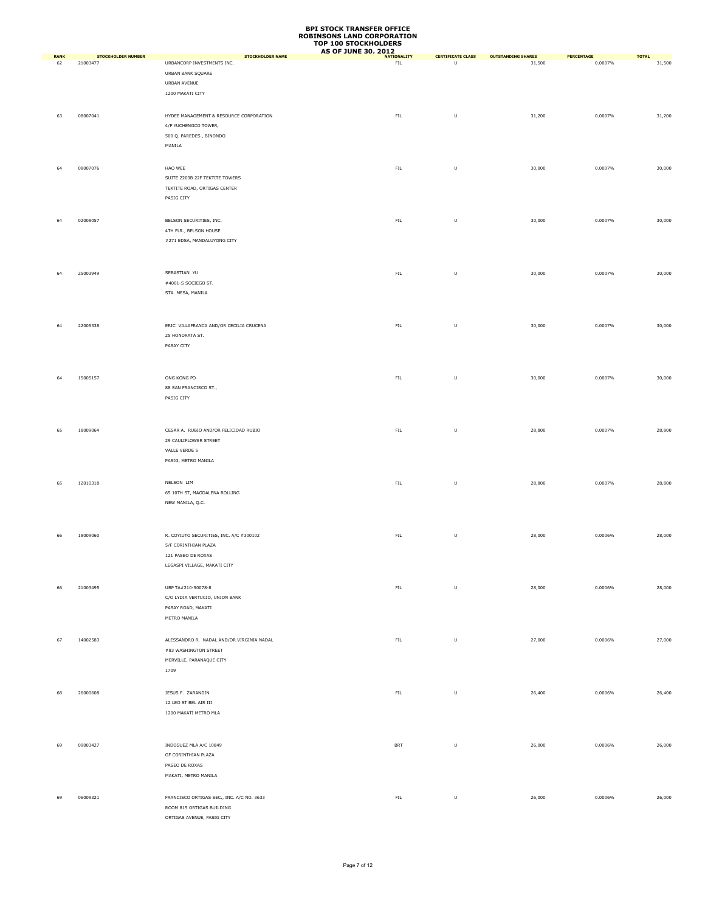|                   |                                       |                                                                            | TUP 100 STUCKHULDERS<br><b>AS OF JUNE 30, 2012</b> |                                                                                                            |                                     |                       |                        |
|-------------------|---------------------------------------|----------------------------------------------------------------------------|----------------------------------------------------|------------------------------------------------------------------------------------------------------------|-------------------------------------|-----------------------|------------------------|
| <b>RANK</b><br>62 | <b>STOCKHOLDER NUMBER</b><br>21003477 | <b>STOCKHOLDER NAME</b><br>URBANCORP INVESTMENTS INC.<br>URBAN BANK SQUARE | <b>NATIONALITY</b><br>FL                           | <b>CERTIFICATE CLASS</b><br>$\cup$                                                                         | <b>OUTSTANDING SHARES</b><br>31,500 | PERCENTAGE<br>0.0007% | <b>TOTAL</b><br>31,500 |
|                   |                                       | URBAN AVENUE<br>1200 MAKATI CITY                                           |                                                    |                                                                                                            |                                     |                       |                        |
| 63                | 08007041                              | HYDEE MANAGEMENT & RESOURCE CORPORATION<br>4/F YUCHENGCO TOWER,            | ${\sf FIL}$                                        | $\sf U$                                                                                                    | 31,200                              | 0.0007%               | 31,200                 |
|                   |                                       | 500 Q. PAREDES, BINONDO<br>MANILA                                          |                                                    |                                                                                                            |                                     |                       |                        |
| 64                | 08007076                              | HAO WEE<br>SUITE 2203B 22F TEKTITE TOWERS                                  | ${\sf FIL}$                                        | $\sf U$                                                                                                    | 30,000                              | 0.0007%               | 30,000                 |
|                   |                                       | TEKTITE ROAD, ORTIGAS CENTER<br>PASIG CITY                                 |                                                    |                                                                                                            |                                     |                       |                        |
| 64                | 02008057                              | BELSON SECURITIES, INC.<br>4TH FLR., BELSON HOUSE                          | ${\sf FIL}$                                        | $\sf U$                                                                                                    | 30,000                              | 0.0007%               | 30,000                 |
|                   |                                       | #271 EDSA, MANDALUYONG CITY                                                |                                                    |                                                                                                            |                                     |                       |                        |
| 64                | 25003949                              | SEBASTIAN YU<br>#4001-S SOCIEGO ST.                                        | ${\sf FIL}$                                        | $\sf U$                                                                                                    | 30,000                              | 0.0007%               | 30,000                 |
|                   |                                       | STA. MESA, MANILA                                                          |                                                    |                                                                                                            |                                     |                       |                        |
| 64                | 22005338                              | ERIC VILLAFRANCA AND/OR CECILIA CRUCENA<br>25 HONORATA ST.                 | ${\sf FIL}$                                        | $\sf U$                                                                                                    | 30,000                              | 0.0007%               | 30,000                 |
|                   |                                       | PASAY CITY                                                                 |                                                    |                                                                                                            |                                     |                       |                        |
| 64                | 15005157                              | ONG KONG PO<br>88 SAN FRANCISCO ST.,                                       | ${\sf FIL}$                                        | $\mathsf{U}% _{T}=\mathsf{U}_{T}\!\left( a,b\right) ,\ \mathsf{U}_{T}=\mathsf{U}_{T}\!\left( a,b\right) ,$ | 30,000                              | 0.0007%               | 30,000                 |
|                   |                                       | PASIG CITY                                                                 |                                                    |                                                                                                            |                                     |                       |                        |
| 65                | 18009064                              | CESAR A. RUBIO AND/OR FELICIDAD RUBIO<br>29 CAULIFLOWER STREET             | ${\sf FIL}$                                        | U                                                                                                          | 28,800                              | 0.0007%               | 28,800                 |
|                   |                                       | VALLE VERDE 5<br>PASIG, METRO MANILA                                       |                                                    |                                                                                                            |                                     |                       |                        |
| 65                | 12010318                              | NELSON LIM<br>65 10TH ST, MAGDALENA ROLLING                                | ${\sf FIL}$                                        | U                                                                                                          | 28,800                              | 0.0007%               | 28,800                 |
|                   |                                       | NEW MANILA, Q.C.                                                           |                                                    |                                                                                                            |                                     |                       |                        |
| 66                | 18009060                              | R. COYIUTO SECURITIES, INC. A/C #300102<br>5/F CORINTHIAN PLAZA            | ${\sf FIL}$                                        | $\sf U$                                                                                                    | 28,000                              | 0.0006%               | 28,000                 |
|                   |                                       | 121 PASEO DE ROXAS<br>LEGASPI VILLAGE, MAKATI CITY                         |                                                    |                                                                                                            |                                     |                       |                        |
| 66                | 21003495                              | UBP TA#210-50078-8<br>C/O LYDIA VERTUCIO, UNION BANK                       | ${\sf FIL}$                                        | $\sf U$                                                                                                    | 28,000                              | 0.0006%               | 28,000                 |
|                   |                                       | PASAY ROAD, MAKATI<br>METRO MANILA                                         |                                                    |                                                                                                            |                                     |                       |                        |
| 67                | 14002583                              | ALESSANDRO R. NADAL AND/OR VIRGINIA NADAL<br>#83 WASHINGTON STREET         | FL                                                 | $\sf U$                                                                                                    | 27,000                              | 0.0006%               | 27,000                 |
|                   |                                       | MERVILLE, PARANAQUE CITY<br>1709                                           |                                                    |                                                                                                            |                                     |                       |                        |
| 68                | 26000608                              | JESUS F. ZARANDIN<br>12 LEO ST BEL AIR III                                 | ${\sf FIL}$                                        | $\sf U$                                                                                                    | 26,400                              | 0.0006%               | 26,400                 |
|                   |                                       | 1200 MAKATI METRO MLA                                                      |                                                    |                                                                                                            |                                     |                       |                        |
| 69                | 09003427                              | INDOSUEZ MLA A/C 10849                                                     | <b>BRT</b>                                         | $\sf U$                                                                                                    | 26,000                              | 0.0006%               | 26,000                 |
|                   |                                       | GF CORINTHIAN PLAZA<br>PASEO DE ROXAS<br>MAKATI, METRO MANILA              |                                                    |                                                                                                            |                                     |                       |                        |
| 69                | 06009321                              | FRANCISCO ORTIGAS SEC., INC. A/C NO. 3633                                  | FL                                                 | $\sf U$                                                                                                    | 26,000                              | 0.0006%               | 26,000                 |
|                   |                                       | ROOM 815 ORTIGAS BUILDING<br>ORTIGAS AVENUE, PASIG CITY                    |                                                    |                                                                                                            |                                     |                       |                        |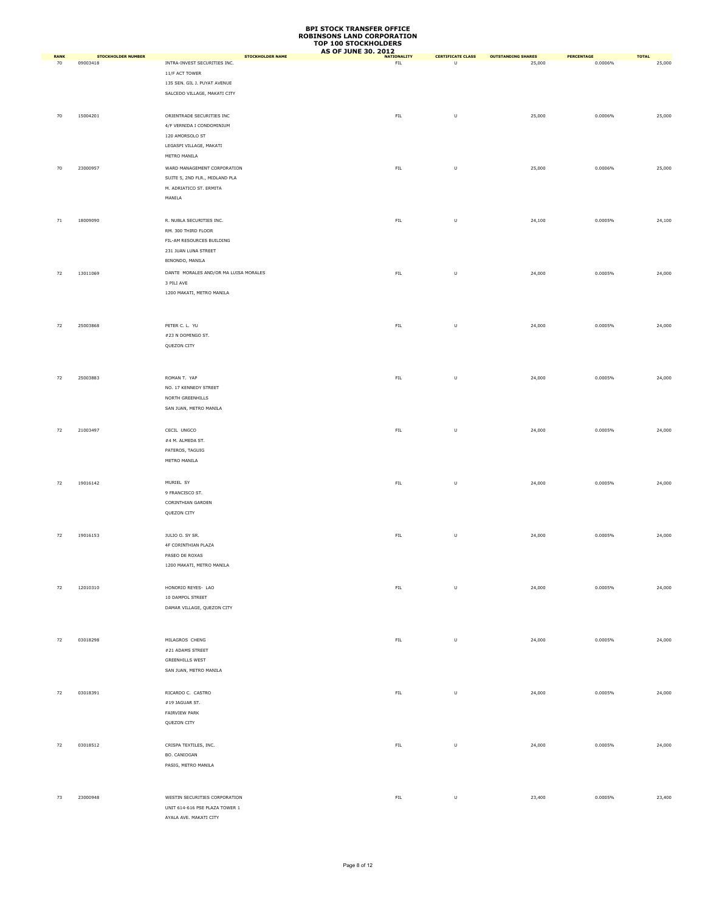|                   |                                       |                                                         | <b>AS OF JUNE 30, 2012</b> |                               |                                     |                       |                        |
|-------------------|---------------------------------------|---------------------------------------------------------|----------------------------|-------------------------------|-------------------------------------|-----------------------|------------------------|
| <b>RANK</b><br>70 | <b>STOCKHOLDER NUMBER</b><br>09003418 | <b>STOCKHOLDER NAME</b><br>INTRA-INVEST SECURITIES INC. | <b>NATIONALITY</b><br>FL   | <b>CERTIFICATE CLASS</b><br>U | <b>OUTSTANDING SHARES</b><br>25,000 | PERCENTAGE<br>0.0006% | <b>TOTAL</b><br>25,000 |
|                   |                                       | 11/F ACT TOWER                                          |                            |                               |                                     |                       |                        |
|                   |                                       | 135 SEN. GIL J. PUYAT AVENUE                            |                            |                               |                                     |                       |                        |
|                   |                                       |                                                         |                            |                               |                                     |                       |                        |
|                   |                                       | SALCEDO VILLAGE, MAKATI CITY                            |                            |                               |                                     |                       |                        |
|                   |                                       |                                                         |                            |                               |                                     |                       |                        |
| 70                | 15004201                              | ORIENTRADE SECURITIES INC                               | ${\sf FIL}$                | $\sf U$                       | 25,000                              | 0.0006%               | 25,000                 |
|                   |                                       | 4/F VERNIDA I CONDOMINIUM                               |                            |                               |                                     |                       |                        |
|                   |                                       | 120 AMORSOLO ST                                         |                            |                               |                                     |                       |                        |
|                   |                                       | LEGASPI VILLAGE, MAKATI                                 |                            |                               |                                     |                       |                        |
|                   |                                       | METRO MANILA                                            |                            |                               |                                     |                       |                        |
|                   |                                       |                                                         |                            |                               |                                     |                       |                        |
| 70                | 23000957                              | WARD MANAGEMENT CORPORATION                             | ${\sf FIL}$                | $\sf U$                       | 25,000                              | 0.0006%               | 25,000                 |
|                   |                                       | SUITE 5, 2ND FLR., MIDLAND PLA                          |                            |                               |                                     |                       |                        |
|                   |                                       | M. ADRIATICO ST. ERMITA                                 |                            |                               |                                     |                       |                        |
|                   |                                       | MANILA                                                  |                            |                               |                                     |                       |                        |
|                   |                                       |                                                         |                            |                               |                                     |                       |                        |
| 71                | 18009090                              | R. NUBLA SECURITIES INC.                                | ${\sf FIL}$                | $\sf U$                       | 24,100                              | 0.0005%               | 24,100                 |
|                   |                                       | RM. 300 THIRD FLOOR                                     |                            |                               |                                     |                       |                        |
|                   |                                       |                                                         |                            |                               |                                     |                       |                        |
|                   |                                       | FIL-AM RESOURCES BUILDING                               |                            |                               |                                     |                       |                        |
|                   |                                       | 231 JUAN LUNA STREET                                    |                            |                               |                                     |                       |                        |
|                   |                                       | BINONDO, MANILA                                         |                            |                               |                                     |                       |                        |
| 72                | 13011069                              | DANTE MORALES AND/OR MA LUISA MORALES                   | ${\sf FIL}$                | $\sf U$                       | 24,000                              | 0.0005%               | 24,000                 |
|                   |                                       | 3 PILI AVE                                              |                            |                               |                                     |                       |                        |
|                   |                                       | 1200 MAKATI, METRO MANILA                               |                            |                               |                                     |                       |                        |
|                   |                                       |                                                         |                            |                               |                                     |                       |                        |
|                   |                                       |                                                         |                            |                               |                                     |                       |                        |
|                   |                                       |                                                         |                            |                               |                                     |                       |                        |
| 72                | 25003868                              | PETER C. L. YU                                          | ${\sf FIL}$                | $\sf U$                       | 24,000                              | 0.0005%               | 24,000                 |
|                   |                                       | #23 N DOMINGO ST.                                       |                            |                               |                                     |                       |                        |
|                   |                                       | QUEZON CITY                                             |                            |                               |                                     |                       |                        |
|                   |                                       |                                                         |                            |                               |                                     |                       |                        |
|                   |                                       |                                                         |                            |                               |                                     |                       |                        |
|                   |                                       |                                                         |                            |                               |                                     |                       |                        |
| 72                | 25003883                              | ROMAN T. YAP                                            | FIL                        | $\sf U$                       | 24,000                              | 0.0005%               | 24,000                 |
|                   |                                       | NO. 17 KENNEDY STREET                                   |                            |                               |                                     |                       |                        |
|                   |                                       | NORTH GREENHILLS                                        |                            |                               |                                     |                       |                        |
|                   |                                       | SAN JUAN, METRO MANILA                                  |                            |                               |                                     |                       |                        |
|                   |                                       |                                                         |                            |                               |                                     |                       |                        |
| 72                | 21003497                              | CECIL UNGCO                                             | ${\sf FIL}$                | $\sf U$                       | 24,000                              | 0.0005%               | 24,000                 |
|                   |                                       | #4 M. ALMEDA ST.                                        |                            |                               |                                     |                       |                        |
|                   |                                       |                                                         |                            |                               |                                     |                       |                        |
|                   |                                       | PATEROS, TAGUIG                                         |                            |                               |                                     |                       |                        |
|                   |                                       | METRO MANILA                                            |                            |                               |                                     |                       |                        |
|                   |                                       |                                                         |                            |                               |                                     |                       |                        |
| 72                | 19016142                              | MURIEL SY                                               | ${\sf FIL}$                | $\sf U$                       | 24,000                              | 0.0005%               | 24,000                 |
|                   |                                       | 9 FRANCISCO ST.                                         |                            |                               |                                     |                       |                        |
|                   |                                       | CORINTHIAN GARDEN                                       |                            |                               |                                     |                       |                        |
|                   |                                       | QUEZON CITY                                             |                            |                               |                                     |                       |                        |
|                   |                                       |                                                         |                            |                               |                                     |                       |                        |
|                   |                                       |                                                         |                            |                               |                                     |                       |                        |
| 72                | 19016153                              | JULIO O. SY SR.                                         | ${\sf FIL}$                | $\sf U$                       | 24,000                              | 0.0005%               | 24,000                 |
|                   |                                       | 4F CORINTHIAN PLAZA                                     |                            |                               |                                     |                       |                        |
|                   |                                       | PASEO DE ROXAS                                          |                            |                               |                                     |                       |                        |
|                   |                                       | 1200 MAKATI, METRO MANILA                               |                            |                               |                                     |                       |                        |
|                   |                                       |                                                         |                            |                               |                                     |                       |                        |
|                   |                                       |                                                         |                            |                               |                                     |                       |                        |
| 72                | 12010310                              | HONORIO REYES- LAO                                      | ${\sf FIL}$                | $\sf U$                       | 24,000                              | 0.0005%               | 24,000                 |
|                   |                                       | 10 DAMPOL STREET                                        |                            |                               |                                     |                       |                        |
|                   |                                       | DAMAR VILLAGE, QUEZON CITY                              |                            |                               |                                     |                       |                        |
|                   |                                       |                                                         |                            |                               |                                     |                       |                        |
|                   |                                       |                                                         |                            |                               |                                     |                       |                        |
| 72                | 03018298                              | MILAGROS CHENG                                          | ${\sf FIL}$                | $\sf U$                       | 24,000                              | 0.0005%               | 24,000                 |
|                   |                                       |                                                         |                            |                               |                                     |                       |                        |
|                   |                                       | #21 ADAMS STREET                                        |                            |                               |                                     |                       |                        |
|                   |                                       | <b>GREENHILLS WEST</b>                                  |                            |                               |                                     |                       |                        |
|                   |                                       | SAN JUAN, METRO MANILA                                  |                            |                               |                                     |                       |                        |
|                   |                                       |                                                         |                            |                               |                                     |                       |                        |
| 72                | 03018391                              | RICARDO C. CASTRO                                       | ${\sf FIL}$                | $\sf U$                       | 24,000                              | 0.0005%               | 24,000                 |
|                   |                                       | #19 JAGUAR ST.                                          |                            |                               |                                     |                       |                        |
|                   |                                       | FAIRVIEW PARK                                           |                            |                               |                                     |                       |                        |
|                   |                                       |                                                         |                            |                               |                                     |                       |                        |
|                   |                                       | QUEZON CITY                                             |                            |                               |                                     |                       |                        |
|                   |                                       |                                                         |                            |                               |                                     |                       |                        |
| 72                | 03018512                              | CRISPA TEXTILES, INC.                                   | ${\sf FIL}$                | $\sf U$                       | 24,000                              | 0.0005%               | 24,000                 |
|                   |                                       | BO. CANIOGAN                                            |                            |                               |                                     |                       |                        |
|                   |                                       | PASIG, METRO MANILA                                     |                            |                               |                                     |                       |                        |
|                   |                                       |                                                         |                            |                               |                                     |                       |                        |
|                   |                                       |                                                         |                            |                               |                                     |                       |                        |
|                   |                                       |                                                         |                            |                               |                                     |                       |                        |
| 73                | 23000948                              | WESTIN SECURITIES CORPORATION                           | ${\sf FIL}$                | $\sf U$                       | 23,400                              | 0.0005%               | 23,400                 |
|                   |                                       | UNIT 614-616 PSE PLAZA TOWER 1                          |                            |                               |                                     |                       |                        |
|                   |                                       | AYALA AVE. MAKATI CITY                                  |                            |                               |                                     |                       |                        |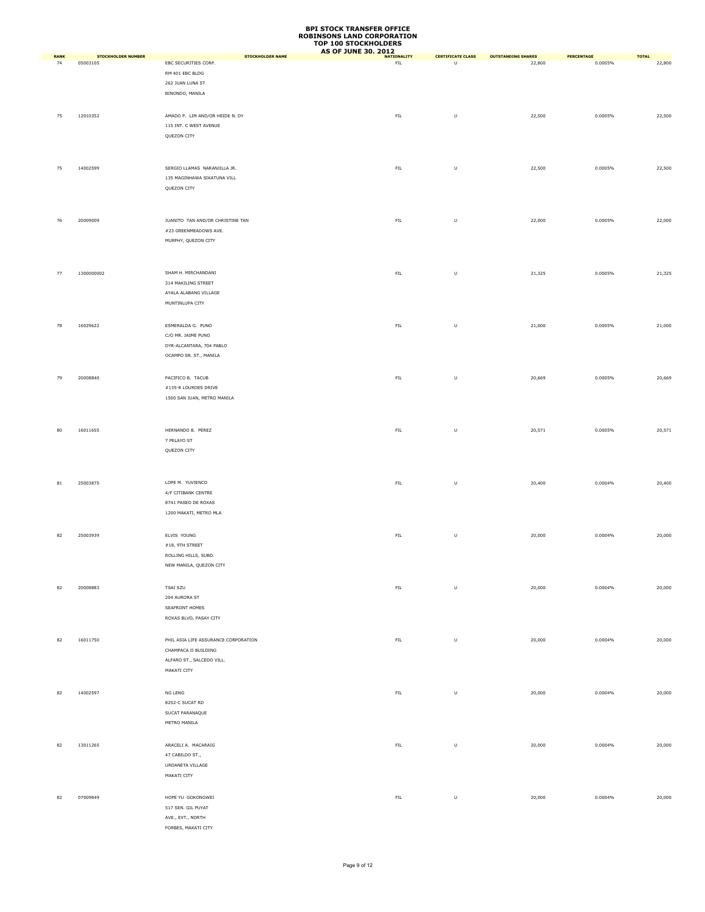|             |                           |                                                 | TUP TOO STUURNULDERS<br>AS OF JUNE 30, 2012 NATIONALITY |                          |                           |                       |              |
|-------------|---------------------------|-------------------------------------------------|---------------------------------------------------------|--------------------------|---------------------------|-----------------------|--------------|
| <b>RANK</b> | <b>STOCKHOLDER NUMBER</b> | <b>STOCKHOLDER NAME</b><br>EBC SECURITIES CORP. | FL                                                      | <b>CERTIFICATE CLASS</b> | <b>OUTSTANDING SHARES</b> | PERCENTAGE<br>0.0005% | <b>TOTAL</b> |
| 74          | 05003105                  |                                                 |                                                         | $\mathsf{U}$             | 22,800                    |                       | 22,800       |
|             |                           | RM 401 EBC BLDG                                 |                                                         |                          |                           |                       |              |
|             |                           | 262 JUAN LUNA ST                                |                                                         |                          |                           |                       |              |
|             |                           | BINONDO, MANILA                                 |                                                         |                          |                           |                       |              |
|             |                           |                                                 |                                                         |                          |                           |                       |              |
| 75          | 12010352                  | AMADO P. LIM AND/OR HEIDE N. DY                 | ${\sf FIL}$                                             | $\sf U$                  | 22,500                    | 0.0005%               | 22,500       |
|             |                           | 115 INT. C WEST AVENUE                          |                                                         |                          |                           |                       |              |
|             |                           | QUEZON CITY                                     |                                                         |                          |                           |                       |              |
|             |                           |                                                 |                                                         |                          |                           |                       |              |
|             |                           |                                                 |                                                         |                          |                           |                       |              |
|             |                           |                                                 |                                                         |                          |                           |                       |              |
| 75          | 14002599                  | SERGIO LLAMAS NARANJILLA JR.                    | ${\sf FIL}$                                             | $\sf U$                  | 22,500                    | 0.0005%               | 22,500       |
|             |                           | 135 MAGINHAWA SIKATUNA VILL                     |                                                         |                          |                           |                       |              |
|             |                           | QUEZON CITY                                     |                                                         |                          |                           |                       |              |
|             |                           |                                                 |                                                         |                          |                           |                       |              |
|             |                           |                                                 |                                                         |                          |                           |                       |              |
|             |                           |                                                 |                                                         |                          |                           |                       |              |
| 76          | 20009009                  | JUANITO TAN AND/OR CHRISTINE TAN                | ${\sf FIL}$                                             | $\sf U$                  | 22,000                    | 0.0005%               | 22,000       |
|             |                           | #23 GREENMEADOWS AVE.                           |                                                         |                          |                           |                       |              |
|             |                           | MURPHY, QUEZON CITY                             |                                                         |                          |                           |                       |              |
|             |                           |                                                 |                                                         |                          |                           |                       |              |
|             |                           |                                                 |                                                         |                          |                           |                       |              |
| 77          | 1300000002                | SHAM H. MIRCHANDANI                             | ${\sf FIL}$                                             | $\sf U$                  | 21,325                    | 0.0005%               | 21,325       |
|             |                           | 314 MAKILING STREET                             |                                                         |                          |                           |                       |              |
|             |                           |                                                 |                                                         |                          |                           |                       |              |
|             |                           | AYALA ALABANG VILLAGE                           |                                                         |                          |                           |                       |              |
|             |                           | MUNTINLUPA CITY                                 |                                                         |                          |                           |                       |              |
|             |                           |                                                 |                                                         |                          |                           |                       |              |
| 78          | 16029622                  | ESMERALDA G. PUNO                               | ${\sf FIL}$                                             | $\sf U$                  | 21,000                    | 0.0005%               | 21,000       |
|             |                           | C/O MR. JAIME PUNO                              |                                                         |                          |                           |                       |              |
|             |                           | DYR-ALCANTARA, 704 PABLO                        |                                                         |                          |                           |                       |              |
|             |                           |                                                 |                                                         |                          |                           |                       |              |
|             |                           | OCAMPO SR. ST., MANILA                          |                                                         |                          |                           |                       |              |
|             |                           |                                                 |                                                         |                          |                           |                       |              |
| 79          | 20008840                  | PACIFICO B. TACUB                               | ${\sf FIL}$                                             | $\sf U$                  | 20,669                    | 0.0005%               | 20,669       |
|             |                           | $\#135\text{-}\mathsf{R}$ LOURDES DRIVE         |                                                         |                          |                           |                       |              |
|             |                           | 1500 SAN JUAN, METRO MANILA                     |                                                         |                          |                           |                       |              |
|             |                           |                                                 |                                                         |                          |                           |                       |              |
|             |                           |                                                 |                                                         |                          |                           |                       |              |
|             |                           |                                                 |                                                         |                          |                           |                       |              |
| 80          | 16011655                  | HERNANDO B. PEREZ                               | ${\sf FIL}$                                             | $\sf U$                  | 20,571                    | 0.0005%               | 20,571       |
|             |                           | 7 PELAYO ST                                     |                                                         |                          |                           |                       |              |
|             |                           | QUEZON CITY                                     |                                                         |                          |                           |                       |              |
|             |                           |                                                 |                                                         |                          |                           |                       |              |
|             |                           |                                                 |                                                         |                          |                           |                       |              |
|             | 25003875                  | LOPE M. YUVIENCO                                | ${\sf FIL}$                                             | $\sf U$                  |                           | 0.0004%               | 20,400       |
| 81          |                           |                                                 |                                                         |                          | 20,400                    |                       |              |
|             |                           | 4/F CITIBANK CENTRE                             |                                                         |                          |                           |                       |              |
|             |                           | 8741 PASEO DE ROXAS                             |                                                         |                          |                           |                       |              |
|             |                           | 1200 MAKATI, METRO MLA                          |                                                         |                          |                           |                       |              |
|             |                           |                                                 |                                                         |                          |                           |                       |              |
| 82          | 25003939                  | ELVIS YOUNG                                     | ${\sf FIL}$                                             | $\sf U$                  | 20,000                    | 0.0004%               | 20,000       |
|             |                           | $\#18,$ 9TH STREET                              |                                                         |                          |                           |                       |              |
|             |                           | ROLLING HILLS, SUBD.                            |                                                         |                          |                           |                       |              |
|             |                           |                                                 |                                                         |                          |                           |                       |              |
|             |                           | NEW MANILA, QUEZON CITY                         |                                                         |                          |                           |                       |              |
|             |                           |                                                 |                                                         |                          |                           |                       |              |
| 82          | 20008883                  | TSAI SZU                                        | ${\sf FIL}$                                             | $\sf U$                  | 20,000                    | 0.0004%               | 20,000       |
|             |                           | 204 AURORA ST                                   |                                                         |                          |                           |                       |              |
|             |                           | SEAFRONT HOMES                                  |                                                         |                          |                           |                       |              |
|             |                           | ROXAS BLVD, PASAY CITY                          |                                                         |                          |                           |                       |              |
|             |                           |                                                 |                                                         |                          |                           |                       |              |
|             |                           |                                                 |                                                         |                          |                           |                       |              |
| 82          | 16011750                  | PHIL ASIA LIFE ASSURANCE CORPORATION            | ${\sf FIL}$                                             | $\sf U$                  | 20,000                    | 0.0004%               | 20,000       |
|             |                           | CHAMPACA II BUILDING                            |                                                         |                          |                           |                       |              |
|             |                           | ALFARO ST., SALCEDO VILL.                       |                                                         |                          |                           |                       |              |
|             |                           | MAKATI CITY                                     |                                                         |                          |                           |                       |              |
|             |                           |                                                 |                                                         |                          |                           |                       |              |
| 82          | 14002597                  | NG LENG                                         | ${\sf FIL}$                                             | $\sf U$                  | 20,000                    | 0.0004%               | 20,000       |
|             |                           |                                                 |                                                         |                          |                           |                       |              |
|             |                           | 8252-C SUCAT RD                                 |                                                         |                          |                           |                       |              |
|             |                           | SUCAT PARANAQUE                                 |                                                         |                          |                           |                       |              |
|             |                           | METRO MANILA                                    |                                                         |                          |                           |                       |              |
|             |                           |                                                 |                                                         |                          |                           |                       |              |
| 82          | 13011265                  | ARACELI A. MACARAIG                             | ${\sf FIL}$                                             | $\sf U$                  | 20,000                    | 0.0004%               | 20,000       |
|             |                           | 47 CABILDO ST.,                                 |                                                         |                          |                           |                       |              |
|             |                           | URDANETA VILLAGE                                |                                                         |                          |                           |                       |              |
|             |                           |                                                 |                                                         |                          |                           |                       |              |
|             |                           | MAKATI CITY                                     |                                                         |                          |                           |                       |              |
|             |                           |                                                 |                                                         |                          |                           |                       |              |
| 82          | 07009849                  | HOPE YU GOKONGWEI                               | ${\sf FIL}$                                             | $\sf U$                  | 20,000                    | 0.0004%               | 20,000       |
|             |                           | 517 SEN. GIL PUYAT                              |                                                         |                          |                           |                       |              |
|             |                           | AVE., EXT., NORTH                               |                                                         |                          |                           |                       |              |
|             |                           | FORBES, MAKATI CITY                             |                                                         |                          |                           |                       |              |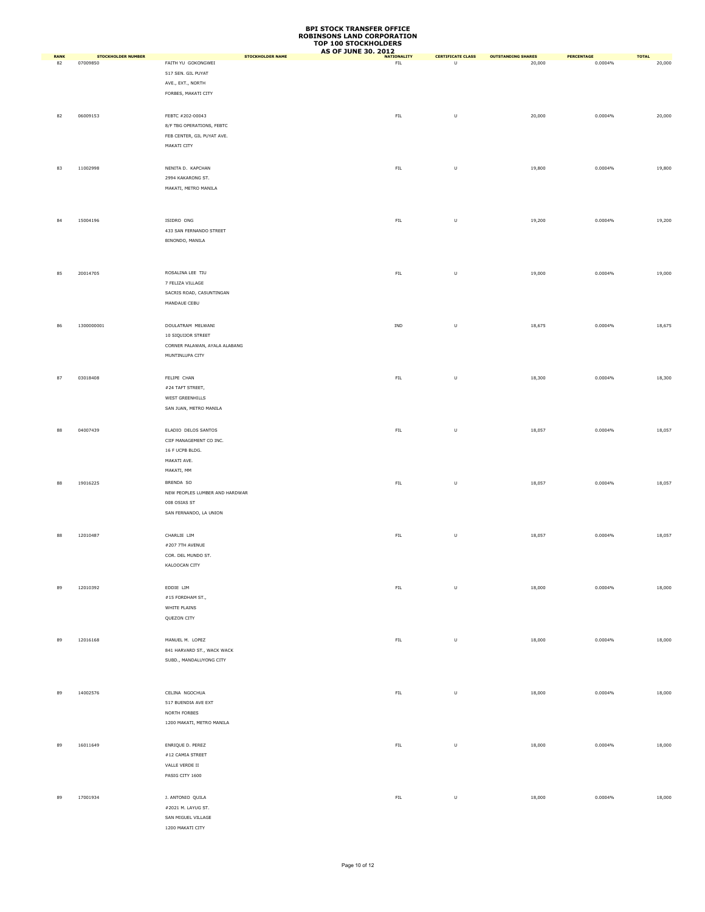|                   |                                       |                                               | TOP TOO STOCKHOLDERS<br><b>AS OF JUNE 30, 2012</b> |                                    |                                     |                       |                        |
|-------------------|---------------------------------------|-----------------------------------------------|----------------------------------------------------|------------------------------------|-------------------------------------|-----------------------|------------------------|
| <b>RANK</b><br>82 | <b>STOCKHOLDER NUMBER</b><br>07009850 | <b>STOCKHOLDER NAME</b><br>FAITH YU GOKONGWEI | <b>NATIONALITY</b><br>FL                           | <b>CERTIFICATE CLASS</b><br>$\cup$ | <b>OUTSTANDING SHARES</b><br>20,000 | PERCENTAGE<br>0.0004% | <b>TOTAL</b><br>20,000 |
|                   |                                       | 517 SEN. GIL PUYAT                            |                                                    |                                    |                                     |                       |                        |
|                   |                                       | AVE., EXT., NORTH                             |                                                    |                                    |                                     |                       |                        |
|                   |                                       | FORBES, MAKATI CITY                           |                                                    |                                    |                                     |                       |                        |
|                   |                                       |                                               |                                                    |                                    |                                     |                       |                        |
|                   |                                       |                                               |                                                    |                                    |                                     |                       |                        |
| 82                | 06009153                              | FEBTC #202-00043                              | ${\sf FIL}$                                        | $\sf U$                            | 20,000                              | 0.0004%               | 20,000                 |
|                   |                                       | 8/F TBG OPERATIONS, FEBTC                     |                                                    |                                    |                                     |                       |                        |
|                   |                                       | FEB CENTER, GIL PUYAT AVE.                    |                                                    |                                    |                                     |                       |                        |
|                   |                                       | MAKATI CITY                                   |                                                    |                                    |                                     |                       |                        |
|                   |                                       |                                               |                                                    |                                    |                                     |                       |                        |
| 83                | 11002998                              | NENITA D. KAPCHAN                             | ${\sf FIL}$                                        | $\sf U$                            | 19,800                              | 0.0004%               | 19,800                 |
|                   |                                       | 2994 KAKARONG ST.                             |                                                    |                                    |                                     |                       |                        |
|                   |                                       | MAKATI, METRO MANILA                          |                                                    |                                    |                                     |                       |                        |
|                   |                                       |                                               |                                                    |                                    |                                     |                       |                        |
|                   |                                       |                                               |                                                    |                                    |                                     |                       |                        |
| 84                | 15004196                              | ISIDRO ONG                                    | ${\sf FIL}$                                        | $\sf U$                            | 19,200                              | 0.0004%               | 19,200                 |
|                   |                                       | 433 SAN FERNANDO STREET                       |                                                    |                                    |                                     |                       |                        |
|                   |                                       | BINONDO, MANILA                               |                                                    |                                    |                                     |                       |                        |
|                   |                                       |                                               |                                                    |                                    |                                     |                       |                        |
|                   |                                       |                                               |                                                    |                                    |                                     |                       |                        |
| 85                | 20014705                              | ROSALINA LEE TIU                              | ${\sf FIL}$                                        | U                                  | 19,000                              | 0.0004%               | 19,000                 |
|                   |                                       | 7 FELIZA VILLAGE                              |                                                    |                                    |                                     |                       |                        |
|                   |                                       | SACRIS ROAD, CASUNTINGAN                      |                                                    |                                    |                                     |                       |                        |
|                   |                                       | MANDAUE CEBU                                  |                                                    |                                    |                                     |                       |                        |
|                   |                                       |                                               |                                                    |                                    |                                     |                       |                        |
| 86                | 1300000001                            | DOULATRAM MELWANI                             | IND                                                | $\sf U$                            | 18,675                              | 0.0004%               | 18,675                 |
|                   |                                       | 10 SIQUIJOR STREET                            |                                                    |                                    |                                     |                       |                        |
|                   |                                       | CORNER PALAWAN, AYALA ALABANG                 |                                                    |                                    |                                     |                       |                        |
|                   |                                       |                                               |                                                    |                                    |                                     |                       |                        |
|                   |                                       | MUNTINLUPA CITY                               |                                                    |                                    |                                     |                       |                        |
|                   |                                       |                                               |                                                    |                                    |                                     |                       |                        |
| 87                | 03018408                              | FELIPE CHAN                                   | ${\sf FIL}$                                        | $\sf U$                            | 18,300                              | 0.0004%               | 18,300                 |
|                   |                                       | #24 TAFT STREET,                              |                                                    |                                    |                                     |                       |                        |
|                   |                                       | WEST GREENHILLS                               |                                                    |                                    |                                     |                       |                        |
|                   |                                       | SAN JUAN, METRO MANILA                        |                                                    |                                    |                                     |                       |                        |
|                   |                                       |                                               |                                                    |                                    |                                     |                       |                        |
| 88                | 04007439                              | ELADIO DELOS SANTOS                           | ${\sf FIL}$                                        | $\sf U$                            | 18,057                              | 0.0004%               | 18,057                 |
|                   |                                       | CIIF MANAGEMENT CO INC.                       |                                                    |                                    |                                     |                       |                        |
|                   |                                       | 16 F UCPB BLDG.                               |                                                    |                                    |                                     |                       |                        |
|                   |                                       | MAKATI AVE.                                   |                                                    |                                    |                                     |                       |                        |
|                   |                                       | MAKATI, MM                                    |                                                    |                                    |                                     |                       |                        |
| 88                | 19016225                              | BRENDA SO                                     | ${\sf FIL}$                                        | $\sf U$                            | 18,057                              | 0.0004%               | 18,057                 |
|                   |                                       | NEW PEOPLES LUMBER AND HARDWAR                |                                                    |                                    |                                     |                       |                        |
|                   |                                       | 008 OSIAS ST                                  |                                                    |                                    |                                     |                       |                        |
|                   |                                       | SAN FERNANDO, LA UNION                        |                                                    |                                    |                                     |                       |                        |
|                   |                                       |                                               |                                                    |                                    |                                     |                       |                        |
|                   |                                       |                                               |                                                    |                                    |                                     | 0.0004%               |                        |
| 88                | 12010487                              | CHARLIE LIM<br>#207 7TH AVENUE                | ${\sf FIL}$                                        | $\sf U$                            | 18,057                              |                       | 18,057                 |
|                   |                                       |                                               |                                                    |                                    |                                     |                       |                        |
|                   |                                       | COR. DEL MUNDO ST.                            |                                                    |                                    |                                     |                       |                        |
|                   |                                       | KALOOCAN CITY                                 |                                                    |                                    |                                     |                       |                        |
|                   |                                       |                                               |                                                    |                                    |                                     |                       |                        |
| 89                | 12010392                              | EDDIE LIM                                     | ${\sf FIL}$                                        | $\sf U$                            | 18,000                              | 0.0004%               | 18,000                 |
|                   |                                       | #15 FORDHAM ST.,                              |                                                    |                                    |                                     |                       |                        |
|                   |                                       | WHITE PLAINS                                  |                                                    |                                    |                                     |                       |                        |
|                   |                                       | QUEZON CITY                                   |                                                    |                                    |                                     |                       |                        |
|                   |                                       |                                               |                                                    |                                    |                                     |                       |                        |
| 89                | 12016168                              | MANUEL M. LOPEZ                               | ${\sf FIL}$                                        | $\sf U$                            | 18,000                              | 0.0004%               | 18,000                 |
|                   |                                       | 841 HARVARD ST., WACK WACK                    |                                                    |                                    |                                     |                       |                        |
|                   |                                       | SUBD., MANDALUYONG CITY                       |                                                    |                                    |                                     |                       |                        |
|                   |                                       |                                               |                                                    |                                    |                                     |                       |                        |
|                   |                                       |                                               |                                                    |                                    |                                     |                       |                        |
| 89                | 14002576                              | CELINA NGOCHUA                                | ${\sf FIL}$                                        | $\sf U$                            | 18,000                              | 0.0004%               | 18,000                 |
|                   |                                       | 517 BUENDIA AVE EXT                           |                                                    |                                    |                                     |                       |                        |
|                   |                                       | NORTH FORBES                                  |                                                    |                                    |                                     |                       |                        |
|                   |                                       | 1200 MAKATI, METRO MANILA                     |                                                    |                                    |                                     |                       |                        |
|                   |                                       |                                               |                                                    |                                    |                                     |                       |                        |
|                   |                                       |                                               |                                                    |                                    |                                     |                       |                        |
| 89                | 16011649                              | ENRIQUE D. PEREZ                              | ${\sf FIL}$                                        | $\sf U$                            | 18,000                              | 0.0004%               | 18,000                 |
|                   |                                       | #12 CAMIA STREET                              |                                                    |                                    |                                     |                       |                        |
|                   |                                       | VALLE VERDE II                                |                                                    |                                    |                                     |                       |                        |
|                   |                                       | PASIG CITY 1600                               |                                                    |                                    |                                     |                       |                        |
|                   |                                       |                                               |                                                    |                                    |                                     |                       |                        |
| 89                | 17001934                              | J. ANTONIO QUILA                              | ${\sf FIL}$                                        | $\sf U$                            | 18,000                              | 0.0004%               | 18,000                 |
|                   |                                       | #2021 M. LAYUG ST.                            |                                                    |                                    |                                     |                       |                        |
|                   |                                       | SAN MIGUEL VILLAGE                            |                                                    |                                    |                                     |                       |                        |
|                   |                                       | 1200 MAKATI CITY                              |                                                    |                                    |                                     |                       |                        |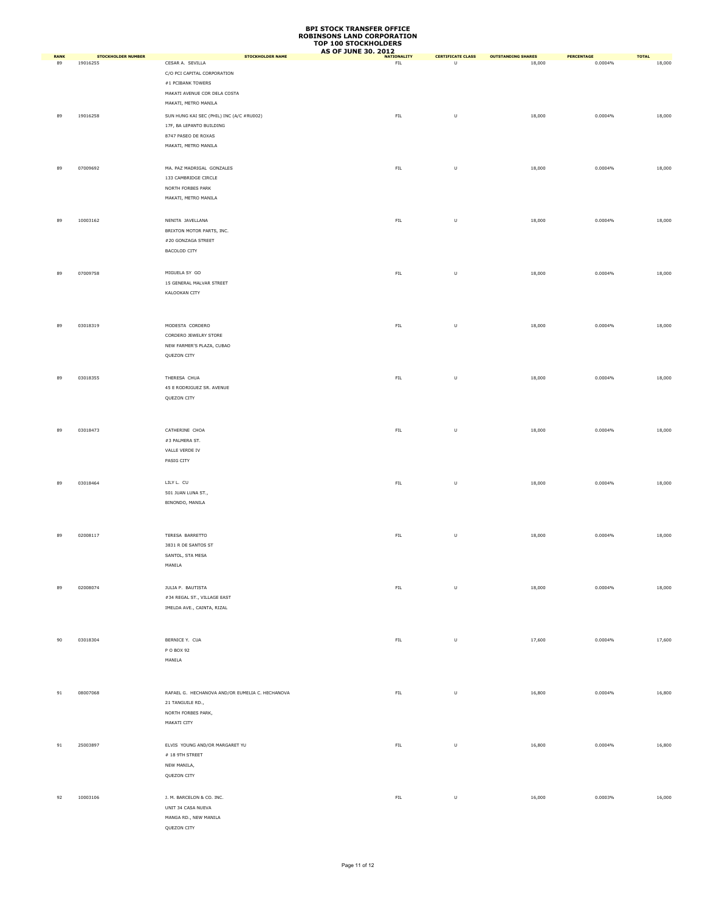| <b>RANK</b> | <b>STOCKHOLDER NUMBER</b> | <b>STOCKHOLDER NAME</b>                         | <b>AS OF JUNE 30, 2012</b><br><b>NATIONALITY</b> | <b>CERTIFICATE CLASS</b> | <b>OUTSTANDING SHARES</b> | PERCENTAGE | <b>TOTAL</b> |
|-------------|---------------------------|-------------------------------------------------|--------------------------------------------------|--------------------------|---------------------------|------------|--------------|
| 89          | 19016255                  | CESAR A. SEVILLA                                | <b>FIL</b>                                       | $\mathsf{U}$             | 18,000                    | 0.0004%    | 18,000       |
|             |                           | C/O PCI CAPITAL CORPORATION                     |                                                  |                          |                           |            |              |
|             |                           | #1 PCIBANK TOWERS                               |                                                  |                          |                           |            |              |
|             |                           | MAKATI AVENUE COR DELA COSTA                    |                                                  |                          |                           |            |              |
|             |                           | MAKATI, METRO MANILA                            |                                                  |                          |                           |            |              |
| 89          | 19016258                  | SUN HUNG KAI SEC (PHIL) INC (A/C #RU002)        | ${\sf FIL}$                                      | $\sf U$                  | 18,000                    | 0.0004%    | 18,000       |
|             |                           | 17F, BA LEPANTO BUILDING                        |                                                  |                          |                           |            |              |
|             |                           | 8747 PASEO DE ROXAS                             |                                                  |                          |                           |            |              |
|             |                           | MAKATI, METRO MANILA                            |                                                  |                          |                           |            |              |
|             |                           |                                                 |                                                  |                          |                           |            |              |
| 89          | 07009692                  | MA. PAZ MADRIGAL GONZALES                       | ${\sf FIL}$                                      | $\sf U$                  | 18,000                    | 0.0004%    | 18,000       |
|             |                           | 133 CAMBRIDGE CIRCLE                            |                                                  |                          |                           |            |              |
|             |                           | NORTH FORBES PARK                               |                                                  |                          |                           |            |              |
|             |                           | MAKATI, METRO MANILA                            |                                                  |                          |                           |            |              |
|             |                           |                                                 |                                                  |                          |                           |            |              |
| 89          | 10003162                  | NENITA JAVELLANA                                | ${\sf FIL}$                                      | $\sf U$                  | 18,000                    | 0.0004%    | 18,000       |
|             |                           | BRIXTON MOTOR PARTS, INC.                       |                                                  |                          |                           |            |              |
|             |                           | #20 GONZAGA STREET<br>BACOLOD CITY              |                                                  |                          |                           |            |              |
|             |                           |                                                 |                                                  |                          |                           |            |              |
|             |                           |                                                 |                                                  |                          |                           |            |              |
| 89          | 07009758                  | MIGUELA SY GO<br>15 GENERAL MALVAR STREET       | ${\sf FIL}$                                      | $\sf U$                  | 18,000                    | 0.0004%    | 18,000       |
|             |                           | KALOOKAN CITY                                   |                                                  |                          |                           |            |              |
|             |                           |                                                 |                                                  |                          |                           |            |              |
|             |                           |                                                 |                                                  |                          |                           |            |              |
| 89          | 03018319                  | MODESTA CORDERO                                 | ${\sf FIL}$                                      | $\sf U$                  |                           | 0.0004%    |              |
|             |                           | CORDERO JEWELRY STORE                           |                                                  |                          | 18,000                    |            | 18,000       |
|             |                           | NEW FARMER'S PLAZA, CUBAO                       |                                                  |                          |                           |            |              |
|             |                           | QUEZON CITY                                     |                                                  |                          |                           |            |              |
|             |                           |                                                 |                                                  |                          |                           |            |              |
| 89          | 03018355                  | THERESA CHUA                                    | ${\sf FIL}$                                      | $\sf U$                  | 18,000                    | 0.0004%    | 18,000       |
|             |                           | 45 E RODRIGUEZ SR. AVENUE                       |                                                  |                          |                           |            |              |
|             |                           | QUEZON CITY                                     |                                                  |                          |                           |            |              |
|             |                           |                                                 |                                                  |                          |                           |            |              |
|             |                           |                                                 |                                                  |                          |                           |            |              |
| 89          | 03018473                  | CATHERINE CHOA                                  | ${\sf FIL}$                                      | $\sf U$                  | 18,000                    | 0.0004%    | 18,000       |
|             |                           | #3 PALMERA ST.                                  |                                                  |                          |                           |            |              |
|             |                           | VALLE VERDE IV                                  |                                                  |                          |                           |            |              |
|             |                           | PASIG CITY                                      |                                                  |                          |                           |            |              |
|             |                           |                                                 |                                                  |                          |                           |            |              |
| 89          | 03018464                  | LILY L. CU                                      | ${\sf FIL}$                                      | $\sf U$                  | 18,000                    | 0.0004%    | 18,000       |
|             |                           | 501 JUAN LUNA ST.,                              |                                                  |                          |                           |            |              |
|             |                           | BINONDO, MANILA                                 |                                                  |                          |                           |            |              |
|             |                           |                                                 |                                                  |                          |                           |            |              |
|             |                           |                                                 |                                                  |                          |                           |            |              |
| 89          | 02008117                  | TERESA BARRETTO                                 | ${\sf FIL}$                                      | $\sf U$                  | 18,000                    | 0.0004%    | 18,000       |
|             |                           | 3831 R DE SANTOS ST                             |                                                  |                          |                           |            |              |
|             |                           | SANTOL, STA MESA                                |                                                  |                          |                           |            |              |
|             |                           | MANILA                                          |                                                  |                          |                           |            |              |
|             |                           |                                                 |                                                  |                          |                           |            |              |
| 89          | 02008074                  | JULIA P. BAUTISTA                               | ${\sf FIL}$                                      | $\sf U$                  | 18,000                    | 0.0004%    | 18,000       |
|             |                           | #34 REGAL ST., VILLAGE EAST                     |                                                  |                          |                           |            |              |
|             |                           | IMELDA AVE., CAINTA, RIZAL                      |                                                  |                          |                           |            |              |
|             |                           |                                                 |                                                  |                          |                           |            |              |
|             |                           |                                                 |                                                  |                          |                           |            |              |
| 90          | 03018304                  | BERNICE Y. CUA                                  | ${\sf FIL}$                                      | $\sf U$                  | 17,600                    | 0.0004%    | 17,600       |
|             |                           | P O BOX 92                                      |                                                  |                          |                           |            |              |
|             |                           | MANILA                                          |                                                  |                          |                           |            |              |
|             |                           |                                                 |                                                  |                          |                           |            |              |
|             |                           |                                                 |                                                  |                          |                           |            |              |
| 91          | 08007068                  | RAFAEL G. HECHANOVA AND/OR EUMELIA C. HECHANOVA | ${\sf FIL}$                                      | $\sf U$                  | 16,800                    | 0.0004%    | 16,800       |
|             |                           | 21 TANGUILE RD.,                                |                                                  |                          |                           |            |              |
|             |                           | NORTH FORBES PARK,                              |                                                  |                          |                           |            |              |
|             |                           | MAKATI CITY                                     |                                                  |                          |                           |            |              |
|             |                           |                                                 |                                                  |                          |                           |            |              |
| 91          | 25003897                  | ELVIS YOUNG AND/OR MARGARET YU                  | ${\sf FIL}$                                      | $\sf U$                  | 16,800                    | 0.0004%    | 16,800       |
|             |                           | # 18 9TH STREET                                 |                                                  |                          |                           |            |              |
|             |                           | NEW MANILA,                                     |                                                  |                          |                           |            |              |
|             |                           | QUEZON CITY                                     |                                                  |                          |                           |            |              |
|             |                           |                                                 |                                                  |                          |                           |            |              |
| 92          | 10003106                  | J. M. BARCELON & CO. INC.                       | ${\sf FIL}$                                      | $\sf U$                  | 16,000                    | 0.0003%    | 16,000       |
|             |                           | UNIT 34 CASA NUEVA                              |                                                  |                          |                           |            |              |
|             |                           | MANGA RD., NEW MANILA<br>OUEZON CITY            |                                                  |                          |                           |            |              |
|             |                           |                                                 |                                                  |                          |                           |            |              |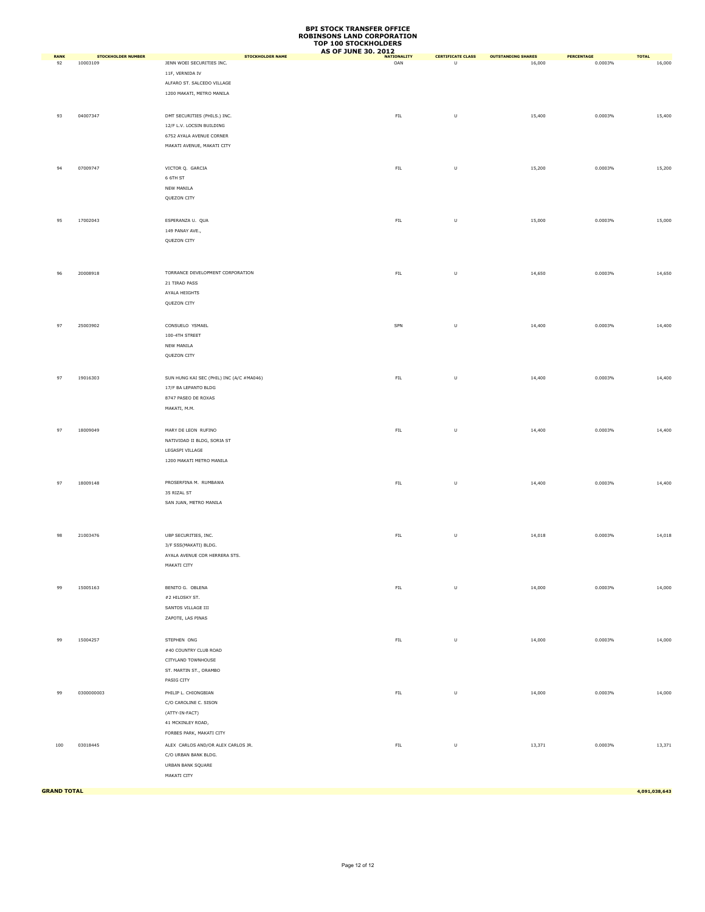| <b>RANK</b>        | <b>STOCKHOLDER NUMBER</b> | <b>STOCKHOLDER NAME</b>                  | AS OF JUNE 30, 2012 | <b>CERTIFICATE CLASS</b> | <b>OUTSTANDING SHARES</b> | PERCENTAGE | <b>TOTAL</b>  |
|--------------------|---------------------------|------------------------------------------|---------------------|--------------------------|---------------------------|------------|---------------|
| 92                 | 10003109                  | JENN WOEI SECURITIES INC.                | OAN                 | $\cup$                   | 16,000                    | 0.0003%    | 16,000        |
|                    |                           | 11F, VERNIDA IV                          |                     |                          |                           |            |               |
|                    |                           | ALFARO ST. SALCEDO VILLAGE               |                     |                          |                           |            |               |
|                    |                           | 1200 MAKATI, METRO MANILA                |                     |                          |                           |            |               |
|                    |                           |                                          |                     |                          |                           |            |               |
| 93                 | 04007347                  | DMT SECURITIES (PHILS.) INC.             | ${\sf FIL}$         | $\sf U$                  | 15,400                    | 0.0003%    | 15,400        |
|                    |                           | 12/F L.V. LOCSIN BUILDING                |                     |                          |                           |            |               |
|                    |                           | 6752 AYALA AVENUE CORNER                 |                     |                          |                           |            |               |
|                    |                           | MAKATI AVENUE, MAKATI CITY               |                     |                          |                           |            |               |
|                    |                           |                                          |                     |                          |                           |            |               |
| 94                 | 07009747                  | VICTOR Q. GARCIA                         | ${\sf FIL}$         | U                        | 15,200                    | 0.0003%    | 15,200        |
|                    |                           | 6 6TH ST                                 |                     |                          |                           |            |               |
|                    |                           | NEW MANILA                               |                     |                          |                           |            |               |
|                    |                           | QUEZON CITY                              |                     |                          |                           |            |               |
|                    |                           |                                          |                     |                          |                           |            |               |
| 95                 | 17002043                  | ESPERANZA U. QUA                         | ${\sf FIL}$         | $\sf U$                  | 15,000                    | 0.0003%    | 15,000        |
|                    |                           | 149 PANAY AVE.,                          |                     |                          |                           |            |               |
|                    |                           | QUEZON CITY                              |                     |                          |                           |            |               |
|                    |                           |                                          |                     |                          |                           |            |               |
|                    |                           |                                          |                     |                          |                           |            |               |
| 96                 | 20008918                  | TORRANCE DEVELOPMENT CORPORATION         | ${\sf FIL}$         | U                        | 14,650                    | 0.0003%    | 14,650        |
|                    |                           | 21 TIRAD PASS                            |                     |                          |                           |            |               |
|                    |                           | AYALA HEIGHTS                            |                     |                          |                           |            |               |
|                    |                           | QUEZON CITY                              |                     |                          |                           |            |               |
|                    |                           |                                          |                     |                          |                           |            |               |
| 97                 | 25003902                  | CONSUELO YSMAEL                          | SPN                 | $\sf U$                  | 14,400                    | 0.0003%    | 14,400        |
|                    |                           | 100-4TH STREET                           |                     |                          |                           |            |               |
|                    |                           | NEW MANILA                               |                     |                          |                           |            |               |
|                    |                           | QUEZON CITY                              |                     |                          |                           |            |               |
|                    |                           |                                          |                     |                          |                           |            |               |
| 97                 | 19016303                  | SUN HUNG KAI SEC (PHIL) INC (A/C #MA046) | ${\sf FIL}$         | $\sf U$                  | 14,400                    | 0.0003%    | 14,400        |
|                    |                           | 17/F BA LEPANTO BLDG                     |                     |                          |                           |            |               |
|                    |                           | 8747 PASEO DE ROXAS                      |                     |                          |                           |            |               |
|                    |                           | MAKATI, M.M.                             |                     |                          |                           |            |               |
|                    |                           |                                          |                     |                          |                           |            |               |
| 97                 | 18009049                  | MARY DE LEON RUFINO                      | ${\sf FIL}$         | U                        | 14,400                    | 0.0003%    | 14,400        |
|                    |                           | NATIVIDAD II BLDG, SORIA ST              |                     |                          |                           |            |               |
|                    |                           | LEGASPI VILLAGE                          |                     |                          |                           |            |               |
|                    |                           | 1200 MAKATI METRO MANILA                 |                     |                          |                           |            |               |
|                    |                           |                                          |                     |                          |                           |            |               |
| 97                 | 18009148                  | PROSERFINA M. RUMBAWA                    | ${\sf FIL}$         | $\sf U$                  | 14,400                    | 0.0003%    | 14,400        |
|                    |                           | 35 RIZAL ST                              |                     |                          |                           |            |               |
|                    |                           | SAN JUAN, METRO MANILA                   |                     |                          |                           |            |               |
|                    |                           |                                          |                     |                          |                           |            |               |
|                    |                           |                                          |                     |                          |                           |            |               |
| 98                 | 21003476                  | UBP SECURITIES, INC.                     | ${\sf FIL}$         | $\sf U$                  | 14,018                    | 0.0003%    | 14,018        |
|                    |                           | 3/F SSS(MAKATI) BLDG.                    |                     |                          |                           |            |               |
|                    |                           | AYALA AVENUE COR HERRERA STS.            |                     |                          |                           |            |               |
|                    |                           | MAKATI CITY                              |                     |                          |                           |            |               |
|                    |                           |                                          |                     |                          |                           |            |               |
| 99                 | 15005163                  | BENITO G. OBLENA                         | ${\sf FIL}$         | U                        | 14,000                    | 0.0003%    | 14,000        |
|                    |                           | #2 HILOSKY ST.                           |                     |                          |                           |            |               |
|                    |                           | SANTOS VILLAGE III                       |                     |                          |                           |            |               |
|                    |                           | ZAPOTE, LAS PINAS                        |                     |                          |                           |            |               |
|                    |                           |                                          |                     |                          |                           |            |               |
| 99                 | 15004257                  | STEPHEN ONG                              | ${\sf FIL}$         | $\sf U$                  | 14,000                    | 0.0003%    | 14,000        |
|                    |                           | #40 COUNTRY CLUB ROAD                    |                     |                          |                           |            |               |
|                    |                           | CITYLAND TOWNHOUSE                       |                     |                          |                           |            |               |
|                    |                           | ST. MARTIN ST., ORAMBO                   |                     |                          |                           |            |               |
|                    |                           | PASIG CITY                               |                     |                          |                           |            |               |
| 99                 | 0300000003                | PHILIP L. CHIONGBIAN                     | ${\sf FIL}$         | $\sf U$                  | 14,000                    | 0.0003%    | 14,000        |
|                    |                           | C/O CAROLINE C. SISON                    |                     |                          |                           |            |               |
|                    |                           | (ATTY-IN-FACT)                           |                     |                          |                           |            |               |
|                    |                           | 41 MCKINLEY ROAD,                        |                     |                          |                           |            |               |
|                    |                           | FORBES PARK, MAKATI CITY                 |                     |                          |                           |            |               |
| 100                | 03018445                  | ALEX CARLOS AND/OR ALEX CARLOS JR.       | FL                  | $\sf U$                  | 13,371                    | 0.0003%    | 13,371        |
|                    |                           | C/O URBAN BANK BLDG.                     |                     |                          |                           |            |               |
|                    |                           | URBAN BANK SQUARE                        |                     |                          |                           |            |               |
|                    |                           | MAKATI CITY                              |                     |                          |                           |            |               |
|                    |                           |                                          |                     |                          |                           |            |               |
| <b>GRAND TOTAL</b> |                           |                                          |                     |                          |                           |            | 4,091,038,643 |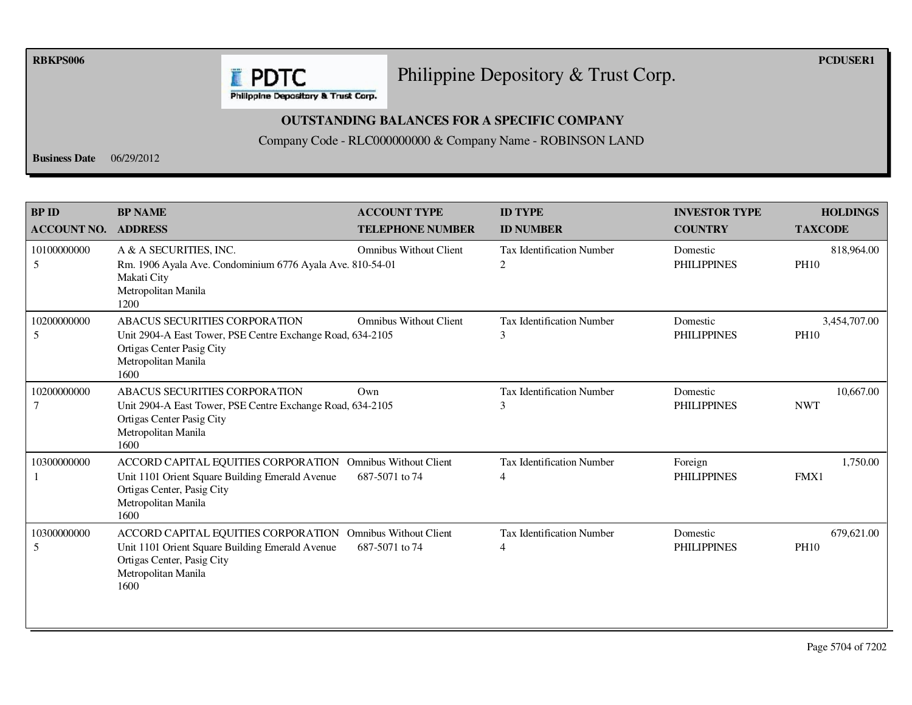**RBKPS006 PCDUSER1** 

#### Philippine Depository & Trust Corp.

Philippine Depository & Trust Corp.

**E** PDTC

#### **OUTSTANDING BALANCES FOR A SPECIFIC COMPANY**

Company Code - RLC000000000 & Company Name - ROBINSON LAND

**Business Date** 06/29/2012

| <b>BP ID</b><br><b>ACCOUNT NO.</b> | <b>BP NAME</b><br><b>ADDRESS</b>                                                                                                                                           | <b>ACCOUNT TYPE</b><br><b>TELEPHONE NUMBER</b>  | <b>ID TYPE</b><br><b>ID NUMBER</b>                 | <b>INVESTOR TYPE</b><br><b>COUNTRY</b> | <b>HOLDINGS</b><br><b>TAXCODE</b> |
|------------------------------------|----------------------------------------------------------------------------------------------------------------------------------------------------------------------------|-------------------------------------------------|----------------------------------------------------|----------------------------------------|-----------------------------------|
| 10100000000<br>5                   | A & A SECURITIES, INC.<br>Rm. 1906 Ayala Ave. Condominium 6776 Ayala Ave. 810-54-01<br>Makati City<br>Metropolitan Manila<br>1200                                          | <b>Omnibus Without Client</b>                   | <b>Tax Identification Number</b><br>2              | Domestic<br><b>PHILIPPINES</b>         | 818,964.00<br><b>PH10</b>         |
| 10200000000<br>5                   | ABACUS SECURITIES CORPORATION<br>Unit 2904-A East Tower, PSE Centre Exchange Road, 634-2105<br>Ortigas Center Pasig City<br>Metropolitan Manila<br>1600                    | <b>Omnibus Without Client</b>                   | <b>Tax Identification Number</b><br>3              | Domestic<br><b>PHILIPPINES</b>         | 3,454,707.00<br><b>PH10</b>       |
| 10200000000<br>7                   | <b>ABACUS SECURITIES CORPORATION</b><br>Unit 2904-A East Tower, PSE Centre Exchange Road, 634-2105<br>Ortigas Center Pasig City<br>Metropolitan Manila<br>1600             | Own                                             | <b>Tax Identification Number</b><br>3              | Domestic<br><b>PHILIPPINES</b>         | 10.667.00<br><b>NWT</b>           |
| 10300000000                        | ACCORD CAPITAL EQUITIES CORPORATION<br>Unit 1101 Orient Square Building Emerald Avenue<br>Ortigas Center, Pasig City<br>Metropolitan Manila<br>1600                        | <b>Omnibus Without Client</b><br>687-5071 to 74 | <b>Tax Identification Number</b><br>$\overline{4}$ | Foreign<br><b>PHILIPPINES</b>          | 1,750.00<br>FMX1                  |
| 10300000000<br>5                   | ACCORD CAPITAL EQUITIES CORPORATION Omnibus Without Client<br>Unit 1101 Orient Square Building Emerald Avenue<br>Ortigas Center, Pasig City<br>Metropolitan Manila<br>1600 | 687-5071 to 74                                  | <b>Tax Identification Number</b><br>4              | Domestic<br><b>PHILIPPINES</b>         | 679,621.00<br><b>PH10</b>         |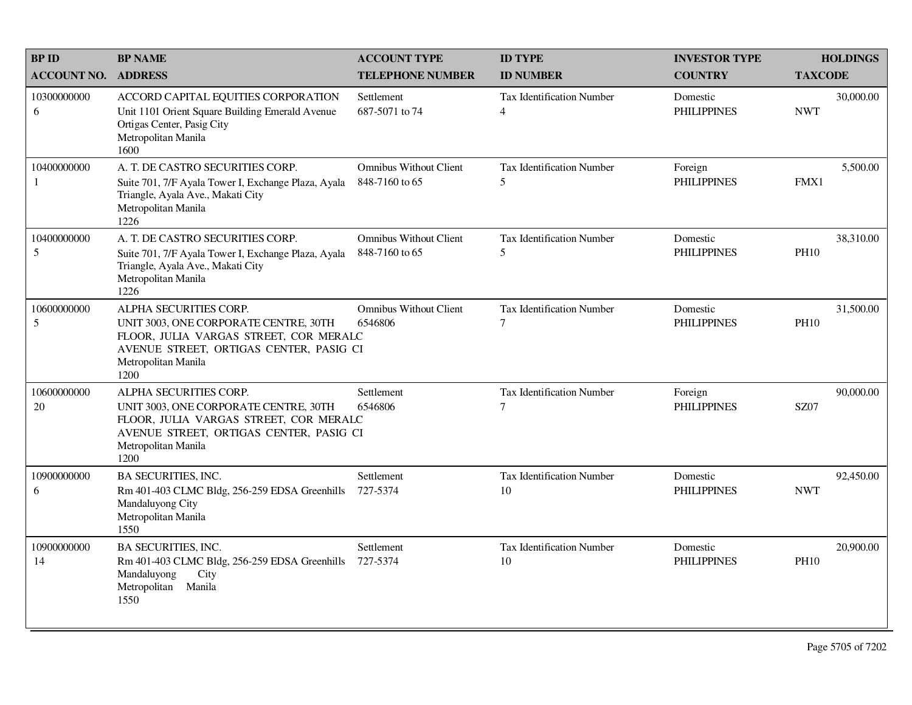| <b>BPID</b>        | <b>BP NAME</b>                                                                                                                                                                      | <b>ACCOUNT TYPE</b>                             | <b>ID TYPE</b>                         | <b>INVESTOR TYPE</b>           | <b>HOLDINGS</b>          |
|--------------------|-------------------------------------------------------------------------------------------------------------------------------------------------------------------------------------|-------------------------------------------------|----------------------------------------|--------------------------------|--------------------------|
| <b>ACCOUNT NO.</b> | <b>ADDRESS</b>                                                                                                                                                                      | <b>TELEPHONE NUMBER</b>                         | <b>ID NUMBER</b>                       | <b>COUNTRY</b>                 | <b>TAXCODE</b>           |
| 10300000000<br>6   | ACCORD CAPITAL EQUITIES CORPORATION<br>Unit 1101 Orient Square Building Emerald Avenue<br>Ortigas Center, Pasig City<br>Metropolitan Manila<br>1600                                 | Settlement<br>687-5071 to 74                    | Tax Identification Number<br>4         | Domestic<br><b>PHILIPPINES</b> | 30,000.00<br><b>NWT</b>  |
| 10400000000<br>-1  | A. T. DE CASTRO SECURITIES CORP.<br>Suite 701, 7/F Ayala Tower I, Exchange Plaza, Ayala<br>Triangle, Ayala Ave., Makati City<br>Metropolitan Manila<br>1226                         | <b>Omnibus Without Client</b><br>848-7160 to 65 | <b>Tax Identification Number</b><br>5  | Foreign<br><b>PHILIPPINES</b>  | 5,500.00<br>FMX1         |
| 10400000000<br>5   | A. T. DE CASTRO SECURITIES CORP.<br>Suite 701, 7/F Ayala Tower I, Exchange Plaza, Ayala<br>Triangle, Ayala Ave., Makati City<br>Metropolitan Manila<br>1226                         | <b>Omnibus Without Client</b><br>848-7160 to 65 | <b>Tax Identification Number</b><br>5  | Domestic<br><b>PHILIPPINES</b> | 38,310.00<br><b>PH10</b> |
| 10600000000<br>5   | ALPHA SECURITIES CORP.<br>UNIT 3003, ONE CORPORATE CENTRE, 30TH<br>FLOOR, JULIA VARGAS STREET, COR MERALC<br>AVENUE STREET, ORTIGAS CENTER, PASIG CI<br>Metropolitan Manila<br>1200 | <b>Omnibus Without Client</b><br>6546806        | <b>Tax Identification Number</b><br>7  | Domestic<br><b>PHILIPPINES</b> | 31,500.00<br><b>PH10</b> |
| 10600000000<br>20  | ALPHA SECURITIES CORP.<br>UNIT 3003, ONE CORPORATE CENTRE, 30TH<br>FLOOR, JULIA VARGAS STREET, COR MERALC<br>AVENUE STREET, ORTIGAS CENTER, PASIG CI<br>Metropolitan Manila<br>1200 | Settlement<br>6546806                           | <b>Tax Identification Number</b><br>7  | Foreign<br><b>PHILIPPINES</b>  | 90,000.00<br><b>SZ07</b> |
| 10900000000<br>6   | <b>BA SECURITIES, INC.</b><br>Rm 401-403 CLMC Bldg, 256-259 EDSA Greenhills<br>Mandaluyong City<br>Metropolitan Manila<br>1550                                                      | Settlement<br>727-5374                          | Tax Identification Number<br>10        | Domestic<br><b>PHILIPPINES</b> | 92,450.00<br><b>NWT</b>  |
| 10900000000<br>14  | <b>BA SECURITIES, INC.</b><br>Rm 401-403 CLMC Bldg, 256-259 EDSA Greenhills<br>Mandaluyong<br>City<br>Metropolitan<br>Manila<br>1550                                                | Settlement<br>727-5374                          | <b>Tax Identification Number</b><br>10 | Domestic<br><b>PHILIPPINES</b> | 20,900.00<br><b>PH10</b> |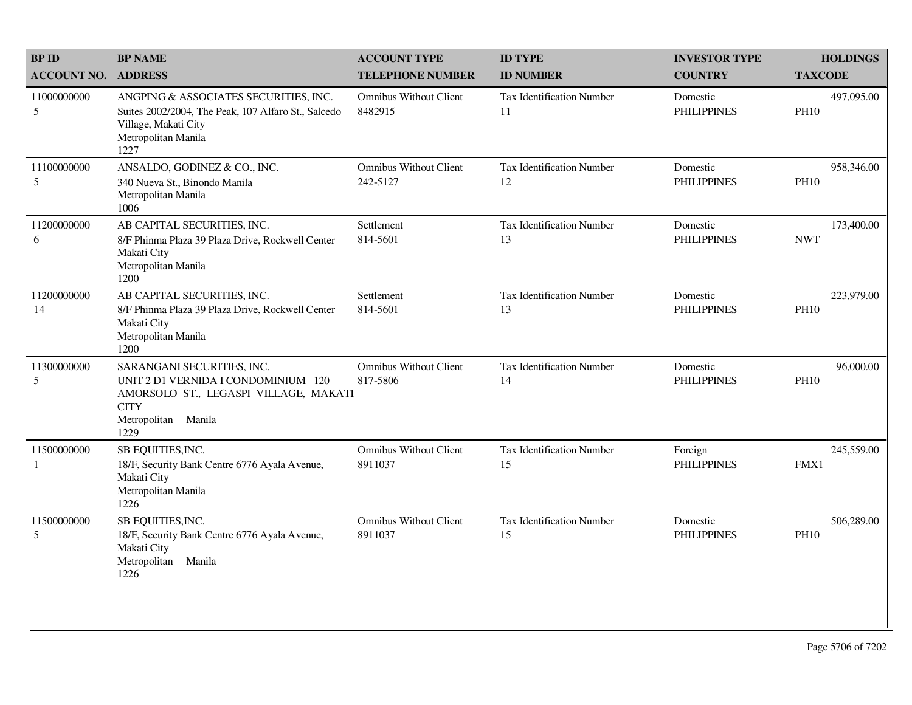| <b>BPID</b>                    | <b>BP NAME</b>                                                                                                                                           | <b>ACCOUNT TYPE</b>                       | <b>ID TYPE</b>                         | <b>INVESTOR TYPE</b>           | <b>HOLDINGS</b>           |
|--------------------------------|----------------------------------------------------------------------------------------------------------------------------------------------------------|-------------------------------------------|----------------------------------------|--------------------------------|---------------------------|
| <b>ACCOUNT NO.</b>             | <b>ADDRESS</b>                                                                                                                                           | <b>TELEPHONE NUMBER</b>                   | <b>ID NUMBER</b>                       | <b>COUNTRY</b>                 | <b>TAXCODE</b>            |
| 11000000000<br>$5\overline{)}$ | ANGPING & ASSOCIATES SECURITIES, INC.<br>Suites 2002/2004, The Peak, 107 Alfaro St., Salcedo<br>Village, Makati City<br>Metropolitan Manila<br>1227      | <b>Omnibus Without Client</b><br>8482915  | <b>Tax Identification Number</b><br>11 | Domestic<br><b>PHILIPPINES</b> | 497,095.00<br><b>PH10</b> |
| 11100000000<br>5               | ANSALDO, GODINEZ & CO., INC.<br>340 Nueva St., Binondo Manila<br>Metropolitan Manila<br>1006                                                             | <b>Omnibus Without Client</b><br>242-5127 | Tax Identification Number<br>12        | Domestic<br><b>PHILIPPINES</b> | 958,346.00<br><b>PH10</b> |
| 11200000000<br>6               | AB CAPITAL SECURITIES, INC.<br>8/F Phinma Plaza 39 Plaza Drive, Rockwell Center<br>Makati City<br>Metropolitan Manila<br>1200                            | Settlement<br>814-5601                    | <b>Tax Identification Number</b><br>13 | Domestic<br><b>PHILIPPINES</b> | 173,400.00<br><b>NWT</b>  |
| 11200000000<br>14              | AB CAPITAL SECURITIES, INC.<br>8/F Phinma Plaza 39 Plaza Drive, Rockwell Center<br>Makati City<br>Metropolitan Manila<br>1200                            | Settlement<br>814-5601                    | <b>Tax Identification Number</b><br>13 | Domestic<br><b>PHILIPPINES</b> | 223,979.00<br><b>PH10</b> |
| 11300000000<br>5               | SARANGANI SECURITIES, INC.<br>UNIT 2 D1 VERNIDA I CONDOMINIUM 120<br>AMORSOLO ST., LEGASPI VILLAGE, MAKATI<br><b>CITY</b><br>Metropolitan Manila<br>1229 | <b>Omnibus Without Client</b><br>817-5806 | Tax Identification Number<br>14        | Domestic<br><b>PHILIPPINES</b> | 96,000.00<br><b>PH10</b>  |
| 11500000000<br>1               | SB EQUITIES, INC.<br>18/F, Security Bank Centre 6776 Ayala Avenue,<br>Makati City<br>Metropolitan Manila<br>1226                                         | <b>Omnibus Without Client</b><br>8911037  | <b>Tax Identification Number</b><br>15 | Foreign<br><b>PHILIPPINES</b>  | 245,559.00<br>FMX1        |
| 11500000000<br>5               | SB EQUITIES, INC.<br>18/F, Security Bank Centre 6776 Ayala Avenue,<br>Makati City<br>Metropolitan Manila<br>1226                                         | <b>Omnibus Without Client</b><br>8911037  | Tax Identification Number<br>15        | Domestic<br><b>PHILIPPINES</b> | 506,289.00<br><b>PH10</b> |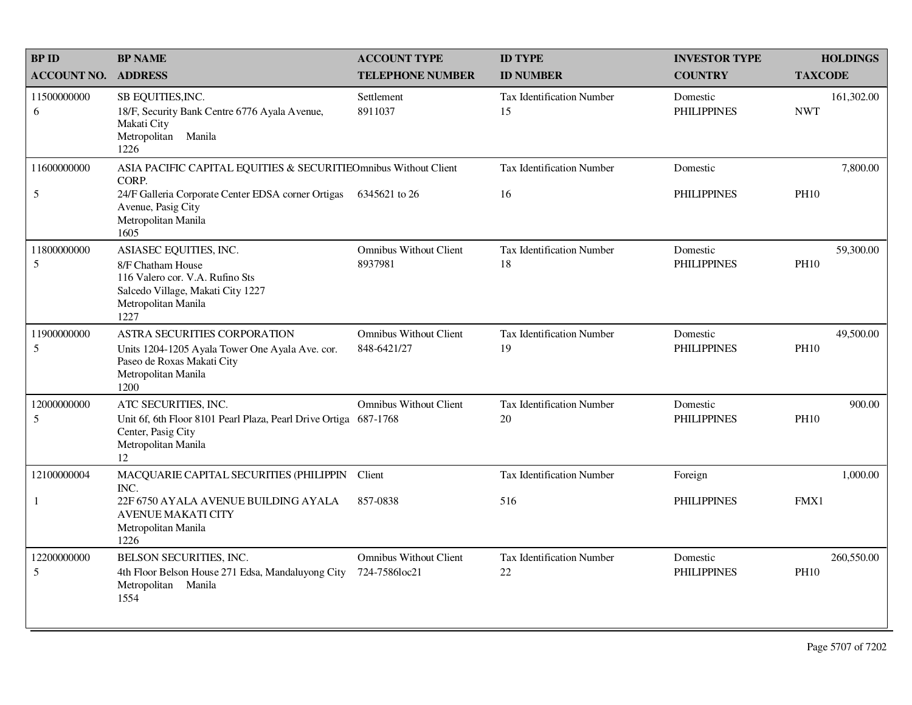| <b>BPID</b>        | <b>BP NAME</b>                                                                                                                                     | <b>ACCOUNT TYPE</b>                            | <b>ID TYPE</b>                         | <b>INVESTOR TYPE</b>           | <b>HOLDINGS</b>           |
|--------------------|----------------------------------------------------------------------------------------------------------------------------------------------------|------------------------------------------------|----------------------------------------|--------------------------------|---------------------------|
| <b>ACCOUNT NO.</b> | <b>ADDRESS</b>                                                                                                                                     | <b>TELEPHONE NUMBER</b>                        | <b>ID NUMBER</b>                       | <b>COUNTRY</b>                 | <b>TAXCODE</b>            |
| 11500000000<br>6   | SB EQUITIES, INC.<br>18/F, Security Bank Centre 6776 Ayala Avenue,<br>Makati City<br>Metropolitan Manila<br>1226                                   | Settlement<br>8911037                          | Tax Identification Number<br>15        | Domestic<br><b>PHILIPPINES</b> | 161,302.00<br><b>NWT</b>  |
| 11600000000        | ASIA PACIFIC CAPITAL EQUITIES & SECURITIEOmnibus Without Client<br>CORP.                                                                           |                                                | <b>Tax Identification Number</b>       | Domestic                       | 7,800.00                  |
| 5                  | 24/F Galleria Corporate Center EDSA corner Ortigas<br>Avenue, Pasig City<br>Metropolitan Manila<br>1605                                            | 6345621 to 26                                  | 16                                     | <b>PHILIPPINES</b>             | <b>PH10</b>               |
| 11800000000<br>5   | ASIASEC EQUITIES, INC.<br>8/F Chatham House<br>116 Valero cor. V.A. Rufino Sts<br>Salcedo Village, Makati City 1227<br>Metropolitan Manila<br>1227 | <b>Omnibus Without Client</b><br>8937981       | <b>Tax Identification Number</b><br>18 | Domestic<br><b>PHILIPPINES</b> | 59,300.00<br><b>PH10</b>  |
| 11900000000<br>5   | ASTRA SECURITIES CORPORATION<br>Units 1204-1205 Ayala Tower One Ayala Ave. cor.<br>Paseo de Roxas Makati City<br>Metropolitan Manila<br>1200       | <b>Omnibus Without Client</b><br>848-6421/27   | <b>Tax Identification Number</b><br>19 | Domestic<br><b>PHILIPPINES</b> | 49,500.00<br><b>PH10</b>  |
| 12000000000<br>5   | ATC SECURITIES, INC.<br>Unit 6f, 6th Floor 8101 Pearl Plaza, Pearl Drive Ortiga 687-1768<br>Center, Pasig City<br>Metropolitan Manila<br>12        | <b>Omnibus Without Client</b>                  | <b>Tax Identification Number</b><br>20 | Domestic<br><b>PHILIPPINES</b> | 900.00<br><b>PH10</b>     |
| 12100000004        | MACQUARIE CAPITAL SECURITIES (PHILIPPIN Client<br>INC.                                                                                             |                                                | Tax Identification Number              | Foreign                        | 1,000.00                  |
| 1                  | 22F 6750 AYALA AVENUE BUILDING AYALA<br><b>AVENUE MAKATI CITY</b><br>Metropolitan Manila<br>1226                                                   | 857-0838                                       | 516                                    | <b>PHILIPPINES</b>             | FMX1                      |
| 12200000000<br>5   | BELSON SECURITIES, INC.<br>4th Floor Belson House 271 Edsa, Mandaluyong City<br>Metropolitan Manila<br>1554                                        | <b>Omnibus Without Client</b><br>724-7586loc21 | Tax Identification Number<br>22        | Domestic<br><b>PHILIPPINES</b> | 260,550.00<br><b>PH10</b> |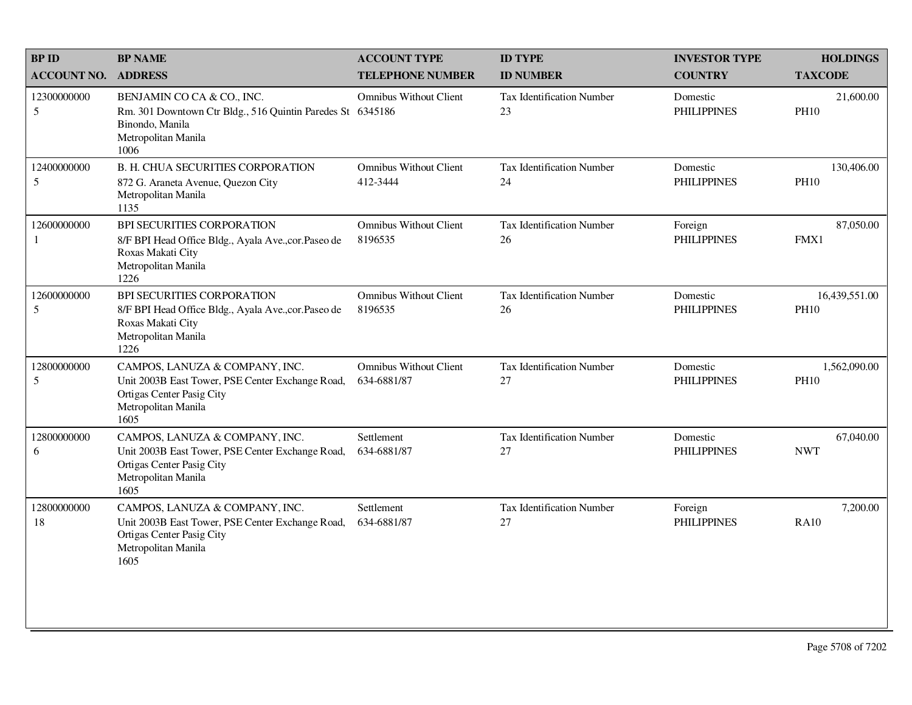| <b>BP ID</b>                   | <b>BP NAME</b>                                                                                                                                 | <b>ACCOUNT TYPE</b>                          | <b>ID TYPE</b>                         | <b>INVESTOR TYPE</b>           | <b>HOLDINGS</b>              |
|--------------------------------|------------------------------------------------------------------------------------------------------------------------------------------------|----------------------------------------------|----------------------------------------|--------------------------------|------------------------------|
| <b>ACCOUNT NO.</b>             | <b>ADDRESS</b>                                                                                                                                 | <b>TELEPHONE NUMBER</b>                      | <b>ID NUMBER</b>                       | <b>COUNTRY</b>                 | <b>TAXCODE</b>               |
| 12300000000<br>$5\overline{)}$ | BENJAMIN CO CA & CO., INC.<br>Rm. 301 Downtown Ctr Bldg., 516 Quintin Paredes St 6345186<br>Binondo, Manila<br>Metropolitan Manila<br>1006     | <b>Omnibus Without Client</b>                | <b>Tax Identification Number</b><br>23 | Domestic<br><b>PHILIPPINES</b> | 21,600.00<br><b>PH10</b>     |
| 12400000000<br>5               | <b>B. H. CHUA SECURITIES CORPORATION</b><br>872 G. Araneta Avenue, Quezon City<br>Metropolitan Manila<br>1135                                  | <b>Omnibus Without Client</b><br>412-3444    | Tax Identification Number<br>24        | Domestic<br><b>PHILIPPINES</b> | 130,406.00<br><b>PH10</b>    |
| 12600000000<br>-1              | BPI SECURITIES CORPORATION<br>8/F BPI Head Office Bldg., Ayala Ave., cor. Paseo de<br>Roxas Makati City<br>Metropolitan Manila<br>1226         | <b>Omnibus Without Client</b><br>8196535     | <b>Tax Identification Number</b><br>26 | Foreign<br><b>PHILIPPINES</b>  | 87,050.00<br>FMX1            |
| 12600000000<br>5               | BPI SECURITIES CORPORATION<br>8/F BPI Head Office Bldg., Ayala Ave., cor. Paseo de<br>Roxas Makati City<br>Metropolitan Manila<br>1226         | <b>Omnibus Without Client</b><br>8196535     | <b>Tax Identification Number</b><br>26 | Domestic<br><b>PHILIPPINES</b> | 16,439,551.00<br><b>PH10</b> |
| 12800000000<br>5               | CAMPOS, LANUZA & COMPANY, INC.<br>Unit 2003B East Tower, PSE Center Exchange Road,<br>Ortigas Center Pasig City<br>Metropolitan Manila<br>1605 | <b>Omnibus Without Client</b><br>634-6881/87 | <b>Tax Identification Number</b><br>27 | Domestic<br><b>PHILIPPINES</b> | 1,562,090.00<br><b>PH10</b>  |
| 12800000000<br>6               | CAMPOS, LANUZA & COMPANY, INC.<br>Unit 2003B East Tower, PSE Center Exchange Road,<br>Ortigas Center Pasig City<br>Metropolitan Manila<br>1605 | Settlement<br>634-6881/87                    | <b>Tax Identification Number</b><br>27 | Domestic<br><b>PHILIPPINES</b> | 67,040.00<br><b>NWT</b>      |
| 12800000000<br>18              | CAMPOS, LANUZA & COMPANY, INC.<br>Unit 2003B East Tower, PSE Center Exchange Road,<br>Ortigas Center Pasig City<br>Metropolitan Manila<br>1605 | Settlement<br>634-6881/87                    | Tax Identification Number<br>27        | Foreign<br><b>PHILIPPINES</b>  | 7,200.00<br><b>RA10</b>      |
|                                |                                                                                                                                                |                                              |                                        |                                |                              |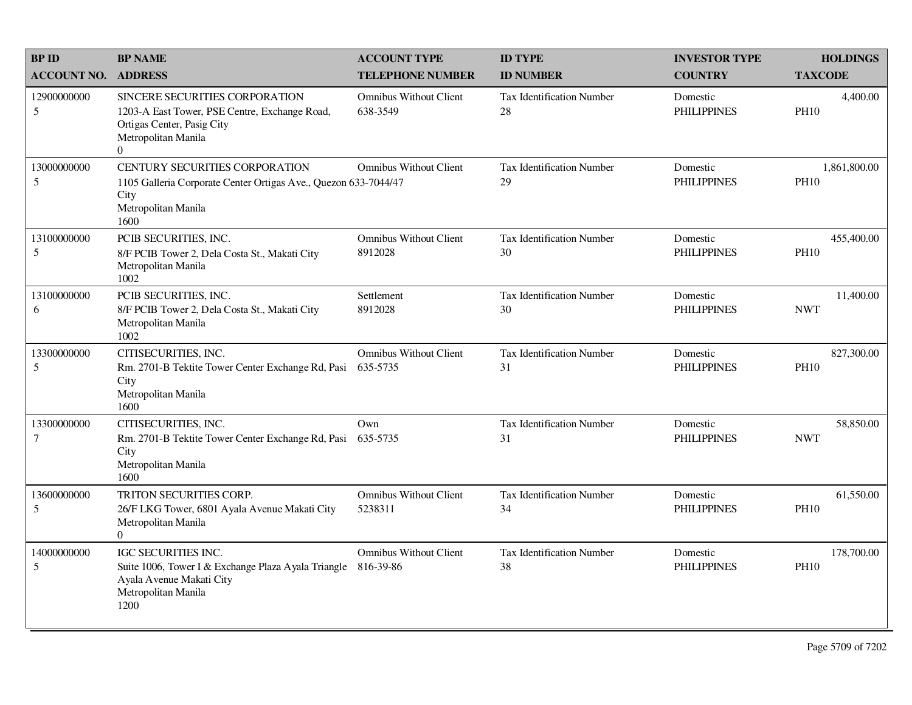| <b>BPID</b>                   | <b>BP NAME</b>                                                                                                                                         | <b>ACCOUNT TYPE</b>                       | <b>ID TYPE</b>                         | <b>INVESTOR TYPE</b>           | <b>HOLDINGS</b>             |
|-------------------------------|--------------------------------------------------------------------------------------------------------------------------------------------------------|-------------------------------------------|----------------------------------------|--------------------------------|-----------------------------|
| <b>ACCOUNT NO.</b>            | <b>ADDRESS</b>                                                                                                                                         | <b>TELEPHONE NUMBER</b>                   | <b>ID NUMBER</b>                       | <b>COUNTRY</b>                 | <b>TAXCODE</b>              |
| 12900000000<br>5              | SINCERE SECURITIES CORPORATION<br>1203-A East Tower, PSE Centre, Exchange Road,<br>Ortigas Center, Pasig City<br>Metropolitan Manila<br>$\overline{0}$ | <b>Omnibus Without Client</b><br>638-3549 | <b>Tax Identification Number</b><br>28 | Domestic<br><b>PHILIPPINES</b> | 4,400.00<br><b>PH10</b>     |
| 13000000000<br>5              | CENTURY SECURITIES CORPORATION<br>1105 Galleria Corporate Center Ortigas Ave., Quezon 633-7044/47<br>City<br>Metropolitan Manila<br>1600               | <b>Omnibus Without Client</b>             | <b>Tax Identification Number</b><br>29 | Domestic<br><b>PHILIPPINES</b> | 1,861,800.00<br><b>PH10</b> |
| 13100000000<br>5              | PCIB SECURITIES, INC.<br>8/F PCIB Tower 2, Dela Costa St., Makati City<br>Metropolitan Manila<br>1002                                                  | <b>Omnibus Without Client</b><br>8912028  | <b>Tax Identification Number</b><br>30 | Domestic<br><b>PHILIPPINES</b> | 455,400.00<br><b>PH10</b>   |
| 13100000000<br>6              | PCIB SECURITIES, INC.<br>8/F PCIB Tower 2, Dela Costa St., Makati City<br>Metropolitan Manila<br>1002                                                  | Settlement<br>8912028                     | Tax Identification Number<br>30        | Domestic<br><b>PHILIPPINES</b> | 11,400.00<br><b>NWT</b>     |
| 13300000000<br>5              | CITISECURITIES, INC.<br>Rm. 2701-B Tektite Tower Center Exchange Rd, Pasi<br>City<br>Metropolitan Manila<br>1600                                       | <b>Omnibus Without Client</b><br>635-5735 | <b>Tax Identification Number</b><br>31 | Domestic<br><b>PHILIPPINES</b> | 827,300.00<br><b>PH10</b>   |
| 13300000000<br>$\overline{7}$ | CITISECURITIES, INC.<br>Rm. 2701-B Tektite Tower Center Exchange Rd, Pasi<br>City<br>Metropolitan Manila<br>1600                                       | Own<br>635-5735                           | <b>Tax Identification Number</b><br>31 | Domestic<br><b>PHILIPPINES</b> | 58,850.00<br><b>NWT</b>     |
| 13600000000<br>5              | TRITON SECURITIES CORP.<br>26/F LKG Tower, 6801 Ayala Avenue Makati City<br>Metropolitan Manila<br>$\Omega$                                            | <b>Omnibus Without Client</b><br>5238311  | <b>Tax Identification Number</b><br>34 | Domestic<br><b>PHILIPPINES</b> | 61,550.00<br><b>PH10</b>    |
| 14000000000<br>5              | IGC SECURITIES INC.<br>Suite 1006, Tower I & Exchange Plaza Ayala Triangle 816-39-86<br>Ayala Avenue Makati City<br>Metropolitan Manila<br>1200        | <b>Omnibus Without Client</b>             | <b>Tax Identification Number</b><br>38 | Domestic<br><b>PHILIPPINES</b> | 178,700.00<br><b>PH10</b>   |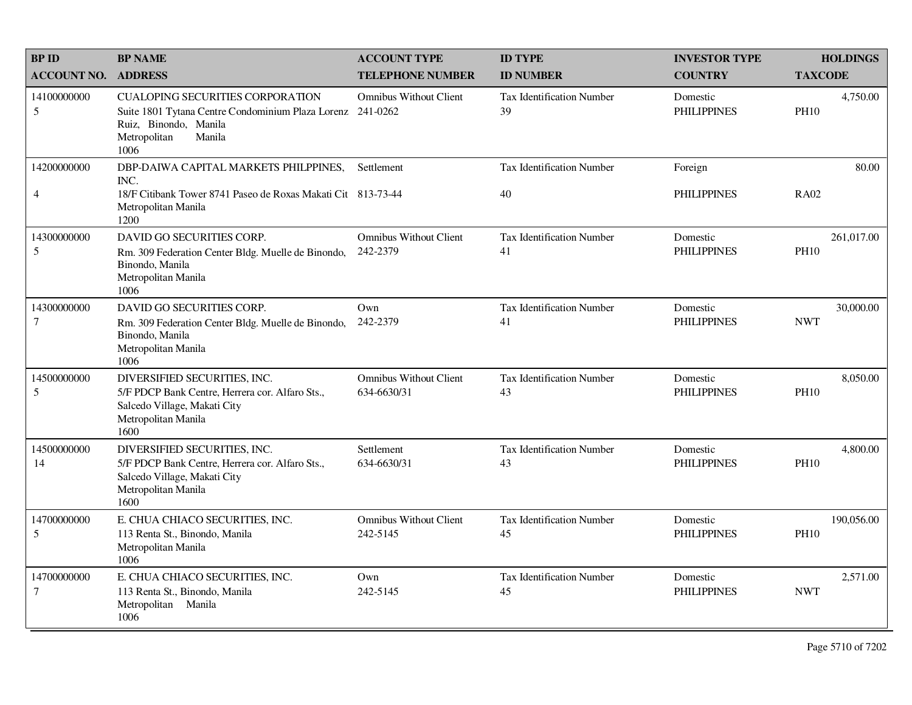| <b>BPID</b>                    | <b>BP NAME</b>                                                                                                                                                   | <b>ACCOUNT TYPE</b>                          | <b>ID TYPE</b>                         | <b>INVESTOR TYPE</b>           | <b>HOLDINGS</b>           |
|--------------------------------|------------------------------------------------------------------------------------------------------------------------------------------------------------------|----------------------------------------------|----------------------------------------|--------------------------------|---------------------------|
| <b>ACCOUNT NO.</b>             | <b>ADDRESS</b>                                                                                                                                                   | <b>TELEPHONE NUMBER</b>                      | <b>ID NUMBER</b>                       | <b>COUNTRY</b>                 | <b>TAXCODE</b>            |
| 14100000000<br>5               | <b>CUALOPING SECURITIES CORPORATION</b><br>Suite 1801 Tytana Centre Condominium Plaza Lorenz 241-0262<br>Ruiz, Binondo, Manila<br>Metropolitan<br>Manila<br>1006 | <b>Omnibus Without Client</b>                | Tax Identification Number<br>39        | Domestic<br><b>PHILIPPINES</b> | 4,750.00<br><b>PH10</b>   |
| 14200000000<br>$\overline{4}$  | DBP-DAIWA CAPITAL MARKETS PHILPPINES,<br>INC.<br>18/F Citibank Tower 8741 Paseo de Roxas Makati Cit 813-73-44<br>Metropolitan Manila<br>1200                     | Settlement                                   | Tax Identification Number<br>40        | Foreign<br><b>PHILIPPINES</b>  | 80.00<br><b>RA02</b>      |
| 14300000000<br>5               | DAVID GO SECURITIES CORP.<br>Rm. 309 Federation Center Bldg. Muelle de Binondo,<br>Binondo, Manila<br>Metropolitan Manila<br>1006                                | <b>Omnibus Without Client</b><br>242-2379    | Tax Identification Number<br>41        | Domestic<br><b>PHILIPPINES</b> | 261,017.00<br><b>PH10</b> |
| 14300000000<br>7               | DAVID GO SECURITIES CORP.<br>Rm. 309 Federation Center Bldg. Muelle de Binondo,<br>Binondo, Manila<br>Metropolitan Manila<br>1006                                | Own<br>242-2379                              | <b>Tax Identification Number</b><br>41 | Domestic<br><b>PHILIPPINES</b> | 30,000.00<br><b>NWT</b>   |
| 14500000000<br>5               | DIVERSIFIED SECURITIES, INC.<br>5/F PDCP Bank Centre, Herrera cor. Alfaro Sts.,<br>Salcedo Village, Makati City<br>Metropolitan Manila<br>1600                   | <b>Omnibus Without Client</b><br>634-6630/31 | <b>Tax Identification Number</b><br>43 | Domestic<br><b>PHILIPPINES</b> | 8,050.00<br><b>PH10</b>   |
| 14500000000<br>14              | DIVERSIFIED SECURITIES, INC.<br>5/F PDCP Bank Centre, Herrera cor. Alfaro Sts.,<br>Salcedo Village, Makati City<br>Metropolitan Manila<br>1600                   | Settlement<br>634-6630/31                    | Tax Identification Number<br>43        | Domestic<br><b>PHILIPPINES</b> | 4,800.00<br><b>PH10</b>   |
| 14700000000<br>5               | E. CHUA CHIACO SECURITIES, INC.<br>113 Renta St., Binondo, Manila<br>Metropolitan Manila<br>1006                                                                 | <b>Omnibus Without Client</b><br>242-5145    | <b>Tax Identification Number</b><br>45 | Domestic<br><b>PHILIPPINES</b> | 190,056.00<br><b>PH10</b> |
| 14700000000<br>$7\phantom{.0}$ | E. CHUA CHIACO SECURITIES, INC.<br>113 Renta St., Binondo, Manila<br>Metropolitan Manila<br>1006                                                                 | Own<br>242-5145                              | <b>Tax Identification Number</b><br>45 | Domestic<br><b>PHILIPPINES</b> | 2,571.00<br><b>NWT</b>    |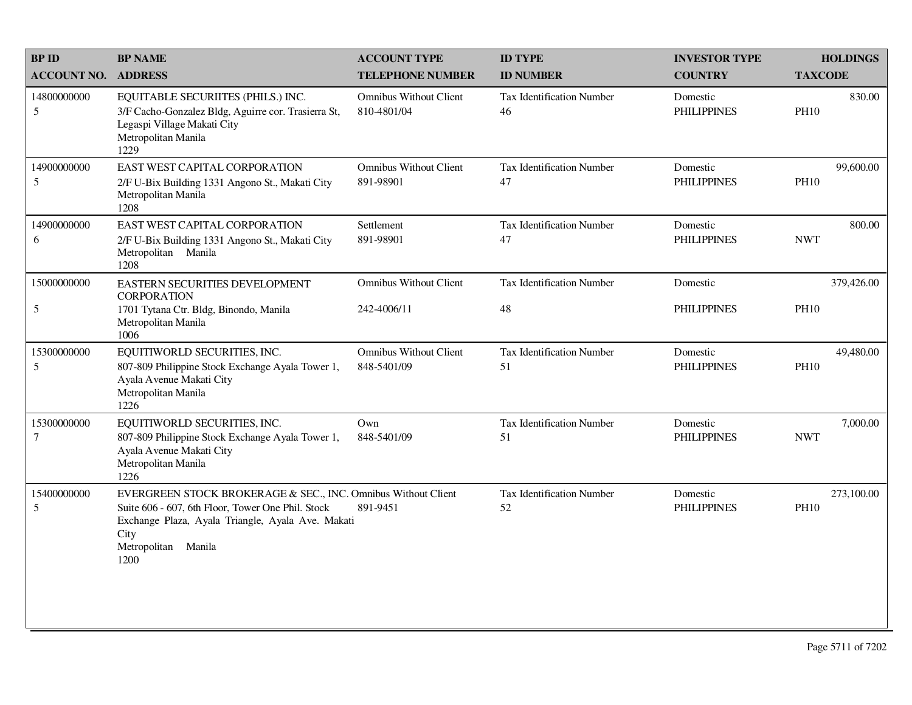| <b>BP ID</b>          | <b>BP NAME</b>                                                                                                                                                                                                 | <b>ACCOUNT TYPE</b>                          | <b>ID TYPE</b>                         | <b>INVESTOR TYPE</b>           | <b>HOLDINGS</b>           |
|-----------------------|----------------------------------------------------------------------------------------------------------------------------------------------------------------------------------------------------------------|----------------------------------------------|----------------------------------------|--------------------------------|---------------------------|
| <b>ACCOUNT NO.</b>    | <b>ADDRESS</b>                                                                                                                                                                                                 | <b>TELEPHONE NUMBER</b>                      | <b>ID NUMBER</b>                       | <b>COUNTRY</b>                 | <b>TAXCODE</b>            |
| 14800000000<br>5      | EQUITABLE SECURIITES (PHILS.) INC.<br>3/F Cacho-Gonzalez Bldg, Aguirre cor. Trasierra St,<br>Legaspi Village Makati City<br>Metropolitan Manila<br>1229                                                        | <b>Omnibus Without Client</b><br>810-4801/04 | <b>Tax Identification Number</b><br>46 | Domestic<br><b>PHILIPPINES</b> | 830.00<br><b>PH10</b>     |
| 14900000000<br>5      | EAST WEST CAPITAL CORPORATION<br>2/F U-Bix Building 1331 Angono St., Makati City<br>Metropolitan Manila<br>1208                                                                                                | <b>Omnibus Without Client</b><br>891-98901   | Tax Identification Number<br>47        | Domestic<br><b>PHILIPPINES</b> | 99,600.00<br><b>PH10</b>  |
| 14900000000<br>6      | EAST WEST CAPITAL CORPORATION<br>2/F U-Bix Building 1331 Angono St., Makati City<br>Metropolitan Manila<br>1208                                                                                                | Settlement<br>891-98901                      | <b>Tax Identification Number</b><br>47 | Domestic<br><b>PHILIPPINES</b> | 800.00<br><b>NWT</b>      |
| 15000000000           | EASTERN SECURITIES DEVELOPMENT<br><b>CORPORATION</b>                                                                                                                                                           | <b>Omnibus Without Client</b>                | Tax Identification Number              | Domestic                       | 379,426.00                |
| $\sqrt{5}$            | 1701 Tytana Ctr. Bldg, Binondo, Manila<br>Metropolitan Manila<br>1006                                                                                                                                          | 242-4006/11                                  | 48                                     | <b>PHILIPPINES</b>             | <b>PH10</b>               |
| 15300000000<br>5      | EQUITIWORLD SECURITIES, INC.<br>807-809 Philippine Stock Exchange Ayala Tower 1,<br>Ayala Avenue Makati City<br>Metropolitan Manila<br>1226                                                                    | <b>Omnibus Without Client</b><br>848-5401/09 | Tax Identification Number<br>51        | Domestic<br><b>PHILIPPINES</b> | 49,480.00<br><b>PH10</b>  |
| 15300000000<br>$\tau$ | EQUITIWORLD SECURITIES, INC.<br>807-809 Philippine Stock Exchange Ayala Tower 1,<br>Ayala Avenue Makati City<br>Metropolitan Manila<br>1226                                                                    | Own<br>848-5401/09                           | Tax Identification Number<br>51        | Domestic<br><b>PHILIPPINES</b> | 7,000.00<br><b>NWT</b>    |
| 15400000000<br>5      | EVERGREEN STOCK BROKERAGE & SEC., INC. Omnibus Without Client<br>Suite 606 - 607, 6th Floor, Tower One Phil. Stock<br>Exchange Plaza, Ayala Triangle, Ayala Ave. Makati<br>City<br>Metropolitan Manila<br>1200 | 891-9451                                     | <b>Tax Identification Number</b><br>52 | Domestic<br><b>PHILIPPINES</b> | 273,100.00<br><b>PH10</b> |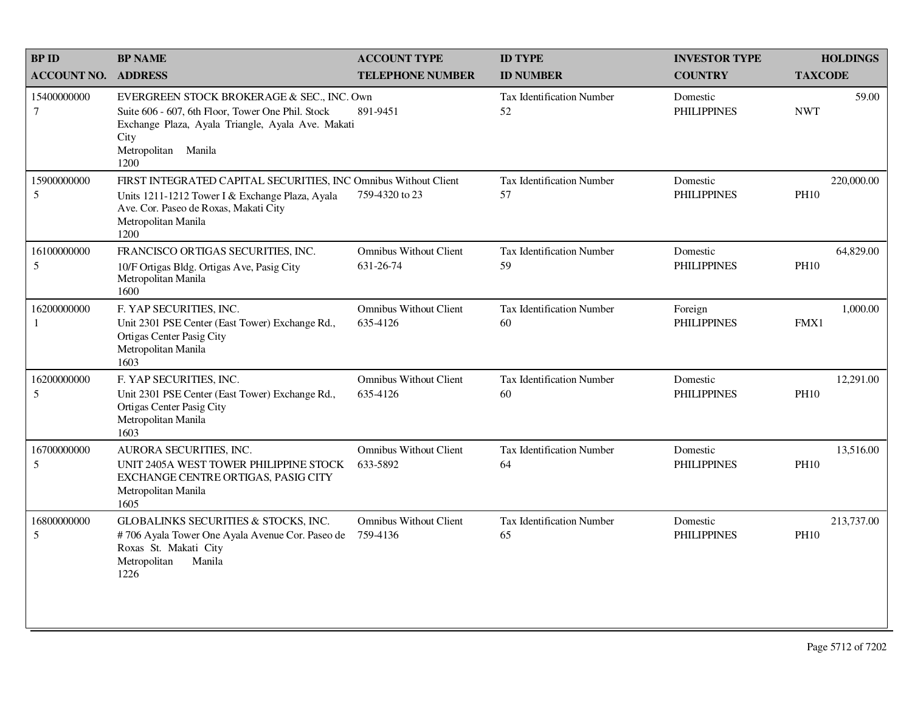| <b>BPID</b>           | <b>BP NAME</b>                                                                                                                                                                              | <b>ACCOUNT TYPE</b>                        | <b>ID TYPE</b>                         | <b>INVESTOR TYPE</b>           | <b>HOLDINGS</b>           |
|-----------------------|---------------------------------------------------------------------------------------------------------------------------------------------------------------------------------------------|--------------------------------------------|----------------------------------------|--------------------------------|---------------------------|
| <b>ACCOUNT NO.</b>    | <b>ADDRESS</b>                                                                                                                                                                              | <b>TELEPHONE NUMBER</b>                    | <b>ID NUMBER</b>                       | <b>COUNTRY</b>                 | <b>TAXCODE</b>            |
| 15400000000<br>$\tau$ | EVERGREEN STOCK BROKERAGE & SEC., INC. Own<br>Suite 606 - 607, 6th Floor, Tower One Phil. Stock<br>Exchange Plaza, Ayala Triangle, Ayala Ave. Makati<br>City<br>Metropolitan Manila<br>1200 | 891-9451                                   | Tax Identification Number<br>52        | Domestic<br><b>PHILIPPINES</b> | 59.00<br><b>NWT</b>       |
| 15900000000<br>5      | FIRST INTEGRATED CAPITAL SECURITIES, INC Omnibus Without Client<br>Units 1211-1212 Tower I & Exchange Plaza, Ayala<br>Ave. Cor. Paseo de Roxas, Makati City<br>Metropolitan Manila<br>1200  | 759-4320 to 23                             | <b>Tax Identification Number</b><br>57 | Domestic<br><b>PHILIPPINES</b> | 220,000.00<br><b>PH10</b> |
| 16100000000<br>5      | FRANCISCO ORTIGAS SECURITIES, INC.<br>10/F Ortigas Bldg. Ortigas Ave, Pasig City<br>Metropolitan Manila<br>1600                                                                             | <b>Omnibus Without Client</b><br>631-26-74 | Tax Identification Number<br>59        | Domestic<br><b>PHILIPPINES</b> | 64,829.00<br><b>PH10</b>  |
| 16200000000<br>1      | F. YAP SECURITIES, INC.<br>Unit 2301 PSE Center (East Tower) Exchange Rd.,<br>Ortigas Center Pasig City<br>Metropolitan Manila<br>1603                                                      | <b>Omnibus Without Client</b><br>635-4126  | <b>Tax Identification Number</b><br>60 | Foreign<br><b>PHILIPPINES</b>  | 1,000.00<br>FMX1          |
| 16200000000<br>5      | F. YAP SECURITIES, INC.<br>Unit 2301 PSE Center (East Tower) Exchange Rd.,<br>Ortigas Center Pasig City<br>Metropolitan Manila<br>1603                                                      | <b>Omnibus Without Client</b><br>635-4126  | Tax Identification Number<br>60        | Domestic<br><b>PHILIPPINES</b> | 12,291.00<br><b>PH10</b>  |
| 16700000000<br>5      | AURORA SECURITIES, INC.<br>UNIT 2405A WEST TOWER PHILIPPINE STOCK<br>EXCHANGE CENTRE ORTIGAS, PASIG CITY<br>Metropolitan Manila<br>1605                                                     | <b>Omnibus Without Client</b><br>633-5892  | <b>Tax Identification Number</b><br>64 | Domestic<br><b>PHILIPPINES</b> | 13.516.00<br><b>PH10</b>  |
| 16800000000<br>5      | GLOBALINKS SECURITIES & STOCKS, INC.<br>#706 Ayala Tower One Ayala Avenue Cor. Paseo de<br>Roxas St. Makati City<br>Manila<br>Metropolitan<br>1226                                          | <b>Omnibus Without Client</b><br>759-4136  | <b>Tax Identification Number</b><br>65 | Domestic<br><b>PHILIPPINES</b> | 213,737.00<br><b>PH10</b> |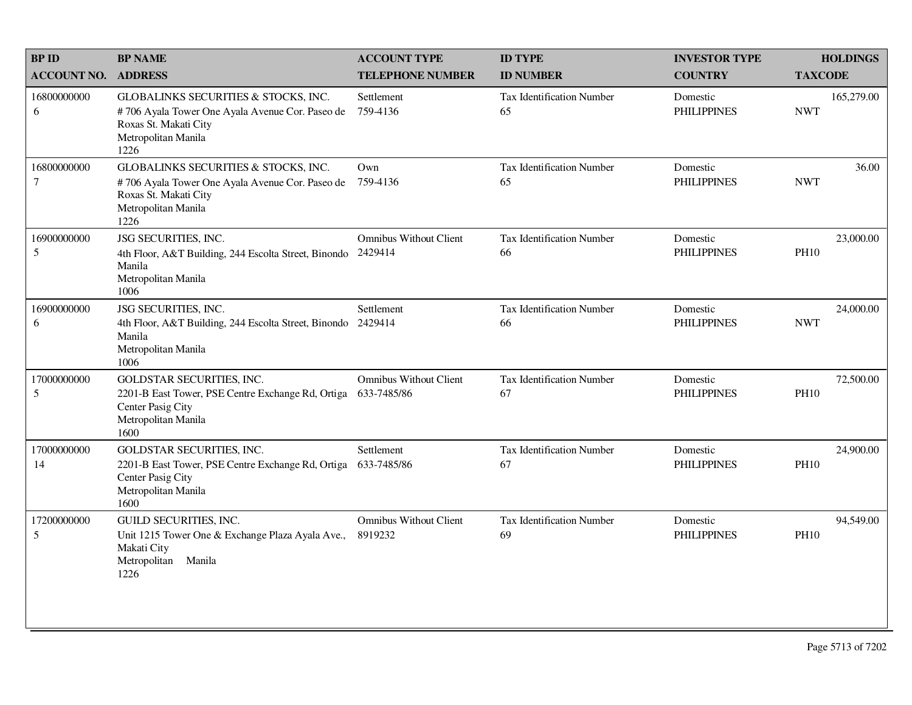| <b>BPID</b>        | <b>BP NAME</b>                                                                                                                                  | <b>ACCOUNT TYPE</b>                          | <b>ID TYPE</b>                         | <b>INVESTOR TYPE</b>           | <b>HOLDINGS</b>          |       |
|--------------------|-------------------------------------------------------------------------------------------------------------------------------------------------|----------------------------------------------|----------------------------------------|--------------------------------|--------------------------|-------|
| <b>ACCOUNT NO.</b> | <b>ADDRESS</b>                                                                                                                                  | <b>TELEPHONE NUMBER</b>                      | <b>ID NUMBER</b>                       | <b>COUNTRY</b>                 | <b>TAXCODE</b>           |       |
| 16800000000<br>6   | GLOBALINKS SECURITIES & STOCKS, INC.<br>#706 Ayala Tower One Ayala Avenue Cor. Paseo de<br>Roxas St. Makati City<br>Metropolitan Manila<br>1226 | Settlement<br>759-4136                       | Tax Identification Number<br>65        | Domestic<br><b>PHILIPPINES</b> | 165,279.00<br><b>NWT</b> |       |
| 16800000000<br>7   | GLOBALINKS SECURITIES & STOCKS, INC.<br>#706 Ayala Tower One Ayala Avenue Cor. Paseo de<br>Roxas St. Makati City<br>Metropolitan Manila<br>1226 | Own<br>759-4136                              | Tax Identification Number<br>65        | Domestic<br><b>PHILIPPINES</b> | <b>NWT</b>               | 36.00 |
| 16900000000<br>5   | JSG SECURITIES, INC.<br>4th Floor, A&T Building, 244 Escolta Street, Binondo<br>Manila<br>Metropolitan Manila<br>1006                           | <b>Omnibus Without Client</b><br>2429414     | Tax Identification Number<br>66        | Domestic<br><b>PHILIPPINES</b> | 23,000.00<br><b>PH10</b> |       |
| 16900000000<br>6   | JSG SECURITIES, INC.<br>4th Floor, A&T Building, 244 Escolta Street, Binondo<br>Manila<br>Metropolitan Manila<br>1006                           | Settlement<br>2429414                        | <b>Tax Identification Number</b><br>66 | Domestic<br><b>PHILIPPINES</b> | 24,000.00<br><b>NWT</b>  |       |
| 17000000000<br>5   | GOLDSTAR SECURITIES, INC.<br>2201-B East Tower, PSE Centre Exchange Rd, Ortiga<br>Center Pasig City<br>Metropolitan Manila<br>1600              | <b>Omnibus Without Client</b><br>633-7485/86 | Tax Identification Number<br>67        | Domestic<br><b>PHILIPPINES</b> | 72,500.00<br><b>PH10</b> |       |
| 17000000000<br>14  | GOLDSTAR SECURITIES, INC.<br>2201-B East Tower, PSE Centre Exchange Rd, Ortiga<br>Center Pasig City<br>Metropolitan Manila<br>1600              | Settlement<br>633-7485/86                    | Tax Identification Number<br>67        | Domestic<br><b>PHILIPPINES</b> | 24,900.00<br><b>PH10</b> |       |
| 17200000000<br>5   | <b>GUILD SECURITIES, INC.</b><br>Unit 1215 Tower One & Exchange Plaza Ayala Ave.,<br>Makati City<br>Metropolitan<br>Manila<br>1226              | <b>Omnibus Without Client</b><br>8919232     | Tax Identification Number<br>69        | Domestic<br><b>PHILIPPINES</b> | 94,549.00<br><b>PH10</b> |       |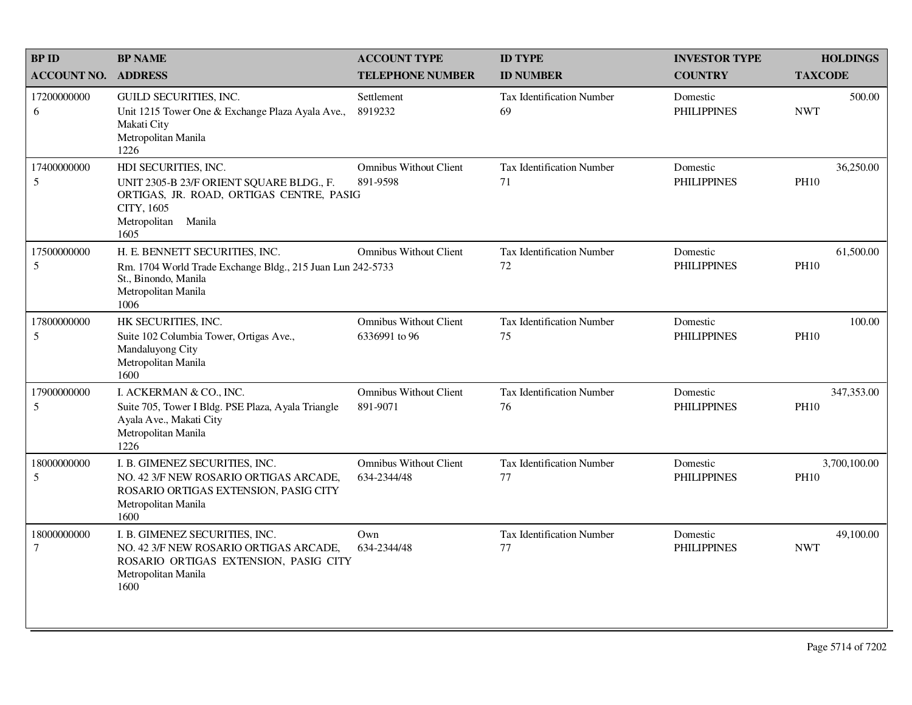| <b>BPID</b>        | <b>BP NAME</b>                                                                                                                                               | <b>ACCOUNT TYPE</b>                            | <b>ID TYPE</b>                         | <b>INVESTOR TYPE</b>           | <b>HOLDINGS</b>             |
|--------------------|--------------------------------------------------------------------------------------------------------------------------------------------------------------|------------------------------------------------|----------------------------------------|--------------------------------|-----------------------------|
| <b>ACCOUNT NO.</b> | <b>ADDRESS</b>                                                                                                                                               | <b>TELEPHONE NUMBER</b>                        | <b>ID NUMBER</b>                       | <b>COUNTRY</b>                 | <b>TAXCODE</b>              |
| 17200000000<br>6   | <b>GUILD SECURITIES, INC.</b><br>Unit 1215 Tower One & Exchange Plaza Ayala Ave.,<br>Makati City<br>Metropolitan Manila<br>1226                              | Settlement<br>8919232                          | <b>Tax Identification Number</b><br>69 | Domestic<br><b>PHILIPPINES</b> | 500.00<br><b>NWT</b>        |
| 17400000000<br>5   | HDI SECURITIES, INC.<br>UNIT 2305-B 23/F ORIENT SQUARE BLDG., F.<br>ORTIGAS, JR. ROAD, ORTIGAS CENTRE, PASIG<br>CITY, 1605<br>Metropolitan<br>Manila<br>1605 | <b>Omnibus Without Client</b><br>891-9598      | Tax Identification Number<br>71        | Domestic<br><b>PHILIPPINES</b> | 36,250.00<br><b>PH10</b>    |
| 17500000000<br>5   | H. E. BENNETT SECURITIES, INC.<br>Rm. 1704 World Trade Exchange Bldg., 215 Juan Lun 242-5733<br>St., Binondo, Manila<br>Metropolitan Manila<br>1006          | <b>Omnibus Without Client</b>                  | Tax Identification Number<br>72        | Domestic<br><b>PHILIPPINES</b> | 61,500.00<br><b>PH10</b>    |
| 17800000000<br>5   | HK SECURITIES, INC.<br>Suite 102 Columbia Tower, Ortigas Ave.,<br>Mandaluyong City<br>Metropolitan Manila<br>1600                                            | <b>Omnibus Without Client</b><br>6336991 to 96 | Tax Identification Number<br>75        | Domestic<br><b>PHILIPPINES</b> | 100.00<br><b>PH10</b>       |
| 17900000000<br>5   | I. ACKERMAN & CO., INC.<br>Suite 705, Tower I Bldg. PSE Plaza, Ayala Triangle<br>Ayala Ave., Makati City<br>Metropolitan Manila<br>1226                      | <b>Omnibus Without Client</b><br>891-9071      | <b>Tax Identification Number</b><br>76 | Domestic<br><b>PHILIPPINES</b> | 347,353.00<br><b>PH10</b>   |
| 18000000000<br>5   | I. B. GIMENEZ SECURITIES, INC.<br>NO. 42 3/F NEW ROSARIO ORTIGAS ARCADE,<br>ROSARIO ORTIGAS EXTENSION, PASIG CITY<br>Metropolitan Manila<br>1600             | <b>Omnibus Without Client</b><br>634-2344/48   | Tax Identification Number<br>77        | Domestic<br><b>PHILIPPINES</b> | 3,700,100.00<br><b>PH10</b> |
| 18000000000<br>7   | I. B. GIMENEZ SECURITIES, INC.<br>NO. 42 3/F NEW ROSARIO ORTIGAS ARCADE,<br>ROSARIO ORTIGAS EXTENSION, PASIG CITY<br>Metropolitan Manila<br>1600             | Own<br>634-2344/48                             | Tax Identification Number<br>77        | Domestic<br><b>PHILIPPINES</b> | 49,100.00<br><b>NWT</b>     |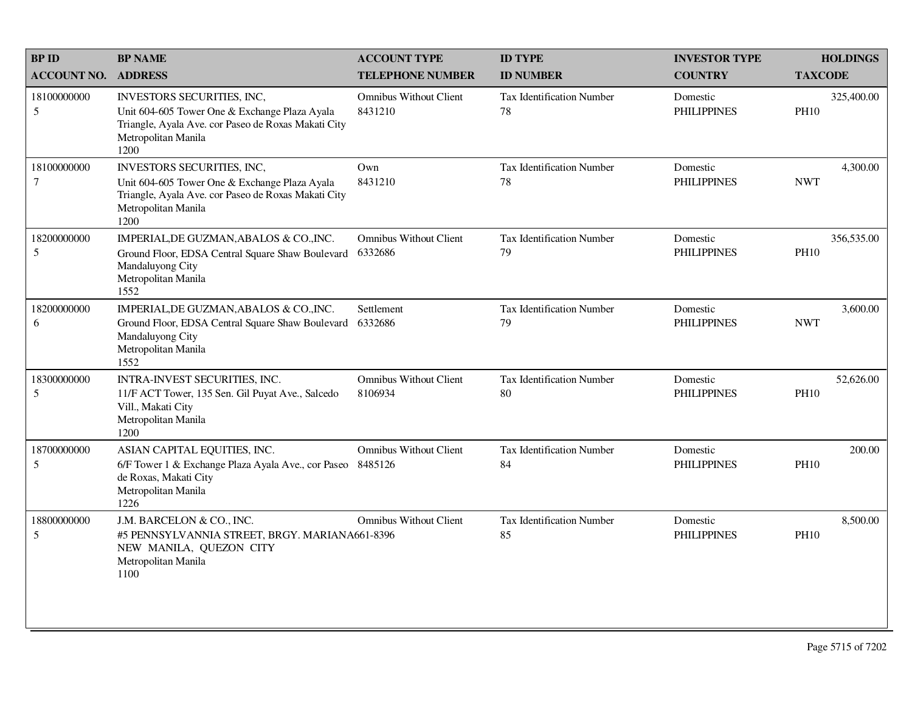| <b>BP ID</b>          | <b>BP NAME</b>                                                                                                                                                    | <b>ACCOUNT TYPE</b>                      | <b>ID TYPE</b>                         | <b>INVESTOR TYPE</b>           | <b>HOLDINGS</b>           |
|-----------------------|-------------------------------------------------------------------------------------------------------------------------------------------------------------------|------------------------------------------|----------------------------------------|--------------------------------|---------------------------|
| <b>ACCOUNT NO.</b>    | <b>ADDRESS</b>                                                                                                                                                    | <b>TELEPHONE NUMBER</b>                  | <b>ID NUMBER</b>                       | <b>COUNTRY</b>                 | <b>TAXCODE</b>            |
| 18100000000<br>5      | INVESTORS SECURITIES, INC,<br>Unit 604-605 Tower One & Exchange Plaza Ayala<br>Triangle, Ayala Ave. cor Paseo de Roxas Makati City<br>Metropolitan Manila<br>1200 | <b>Omnibus Without Client</b><br>8431210 | Tax Identification Number<br>78        | Domestic<br><b>PHILIPPINES</b> | 325,400.00<br><b>PH10</b> |
| 18100000000<br>$\tau$ | INVESTORS SECURITIES, INC,<br>Unit 604-605 Tower One & Exchange Plaza Ayala<br>Triangle, Ayala Ave. cor Paseo de Roxas Makati City<br>Metropolitan Manila<br>1200 | Own<br>8431210                           | Tax Identification Number<br>78        | Domestic<br><b>PHILIPPINES</b> | 4,300.00<br><b>NWT</b>    |
| 18200000000<br>5      | IMPERIAL, DE GUZMAN, ABALOS & CO., INC.<br>Ground Floor, EDSA Central Square Shaw Boulevard<br>Mandaluyong City<br>Metropolitan Manila<br>1552                    | <b>Omnibus Without Client</b><br>6332686 | <b>Tax Identification Number</b><br>79 | Domestic<br><b>PHILIPPINES</b> | 356,535.00<br><b>PH10</b> |
| 18200000000<br>6      | IMPERIAL, DE GUZMAN, ABALOS & CO., INC.<br>Ground Floor, EDSA Central Square Shaw Boulevard<br>Mandaluyong City<br>Metropolitan Manila<br>1552                    | Settlement<br>6332686                    | Tax Identification Number<br>79        | Domestic<br><b>PHILIPPINES</b> | 3,600.00<br><b>NWT</b>    |
| 18300000000<br>5      | INTRA-INVEST SECURITIES, INC.<br>11/F ACT Tower, 135 Sen. Gil Puyat Ave., Salcedo<br>Vill., Makati City<br>Metropolitan Manila<br>1200                            | <b>Omnibus Without Client</b><br>8106934 | Tax Identification Number<br>80        | Domestic<br><b>PHILIPPINES</b> | 52,626.00<br><b>PH10</b>  |
| 18700000000<br>5      | ASIAN CAPITAL EQUITIES, INC.<br>6/F Tower 1 & Exchange Plaza Ayala Ave., cor Paseo 8485126<br>de Roxas, Makati City<br>Metropolitan Manila<br>1226                | <b>Omnibus Without Client</b>            | <b>Tax Identification Number</b><br>84 | Domestic<br><b>PHILIPPINES</b> | 200.00<br><b>PH10</b>     |
| 18800000000<br>5      | J.M. BARCELON & CO., INC.<br>#5 PENNSYLVANNIA STREET, BRGY. MARIANA661-8396<br>NEW MANILA, QUEZON CITY<br>Metropolitan Manila<br>1100                             | <b>Omnibus Without Client</b>            | Tax Identification Number<br>85        | Domestic<br><b>PHILIPPINES</b> | 8,500.00<br><b>PH10</b>   |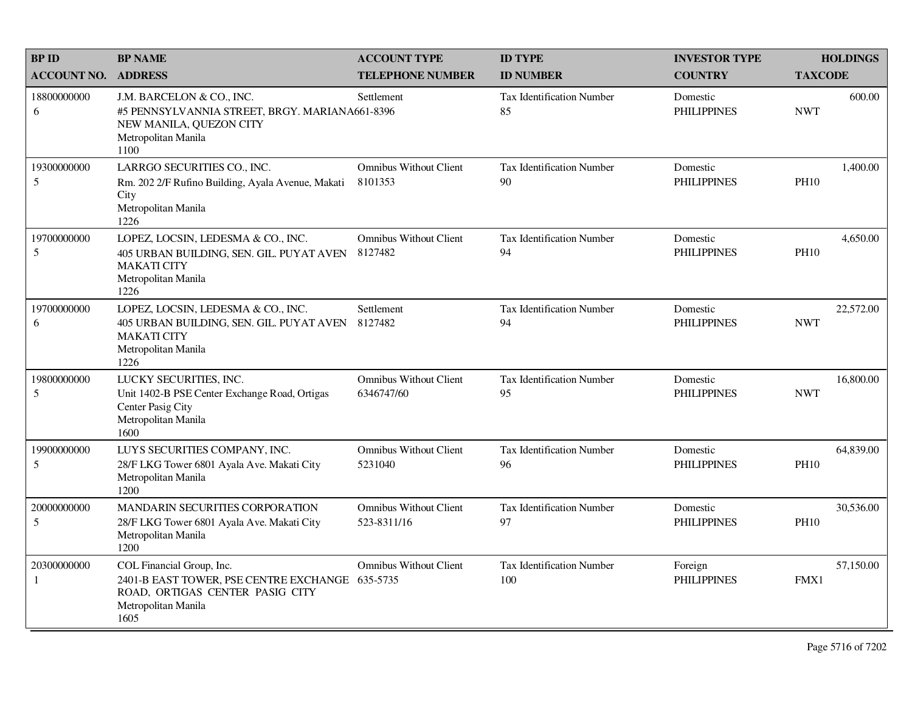| <b>BPID</b>                | <b>BP NAME</b>                                                                                                                                 | <b>ACCOUNT TYPE</b>                          | <b>ID TYPE</b>                          | <b>INVESTOR TYPE</b>           | <b>HOLDINGS</b>          |  |
|----------------------------|------------------------------------------------------------------------------------------------------------------------------------------------|----------------------------------------------|-----------------------------------------|--------------------------------|--------------------------|--|
| <b>ACCOUNT NO. ADDRESS</b> |                                                                                                                                                | <b>TELEPHONE NUMBER</b>                      | <b>ID NUMBER</b>                        | <b>COUNTRY</b>                 | <b>TAXCODE</b>           |  |
| 18800000000<br>6           | J.M. BARCELON & CO., INC.<br>#5 PENNSYLVANNIA STREET, BRGY. MARIANA661-8396<br>NEW MANILA, QUEZON CITY<br>Metropolitan Manila<br>1100          | Settlement                                   | <b>Tax Identification Number</b><br>85  | Domestic<br><b>PHILIPPINES</b> | 600.00<br><b>NWT</b>     |  |
| 19300000000<br>5           | LARRGO SECURITIES CO., INC.<br>Rm. 202 2/F Rufino Building, Ayala Avenue, Makati<br>City<br>Metropolitan Manila<br>1226                        | <b>Omnibus Without Client</b><br>8101353     | Tax Identification Number<br>90         | Domestic<br><b>PHILIPPINES</b> | 1,400.00<br><b>PH10</b>  |  |
| 19700000000<br>5           | LOPEZ, LOCSIN, LEDESMA & CO., INC.<br>405 URBAN BUILDING, SEN. GIL. PUYAT AVEN<br><b>MAKATI CITY</b><br>Metropolitan Manila<br>1226            | <b>Omnibus Without Client</b><br>8127482     | Tax Identification Number<br>94         | Domestic<br><b>PHILIPPINES</b> | 4,650.00<br><b>PH10</b>  |  |
| 19700000000<br>6           | LOPEZ, LOCSIN, LEDESMA & CO., INC.<br>405 URBAN BUILDING, SEN. GIL. PUYAT AVEN<br><b>MAKATI CITY</b><br>Metropolitan Manila<br>1226            | Settlement<br>8127482                        | Tax Identification Number<br>94         | Domestic<br><b>PHILIPPINES</b> | 22,572.00<br><b>NWT</b>  |  |
| 19800000000<br>5           | LUCKY SECURITIES, INC.<br>Unit 1402-B PSE Center Exchange Road, Ortigas<br>Center Pasig City<br>Metropolitan Manila<br>1600                    | <b>Omnibus Without Client</b><br>6346747/60  | Tax Identification Number<br>95         | Domestic<br><b>PHILIPPINES</b> | 16,800.00<br><b>NWT</b>  |  |
| 19900000000<br>5           | LUYS SECURITIES COMPANY, INC.<br>28/F LKG Tower 6801 Ayala Ave. Makati City<br>Metropolitan Manila<br>1200                                     | <b>Omnibus Without Client</b><br>5231040     | Tax Identification Number<br>96         | Domestic<br><b>PHILIPPINES</b> | 64,839.00<br><b>PH10</b> |  |
| 20000000000<br>5           | MANDARIN SECURITIES CORPORATION<br>28/F LKG Tower 6801 Ayala Ave. Makati City<br>Metropolitan Manila<br>1200                                   | <b>Omnibus Without Client</b><br>523-8311/16 | Tax Identification Number<br>97         | Domestic<br><b>PHILIPPINES</b> | 30,536.00<br><b>PH10</b> |  |
| 20300000000<br>1           | COL Financial Group, Inc.<br>2401-B EAST TOWER, PSE CENTRE EXCHANGE 635-5735<br>ROAD, ORTIGAS CENTER PASIG CITY<br>Metropolitan Manila<br>1605 | <b>Omnibus Without Client</b>                | <b>Tax Identification Number</b><br>100 | Foreign<br><b>PHILIPPINES</b>  | 57,150.00<br>FMX1        |  |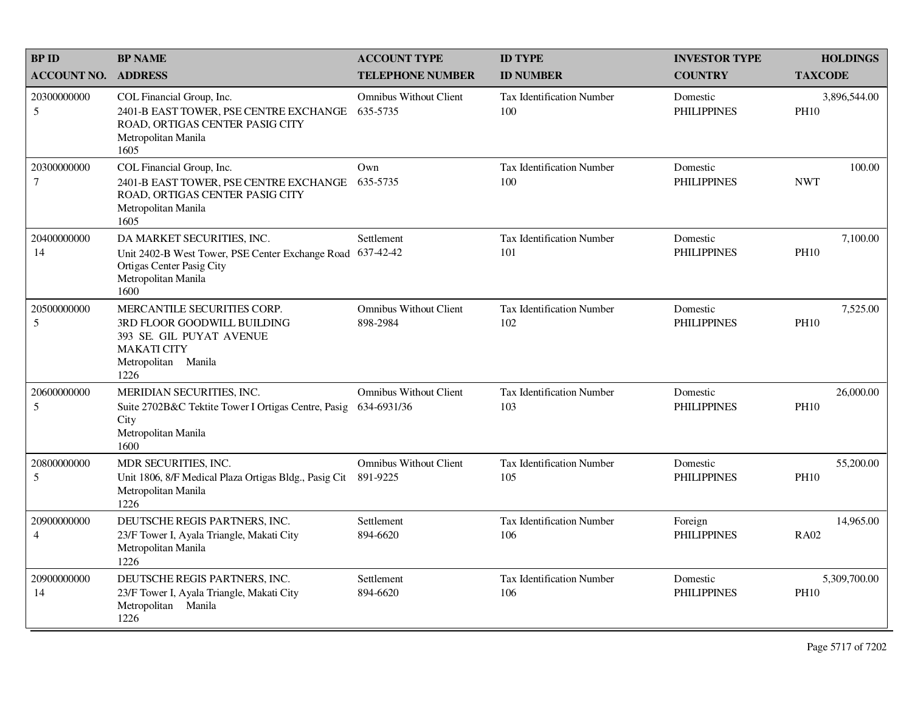| <b>BPID</b>                   | <b>BP NAME</b>                                                                                                                              | <b>ACCOUNT TYPE</b>                          | <b>ID TYPE</b>                          | <b>INVESTOR TYPE</b>           | <b>HOLDINGS</b>             |
|-------------------------------|---------------------------------------------------------------------------------------------------------------------------------------------|----------------------------------------------|-----------------------------------------|--------------------------------|-----------------------------|
| <b>ACCOUNT NO.</b>            | <b>ADDRESS</b>                                                                                                                              | <b>TELEPHONE NUMBER</b>                      | <b>ID NUMBER</b>                        | <b>COUNTRY</b>                 | <b>TAXCODE</b>              |
| 20300000000<br>5              | COL Financial Group, Inc.<br>2401-B EAST TOWER, PSE CENTRE EXCHANGE<br>ROAD, ORTIGAS CENTER PASIG CITY<br>Metropolitan Manila<br>1605       | <b>Omnibus Without Client</b><br>635-5735    | Tax Identification Number<br>100        | Domestic<br><b>PHILIPPINES</b> | 3,896,544.00<br><b>PH10</b> |
| 20300000000<br>$\tau$         | COL Financial Group, Inc.<br>2401-B EAST TOWER, PSE CENTRE EXCHANGE<br>ROAD, ORTIGAS CENTER PASIG CITY<br>Metropolitan Manila<br>1605       | Own<br>635-5735                              | <b>Tax Identification Number</b><br>100 | Domestic<br><b>PHILIPPINES</b> | 100.00<br><b>NWT</b>        |
| 20400000000<br>14             | DA MARKET SECURITIES, INC.<br>Unit 2402-B West Tower, PSE Center Exchange Road<br>Ortigas Center Pasig City<br>Metropolitan Manila<br>1600  | Settlement<br>637-42-42                      | <b>Tax Identification Number</b><br>101 | Domestic<br><b>PHILIPPINES</b> | 7,100.00<br><b>PH10</b>     |
| 20500000000<br>5              | MERCANTILE SECURITIES CORP.<br>3RD FLOOR GOODWILL BUILDING<br>393 SE. GIL PUYAT AVENUE<br><b>MAKATI CITY</b><br>Metropolitan Manila<br>1226 | <b>Omnibus Without Client</b><br>898-2984    | Tax Identification Number<br>102        | Domestic<br><b>PHILIPPINES</b> | 7,525.00<br><b>PH10</b>     |
| 20600000000<br>5              | MERIDIAN SECURITIES, INC.<br>Suite 2702B&C Tektite Tower I Ortigas Centre, Pasig<br>City<br>Metropolitan Manila<br>1600                     | <b>Omnibus Without Client</b><br>634-6931/36 | Tax Identification Number<br>103        | Domestic<br><b>PHILIPPINES</b> | 26,000.00<br><b>PH10</b>    |
| 20800000000<br>5              | MDR SECURITIES, INC.<br>Unit 1806, 8/F Medical Plaza Ortigas Bldg., Pasig Cit<br>Metropolitan Manila<br>1226                                | <b>Omnibus Without Client</b><br>891-9225    | Tax Identification Number<br>105        | Domestic<br><b>PHILIPPINES</b> | 55,200.00<br><b>PH10</b>    |
| 20900000000<br>$\overline{4}$ | DEUTSCHE REGIS PARTNERS, INC.<br>23/F Tower I, Ayala Triangle, Makati City<br>Metropolitan Manila<br>1226                                   | Settlement<br>894-6620                       | Tax Identification Number<br>106        | Foreign<br><b>PHILIPPINES</b>  | 14,965.00<br><b>RA02</b>    |
| 20900000000<br>14             | DEUTSCHE REGIS PARTNERS, INC.<br>23/F Tower I, Ayala Triangle, Makati City<br>Metropolitan Manila<br>1226                                   | Settlement<br>894-6620                       | Tax Identification Number<br>106        | Domestic<br><b>PHILIPPINES</b> | 5,309,700.00<br><b>PH10</b> |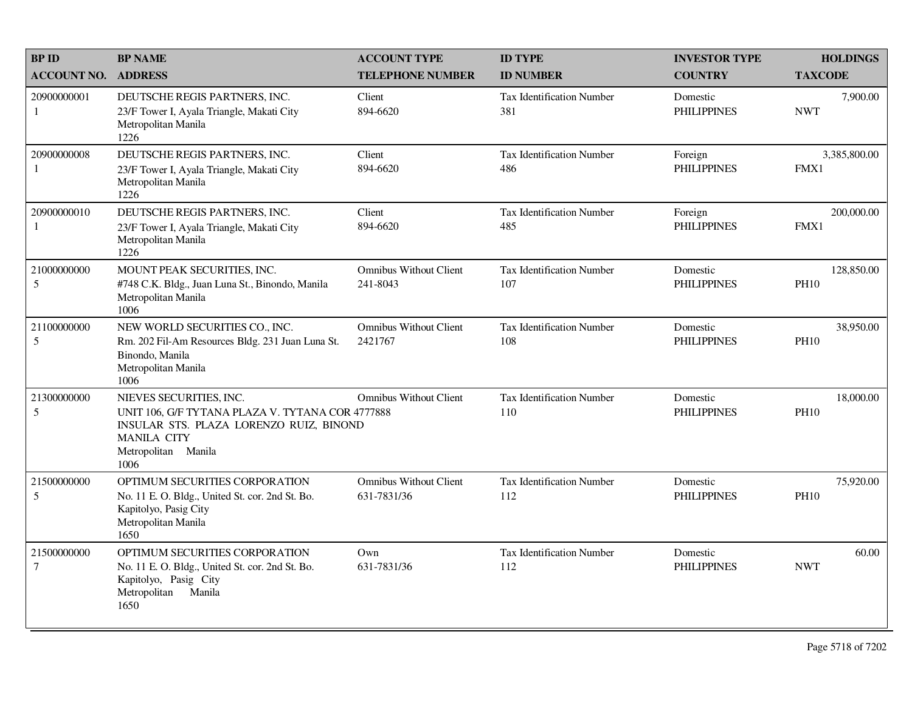| <b>BPID</b>                   | <b>BP NAME</b>                                                                                                                                                              | <b>ACCOUNT TYPE</b>                          | <b>ID TYPE</b>                          | <b>INVESTOR TYPE</b>           | <b>HOLDINGS</b>           |
|-------------------------------|-----------------------------------------------------------------------------------------------------------------------------------------------------------------------------|----------------------------------------------|-----------------------------------------|--------------------------------|---------------------------|
| <b>ACCOUNT NO.</b>            | <b>ADDRESS</b>                                                                                                                                                              | <b>TELEPHONE NUMBER</b>                      | <b>ID NUMBER</b>                        | <b>COUNTRY</b>                 | <b>TAXCODE</b>            |
| 20900000001<br>-1             | DEUTSCHE REGIS PARTNERS, INC.<br>23/F Tower I, Ayala Triangle, Makati City<br>Metropolitan Manila<br>1226                                                                   | Client<br>894-6620                           | Tax Identification Number<br>381        | Domestic<br><b>PHILIPPINES</b> | 7,900.00<br><b>NWT</b>    |
| 20900000008<br>-1             | DEUTSCHE REGIS PARTNERS, INC.<br>23/F Tower I, Ayala Triangle, Makati City<br>Metropolitan Manila<br>1226                                                                   | Client<br>894-6620                           | <b>Tax Identification Number</b><br>486 | Foreign<br><b>PHILIPPINES</b>  | 3,385,800.00<br>FMX1      |
| 20900000010<br>-1             | DEUTSCHE REGIS PARTNERS, INC.<br>23/F Tower I, Ayala Triangle, Makati City<br>Metropolitan Manila<br>1226                                                                   | Client<br>894-6620                           | <b>Tax Identification Number</b><br>485 | Foreign<br><b>PHILIPPINES</b>  | 200,000.00<br>FMX1        |
| 21000000000<br>5              | MOUNT PEAK SECURITIES, INC.<br>#748 C.K. Bldg., Juan Luna St., Binondo, Manila<br>Metropolitan Manila<br>1006                                                               | <b>Omnibus Without Client</b><br>241-8043    | Tax Identification Number<br>107        | Domestic<br><b>PHILIPPINES</b> | 128,850.00<br><b>PH10</b> |
| 21100000000<br>5              | NEW WORLD SECURITIES CO., INC.<br>Rm. 202 Fil-Am Resources Bldg. 231 Juan Luna St.<br>Binondo, Manila<br>Metropolitan Manila<br>1006                                        | <b>Omnibus Without Client</b><br>2421767     | <b>Tax Identification Number</b><br>108 | Domestic<br><b>PHILIPPINES</b> | 38,950.00<br><b>PH10</b>  |
| 21300000000<br>5              | NIEVES SECURITIES, INC.<br>UNIT 106, G/F TYTANA PLAZA V. TYTANA COR 4777888<br>INSULAR STS. PLAZA LORENZO RUIZ, BINOND<br><b>MANILA CITY</b><br>Metropolitan Manila<br>1006 | <b>Omnibus Without Client</b>                | <b>Tax Identification Number</b><br>110 | Domestic<br><b>PHILIPPINES</b> | 18,000.00<br><b>PH10</b>  |
| 21500000000<br>5              | OPTIMUM SECURITIES CORPORATION<br>No. 11 E. O. Bldg., United St. cor. 2nd St. Bo.<br>Kapitolyo, Pasig City<br>Metropolitan Manila<br>1650                                   | <b>Omnibus Without Client</b><br>631-7831/36 | Tax Identification Number<br>112        | Domestic<br><b>PHILIPPINES</b> | 75,920.00<br><b>PH10</b>  |
| 21500000000<br>$\overline{7}$ | OPTIMUM SECURITIES CORPORATION<br>No. 11 E. O. Bldg., United St. cor. 2nd St. Bo.<br>Kapitolyo, Pasig City<br>Metropolitan<br>Manila<br>1650                                | Own<br>631-7831/36                           | Tax Identification Number<br>112        | Domestic<br><b>PHILIPPINES</b> | 60.00<br><b>NWT</b>       |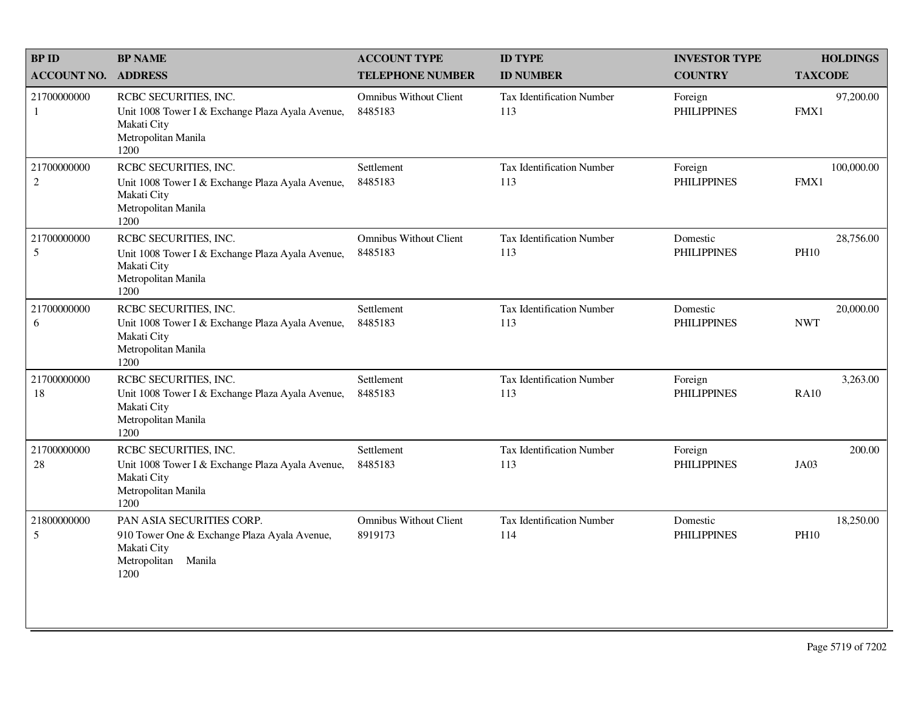| <b>BP ID</b>                  | <b>BP NAME</b>                                                                                                          | <b>ACCOUNT TYPE</b>                      | <b>ID TYPE</b>                          | <b>INVESTOR TYPE</b>           | <b>HOLDINGS</b>          |
|-------------------------------|-------------------------------------------------------------------------------------------------------------------------|------------------------------------------|-----------------------------------------|--------------------------------|--------------------------|
| <b>ACCOUNT NO.</b>            | <b>ADDRESS</b>                                                                                                          | <b>TELEPHONE NUMBER</b>                  | <b>ID NUMBER</b>                        | <b>COUNTRY</b>                 | <b>TAXCODE</b>           |
| 21700000000<br>1              | RCBC SECURITIES, INC.<br>Unit 1008 Tower I & Exchange Plaza Ayala Avenue,<br>Makati City<br>Metropolitan Manila<br>1200 | <b>Omnibus Without Client</b><br>8485183 | Tax Identification Number<br>113        | Foreign<br><b>PHILIPPINES</b>  | 97,200.00<br>FMX1        |
| 21700000000<br>$\overline{2}$ | RCBC SECURITIES, INC.<br>Unit 1008 Tower I & Exchange Plaza Ayala Avenue,<br>Makati City<br>Metropolitan Manila<br>1200 | Settlement<br>8485183                    | Tax Identification Number<br>113        | Foreign<br><b>PHILIPPINES</b>  | 100,000.00<br>FMX1       |
| 21700000000<br>$\mathfrak s$  | RCBC SECURITIES, INC.<br>Unit 1008 Tower I & Exchange Plaza Ayala Avenue,<br>Makati City<br>Metropolitan Manila<br>1200 | <b>Omnibus Without Client</b><br>8485183 | <b>Tax Identification Number</b><br>113 | Domestic<br><b>PHILIPPINES</b> | 28,756.00<br><b>PH10</b> |
| 21700000000<br>6              | RCBC SECURITIES, INC.<br>Unit 1008 Tower I & Exchange Plaza Ayala Avenue,<br>Makati City<br>Metropolitan Manila<br>1200 | Settlement<br>8485183                    | <b>Tax Identification Number</b><br>113 | Domestic<br><b>PHILIPPINES</b> | 20,000.00<br><b>NWT</b>  |
| 21700000000<br>18             | RCBC SECURITIES, INC.<br>Unit 1008 Tower I & Exchange Plaza Ayala Avenue,<br>Makati City<br>Metropolitan Manila<br>1200 | Settlement<br>8485183                    | <b>Tax Identification Number</b><br>113 | Foreign<br><b>PHILIPPINES</b>  | 3,263.00<br><b>RA10</b>  |
| 21700000000<br>$28\,$         | RCBC SECURITIES, INC.<br>Unit 1008 Tower I & Exchange Plaza Ayala Avenue,<br>Makati City<br>Metropolitan Manila<br>1200 | Settlement<br>8485183                    | <b>Tax Identification Number</b><br>113 | Foreign<br><b>PHILIPPINES</b>  | 200.00<br>JA03           |
| 21800000000<br>5              | PAN ASIA SECURITIES CORP.<br>910 Tower One & Exchange Plaza Ayala Avenue,<br>Makati City<br>Metropolitan Manila<br>1200 | <b>Omnibus Without Client</b><br>8919173 | Tax Identification Number<br>114        | Domestic<br><b>PHILIPPINES</b> | 18,250.00<br><b>PH10</b> |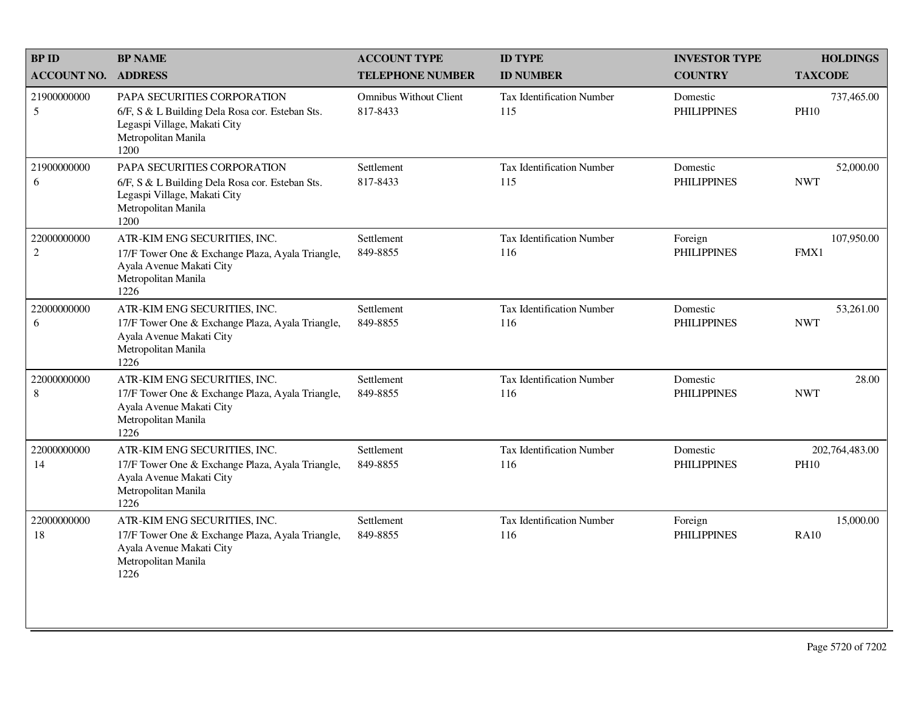| <b>BP ID</b>              | <b>BP NAME</b>                                                                                                                                | <b>ACCOUNT TYPE</b>                       | <b>ID TYPE</b>                          | <b>INVESTOR TYPE</b>           | <b>HOLDINGS</b>               |
|---------------------------|-----------------------------------------------------------------------------------------------------------------------------------------------|-------------------------------------------|-----------------------------------------|--------------------------------|-------------------------------|
| <b>ACCOUNT NO.</b>        | <b>ADDRESS</b>                                                                                                                                | <b>TELEPHONE NUMBER</b>                   | <b>ID NUMBER</b>                        | <b>COUNTRY</b>                 | <b>TAXCODE</b>                |
| 21900000000<br>5          | PAPA SECURITIES CORPORATION<br>6/F, S & L Building Dela Rosa cor. Esteban Sts.<br>Legaspi Village, Makati City<br>Metropolitan Manila<br>1200 | <b>Omnibus Without Client</b><br>817-8433 | Tax Identification Number<br>115        | Domestic<br><b>PHILIPPINES</b> | 737,465.00<br><b>PH10</b>     |
| 21900000000<br>6          | PAPA SECURITIES CORPORATION<br>6/F, S & L Building Dela Rosa cor. Esteban Sts.<br>Legaspi Village, Makati City<br>Metropolitan Manila<br>1200 | Settlement<br>817-8433                    | Tax Identification Number<br>115        | Domestic<br><b>PHILIPPINES</b> | 52,000.00<br><b>NWT</b>       |
| 22000000000<br>$\sqrt{2}$ | ATR-KIM ENG SECURITIES, INC.<br>17/F Tower One & Exchange Plaza, Ayala Triangle,<br>Ayala Avenue Makati City<br>Metropolitan Manila<br>1226   | Settlement<br>849-8855                    | <b>Tax Identification Number</b><br>116 | Foreign<br><b>PHILIPPINES</b>  | 107,950.00<br>FMX1            |
| 22000000000<br>6          | ATR-KIM ENG SECURITIES, INC.<br>17/F Tower One & Exchange Plaza, Ayala Triangle,<br>Ayala Avenue Makati City<br>Metropolitan Manila<br>1226   | Settlement<br>849-8855                    | <b>Tax Identification Number</b><br>116 | Domestic<br><b>PHILIPPINES</b> | 53,261.00<br><b>NWT</b>       |
| 22000000000<br>8          | ATR-KIM ENG SECURITIES, INC.<br>17/F Tower One & Exchange Plaza, Ayala Triangle,<br>Ayala Avenue Makati City<br>Metropolitan Manila<br>1226   | Settlement<br>849-8855                    | <b>Tax Identification Number</b><br>116 | Domestic<br><b>PHILIPPINES</b> | 28.00<br><b>NWT</b>           |
| 22000000000<br>14         | ATR-KIM ENG SECURITIES, INC.<br>17/F Tower One & Exchange Plaza, Ayala Triangle,<br>Ayala Avenue Makati City<br>Metropolitan Manila<br>1226   | Settlement<br>849-8855                    | Tax Identification Number<br>116        | Domestic<br><b>PHILIPPINES</b> | 202,764,483.00<br><b>PH10</b> |
| 22000000000<br>18         | ATR-KIM ENG SECURITIES, INC.<br>17/F Tower One & Exchange Plaza, Ayala Triangle,<br>Ayala Avenue Makati City<br>Metropolitan Manila<br>1226   | Settlement<br>849-8855                    | Tax Identification Number<br>116        | Foreign<br><b>PHILIPPINES</b>  | 15,000.00<br><b>RA10</b>      |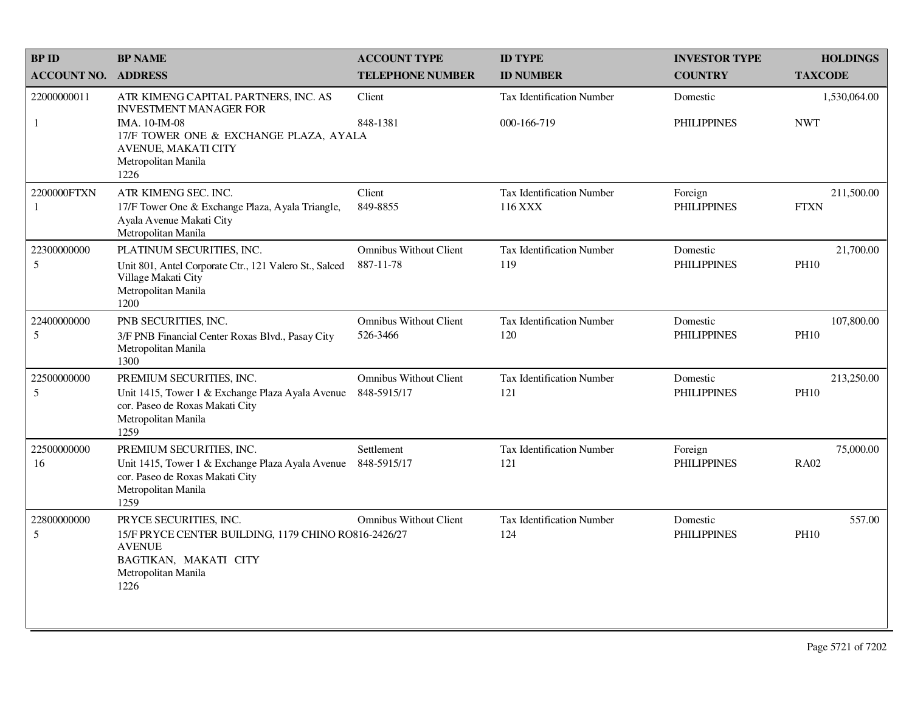| <b>BPID</b>        | <b>BP NAME</b>                                                                                                              | <b>ACCOUNT TYPE</b>                          | <b>ID TYPE</b>                       | <b>INVESTOR TYPE</b>           | <b>HOLDINGS</b>           |
|--------------------|-----------------------------------------------------------------------------------------------------------------------------|----------------------------------------------|--------------------------------------|--------------------------------|---------------------------|
| <b>ACCOUNT NO.</b> | <b>ADDRESS</b>                                                                                                              | <b>TELEPHONE NUMBER</b>                      | <b>ID NUMBER</b>                     | <b>COUNTRY</b>                 | <b>TAXCODE</b>            |
| 22000000011        | ATR KIMENG CAPITAL PARTNERS, INC. AS<br><b>INVESTMENT MANAGER FOR</b>                                                       | Client                                       | <b>Tax Identification Number</b>     | Domestic                       | 1,530,064.00              |
| $\mathbf{1}$       | IMA. 10-IM-08<br>17/F TOWER ONE & EXCHANGE PLAZA, AYALA<br><b>AVENUE, MAKATI CITY</b><br>Metropolitan Manila<br>1226        | 848-1381                                     | 000-166-719                          | <b>PHILIPPINES</b>             | <b>NWT</b>                |
| 2200000FTXN<br>1   | ATR KIMENG SEC. INC.<br>17/F Tower One & Exchange Plaza, Ayala Triangle,<br>Ayala Avenue Makati City<br>Metropolitan Manila | Client<br>849-8855                           | Tax Identification Number<br>116 XXX | Foreign<br><b>PHILIPPINES</b>  | 211,500.00<br><b>FTXN</b> |
| 22300000000<br>5   | PLATINUM SECURITIES, INC.<br>Unit 801, Antel Corporate Ctr., 121 Valero St., Salced                                         | <b>Omnibus Without Client</b><br>887-11-78   | Tax Identification Number<br>119     | Domestic<br><b>PHILIPPINES</b> | 21,700.00<br><b>PH10</b>  |
|                    | Village Makati City<br>Metropolitan Manila<br>1200                                                                          |                                              |                                      |                                |                           |
| 22400000000        | PNB SECURITIES, INC.                                                                                                        | <b>Omnibus Without Client</b>                | <b>Tax Identification Number</b>     | Domestic                       | 107,800.00                |
| 5                  | 3/F PNB Financial Center Roxas Blvd., Pasay City<br>Metropolitan Manila<br>1300                                             | 526-3466                                     | 120                                  | <b>PHILIPPINES</b>             | <b>PH10</b>               |
| 22500000000<br>5   | PREMIUM SECURITIES, INC.                                                                                                    | <b>Omnibus Without Client</b><br>848-5915/17 | Tax Identification Number<br>121     | Domestic<br><b>PHILIPPINES</b> | 213,250.00<br><b>PH10</b> |
|                    | Unit 1415, Tower 1 & Exchange Plaza Ayala Avenue<br>cor. Paseo de Roxas Makati City<br>Metropolitan Manila<br>1259          |                                              |                                      |                                |                           |
| 22500000000        | PREMIUM SECURITIES, INC.                                                                                                    | Settlement                                   | Tax Identification Number            | Foreign                        | 75,000.00                 |
| 16                 | Unit 1415, Tower 1 & Exchange Plaza Ayala Avenue<br>cor. Paseo de Roxas Makati City<br>Metropolitan Manila<br>1259          | 848-5915/17                                  | 121                                  | <b>PHILIPPINES</b>             | <b>RA02</b>               |
| 22800000000<br>5   | PRYCE SECURITIES, INC.<br>15/F PRYCE CENTER BUILDING, 1179 CHINO RO816-2426/27                                              | <b>Omnibus Without Client</b>                | Tax Identification Number<br>124     | Domestic<br><b>PHILIPPINES</b> | 557.00<br><b>PH10</b>     |
|                    | <b>AVENUE</b><br>BAGTIKAN, MAKATI CITY<br>Metropolitan Manila<br>1226                                                       |                                              |                                      |                                |                           |
|                    |                                                                                                                             |                                              |                                      |                                |                           |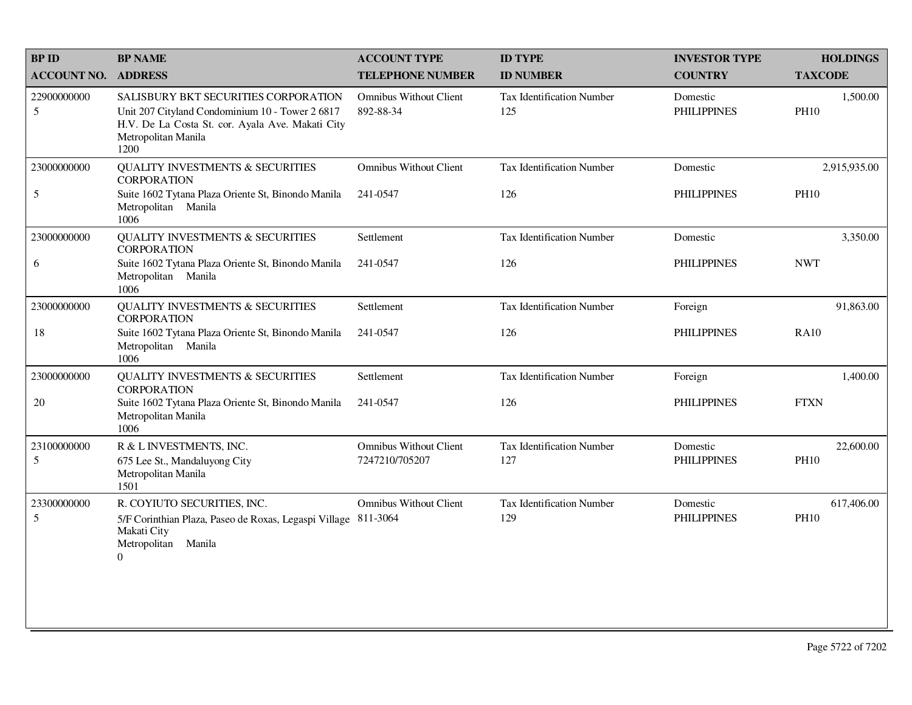| <b>BPID</b>        | <b>BP NAME</b>                                                                                                                                                             | <b>ACCOUNT TYPE</b>                             | <b>ID TYPE</b>                   | <b>INVESTOR TYPE</b>           | <b>HOLDINGS</b>           |
|--------------------|----------------------------------------------------------------------------------------------------------------------------------------------------------------------------|-------------------------------------------------|----------------------------------|--------------------------------|---------------------------|
| <b>ACCOUNT NO.</b> | <b>ADDRESS</b>                                                                                                                                                             | <b>TELEPHONE NUMBER</b>                         | <b>ID NUMBER</b>                 | <b>COUNTRY</b>                 | <b>TAXCODE</b>            |
| 22900000000<br>5   | SALISBURY BKT SECURITIES CORPORATION<br>Unit 207 Cityland Condominium 10 - Tower 2 6817<br>H.V. De La Costa St. cor. Ayala Ave. Makati City<br>Metropolitan Manila<br>1200 | <b>Omnibus Without Client</b><br>892-88-34      | Tax Identification Number<br>125 | Domestic<br><b>PHILIPPINES</b> | 1,500.00<br><b>PH10</b>   |
| 23000000000        | QUALITY INVESTMENTS $\&$ SECURITIES<br><b>CORPORATION</b>                                                                                                                  | <b>Omnibus Without Client</b>                   | <b>Tax Identification Number</b> | Domestic                       | 2,915,935.00              |
| 5                  | Suite 1602 Tytana Plaza Oriente St, Binondo Manila<br>Metropolitan Manila<br>1006                                                                                          | 241-0547                                        | 126                              | <b>PHILIPPINES</b>             | <b>PH10</b>               |
| 23000000000        | <b>QUALITY INVESTMENTS &amp; SECURITIES</b><br><b>CORPORATION</b>                                                                                                          | Settlement                                      | <b>Tax Identification Number</b> | Domestic                       | 3,350.00                  |
| 6                  | Suite 1602 Tytana Plaza Oriente St, Binondo Manila<br>Metropolitan Manila<br>1006                                                                                          | 241-0547                                        | 126                              | <b>PHILIPPINES</b>             | <b>NWT</b>                |
| 23000000000        | <b>QUALITY INVESTMENTS &amp; SECURITIES</b><br><b>CORPORATION</b>                                                                                                          | Settlement                                      | Tax Identification Number        | Foreign                        | 91,863.00                 |
| 18                 | Suite 1602 Tytana Plaza Oriente St, Binondo Manila<br>Metropolitan Manila<br>1006                                                                                          | 241-0547                                        | 126                              | <b>PHILIPPINES</b>             | <b>RA10</b>               |
| 23000000000        | QUALITY INVESTMENTS $\&$ SECURITIES<br><b>CORPORATION</b>                                                                                                                  | Settlement                                      | Tax Identification Number        | Foreign                        | 1,400.00                  |
| 20                 | Suite 1602 Tytana Plaza Oriente St, Binondo Manila<br>Metropolitan Manila<br>1006                                                                                          | 241-0547                                        | 126                              | <b>PHILIPPINES</b>             | <b>FTXN</b>               |
| 23100000000<br>5   | R & L INVESTMENTS, INC.<br>675 Lee St., Mandaluyong City<br>Metropolitan Manila<br>1501                                                                                    | <b>Omnibus Without Client</b><br>7247210/705207 | Tax Identification Number<br>127 | Domestic<br><b>PHILIPPINES</b> | 22,600.00<br><b>PH10</b>  |
| 23300000000<br>5   | R. COYIUTO SECURITIES, INC.<br>5/F Corinthian Plaza, Paseo de Roxas, Legaspi Village 811-3064<br>Makati City<br>Metropolitan<br>Manila<br>$\boldsymbol{0}$                 | <b>Omnibus Without Client</b>                   | Tax Identification Number<br>129 | Domestic<br><b>PHILIPPINES</b> | 617,406.00<br><b>PH10</b> |
|                    |                                                                                                                                                                            |                                                 |                                  |                                |                           |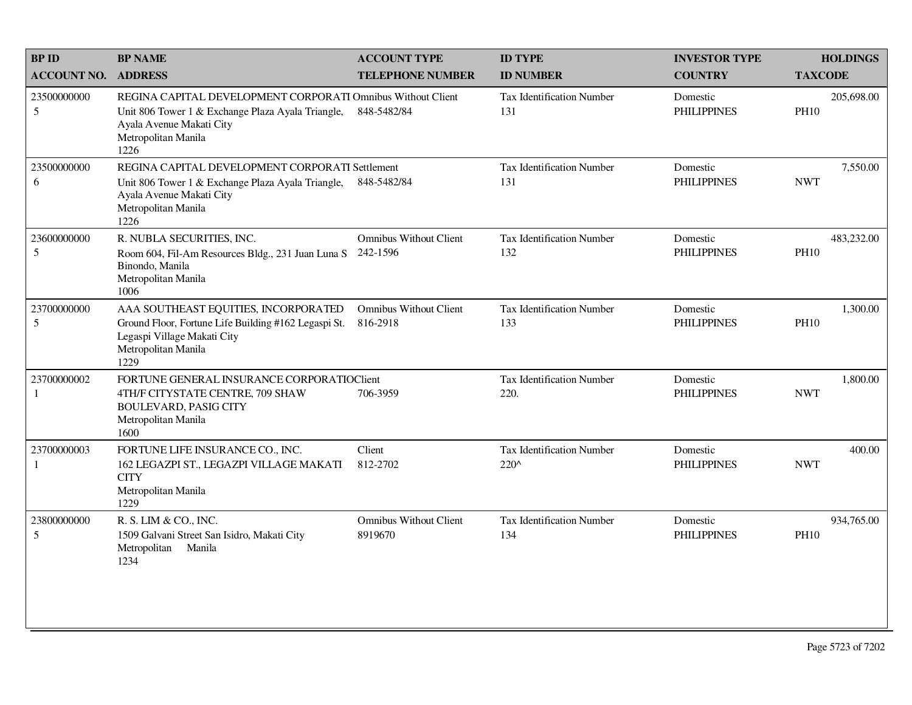| <b>BPID</b>        | <b>BP NAME</b>                                                                                                                                                              | <b>ACCOUNT TYPE</b>                       | <b>ID TYPE</b>                           | <b>INVESTOR TYPE</b>           | <b>HOLDINGS</b>           |
|--------------------|-----------------------------------------------------------------------------------------------------------------------------------------------------------------------------|-------------------------------------------|------------------------------------------|--------------------------------|---------------------------|
| <b>ACCOUNT NO.</b> | <b>ADDRESS</b>                                                                                                                                                              | <b>TELEPHONE NUMBER</b>                   | <b>ID NUMBER</b>                         | <b>COUNTRY</b>                 | <b>TAXCODE</b>            |
| 23500000000<br>5   | REGINA CAPITAL DEVELOPMENT CORPORATI Omnibus Without Client<br>Unit 806 Tower 1 & Exchange Plaza Ayala Triangle,<br>Ayala Avenue Makati City<br>Metropolitan Manila<br>1226 | 848-5482/84                               | <b>Tax Identification Number</b><br>131  | Domestic<br><b>PHILIPPINES</b> | 205,698.00<br><b>PH10</b> |
| 23500000000<br>6   | REGINA CAPITAL DEVELOPMENT CORPORATI Settlement<br>Unit 806 Tower 1 & Exchange Plaza Ayala Triangle,<br>Ayala Avenue Makati City<br>Metropolitan Manila<br>1226             | 848-5482/84                               | Tax Identification Number<br>131         | Domestic<br><b>PHILIPPINES</b> | 7,550.00<br><b>NWT</b>    |
| 23600000000<br>5   | R. NUBLA SECURITIES, INC.<br>Room 604, Fil-Am Resources Bldg., 231 Juan Luna S<br>Binondo, Manila<br>Metropolitan Manila<br>1006                                            | <b>Omnibus Without Client</b><br>242-1596 | <b>Tax Identification Number</b><br>132  | Domestic<br><b>PHILIPPINES</b> | 483,232.00<br><b>PH10</b> |
| 23700000000<br>5   | AAA SOUTHEAST EQUITIES, INCORPORATED<br>Ground Floor, Fortune Life Building #162 Legaspi St.<br>Legaspi Village Makati City<br>Metropolitan Manila<br>1229                  | <b>Omnibus Without Client</b><br>816-2918 | <b>Tax Identification Number</b><br>133  | Domestic<br><b>PHILIPPINES</b> | 1,300.00<br><b>PH10</b>   |
| 23700000002<br>1   | FORTUNE GENERAL INSURANCE CORPORATIOCIEnt<br>4TH/F CITYSTATE CENTRE, 709 SHAW<br><b>BOULEVARD, PASIG CITY</b><br>Metropolitan Manila<br>1600                                | 706-3959                                  | <b>Tax Identification Number</b><br>220. | Domestic<br><b>PHILIPPINES</b> | 1,800.00<br><b>NWT</b>    |
| 23700000003<br>1   | FORTUNE LIFE INSURANCE CO., INC.<br>162 LEGAZPI ST., LEGAZPI VILLAGE MAKATI<br><b>CITY</b><br>Metropolitan Manila<br>1229                                                   | Client<br>812-2702                        | Tax Identification Number<br>220^        | Domestic<br><b>PHILIPPINES</b> | 400.00<br><b>NWT</b>      |
| 23800000000<br>5   | R. S. LIM & CO., INC.<br>1509 Galvani Street San Isidro, Makati City<br>Metropolitan Manila<br>1234                                                                         | <b>Omnibus Without Client</b><br>8919670  | <b>Tax Identification Number</b><br>134  | Domestic<br><b>PHILIPPINES</b> | 934,765.00<br><b>PH10</b> |
|                    |                                                                                                                                                                             |                                           |                                          |                                |                           |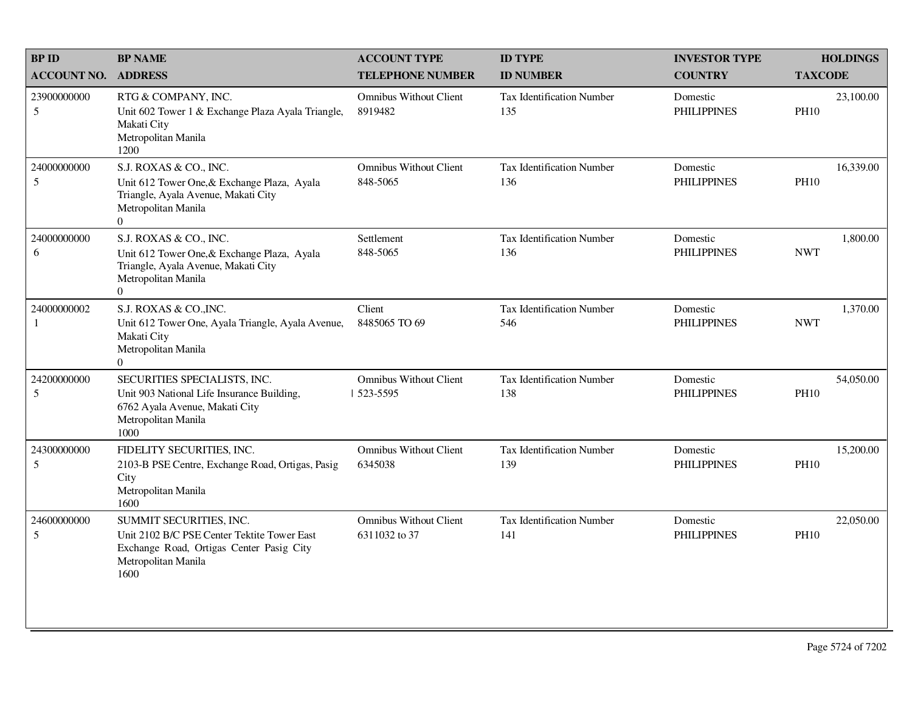| <b>BPID</b>               | <b>BP NAME</b>                                                                                                                                        | <b>ACCOUNT TYPE</b>                            | <b>ID TYPE</b>                          | <b>INVESTOR TYPE</b>           | <b>HOLDINGS</b>          |
|---------------------------|-------------------------------------------------------------------------------------------------------------------------------------------------------|------------------------------------------------|-----------------------------------------|--------------------------------|--------------------------|
| <b>ACCOUNT NO.</b>        | <b>ADDRESS</b>                                                                                                                                        | <b>TELEPHONE NUMBER</b>                        | <b>ID NUMBER</b>                        | <b>COUNTRY</b>                 | <b>TAXCODE</b>           |
| 23900000000<br>$\sqrt{5}$ | RTG & COMPANY, INC.<br>Unit 602 Tower 1 & Exchange Plaza Ayala Triangle,<br>Makati City<br>Metropolitan Manila<br>1200                                | <b>Omnibus Without Client</b><br>8919482       | Tax Identification Number<br>135        | Domestic<br><b>PHILIPPINES</b> | 23,100.00<br><b>PH10</b> |
| 24000000000<br>5          | S.J. ROXAS & CO., INC.<br>Unit 612 Tower One, & Exchange Plaza, Ayala<br>Triangle, Ayala Avenue, Makati City<br>Metropolitan Manila<br>$\overline{0}$ | <b>Omnibus Without Client</b><br>848-5065      | <b>Tax Identification Number</b><br>136 | Domestic<br><b>PHILIPPINES</b> | 16,339.00<br><b>PH10</b> |
| 24000000000<br>6          | S.J. ROXAS & CO., INC.<br>Unit 612 Tower One, & Exchange Plaza, Ayala<br>Triangle, Ayala Avenue, Makati City<br>Metropolitan Manila<br>$\Omega$       | Settlement<br>848-5065                         | <b>Tax Identification Number</b><br>136 | Domestic<br><b>PHILIPPINES</b> | 1,800.00<br><b>NWT</b>   |
| 24000000002<br>1          | S.J. ROXAS & CO., INC.<br>Unit 612 Tower One, Ayala Triangle, Ayala Avenue,<br>Makati City<br>Metropolitan Manila<br>$\Omega$                         | Client<br>8485065 TO 69                        | <b>Tax Identification Number</b><br>546 | Domestic<br><b>PHILIPPINES</b> | 1,370.00<br><b>NWT</b>   |
| 24200000000<br>5          | SECURITIES SPECIALISTS, INC.<br>Unit 903 National Life Insurance Building,<br>6762 Ayala Avenue, Makati City<br>Metropolitan Manila<br>1000           | <b>Omnibus Without Client</b><br>523-5595      | <b>Tax Identification Number</b><br>138 | Domestic<br><b>PHILIPPINES</b> | 54,050.00<br><b>PH10</b> |
| 24300000000<br>5          | FIDELITY SECURITIES, INC.<br>2103-B PSE Centre, Exchange Road, Ortigas, Pasig<br>City<br>Metropolitan Manila<br>1600                                  | <b>Omnibus Without Client</b><br>6345038       | <b>Tax Identification Number</b><br>139 | Domestic<br><b>PHILIPPINES</b> | 15,200.00<br><b>PH10</b> |
| 24600000000<br>5          | SUMMIT SECURITIES, INC.<br>Unit 2102 B/C PSE Center Tektite Tower East<br>Exchange Road, Ortigas Center Pasig City<br>Metropolitan Manila<br>1600     | <b>Omnibus Without Client</b><br>6311032 to 37 | Tax Identification Number<br>141        | Domestic<br><b>PHILIPPINES</b> | 22,050.00<br><b>PH10</b> |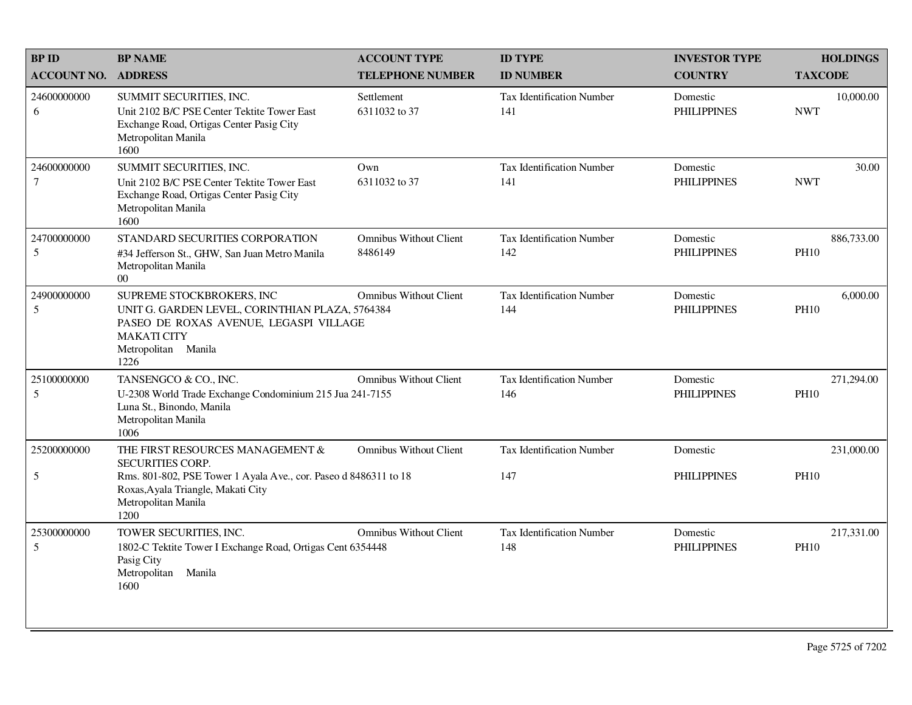| <b>BPID</b>           | <b>BP NAME</b>                                                                                                                                                              | <b>ACCOUNT TYPE</b>                      | <b>ID TYPE</b>                          | <b>INVESTOR TYPE</b>           | <b>HOLDINGS</b>           |
|-----------------------|-----------------------------------------------------------------------------------------------------------------------------------------------------------------------------|------------------------------------------|-----------------------------------------|--------------------------------|---------------------------|
| <b>ACCOUNT NO.</b>    | <b>ADDRESS</b>                                                                                                                                                              | <b>TELEPHONE NUMBER</b>                  | <b>ID NUMBER</b>                        | <b>COUNTRY</b>                 | <b>TAXCODE</b>            |
| 24600000000<br>6      | SUMMIT SECURITIES, INC.<br>Unit 2102 B/C PSE Center Tektite Tower East<br>Exchange Road, Ortigas Center Pasig City<br>Metropolitan Manila<br>1600                           | Settlement<br>6311032 to 37              | <b>Tax Identification Number</b><br>141 | Domestic<br><b>PHILIPPINES</b> | 10,000.00<br><b>NWT</b>   |
| 24600000000<br>$\tau$ | SUMMIT SECURITIES, INC.<br>Unit 2102 B/C PSE Center Tektite Tower East<br>Exchange Road, Ortigas Center Pasig City<br>Metropolitan Manila<br>1600                           | Own<br>6311032 to 37                     | Tax Identification Number<br>141        | Domestic<br><b>PHILIPPINES</b> | 30.00<br><b>NWT</b>       |
| 24700000000<br>5      | STANDARD SECURITIES CORPORATION<br>#34 Jefferson St., GHW, San Juan Metro Manila<br>Metropolitan Manila<br>00 <sup>°</sup>                                                  | <b>Omnibus Without Client</b><br>8486149 | <b>Tax Identification Number</b><br>142 | Domestic<br><b>PHILIPPINES</b> | 886,733.00<br><b>PH10</b> |
| 24900000000<br>5      | SUPREME STOCKBROKERS, INC<br>UNIT G. GARDEN LEVEL, CORINTHIAN PLAZA, 5764384<br>PASEO DE ROXAS AVENUE, LEGASPI VILLAGE<br><b>MAKATI CITY</b><br>Metropolitan Manila<br>1226 | <b>Omnibus Without Client</b>            | <b>Tax Identification Number</b><br>144 | Domestic<br><b>PHILIPPINES</b> | 6,000.00<br><b>PH10</b>   |
| 25100000000<br>5      | TANSENGCO & CO., INC.<br>U-2308 World Trade Exchange Condominium 215 Jua 241-7155<br>Luna St., Binondo, Manila<br>Metropolitan Manila<br>1006                               | Omnibus Without Client                   | <b>Tax Identification Number</b><br>146 | Domestic<br><b>PHILIPPINES</b> | 271,294.00<br><b>PH10</b> |
| 25200000000           | THE FIRST RESOURCES MANAGEMENT &<br><b>SECURITIES CORP.</b>                                                                                                                 | <b>Omnibus Without Client</b>            | Tax Identification Number               | Domestic                       | 231,000.00                |
| $\sqrt{5}$            | Rms. 801-802, PSE Tower 1 Ayala Ave., cor. Paseo d 8486311 to 18<br>Roxas, Ayala Triangle, Makati City<br>Metropolitan Manila<br>1200                                       |                                          | 147                                     | <b>PHILIPPINES</b>             | <b>PH10</b>               |
| 25300000000<br>5      | TOWER SECURITIES, INC.<br>1802-C Tektite Tower I Exchange Road, Ortigas Cent 6354448<br>Pasig City<br>Metropolitan Manila<br>1600                                           | <b>Omnibus Without Client</b>            | Tax Identification Number<br>148        | Domestic<br><b>PHILIPPINES</b> | 217,331.00<br><b>PH10</b> |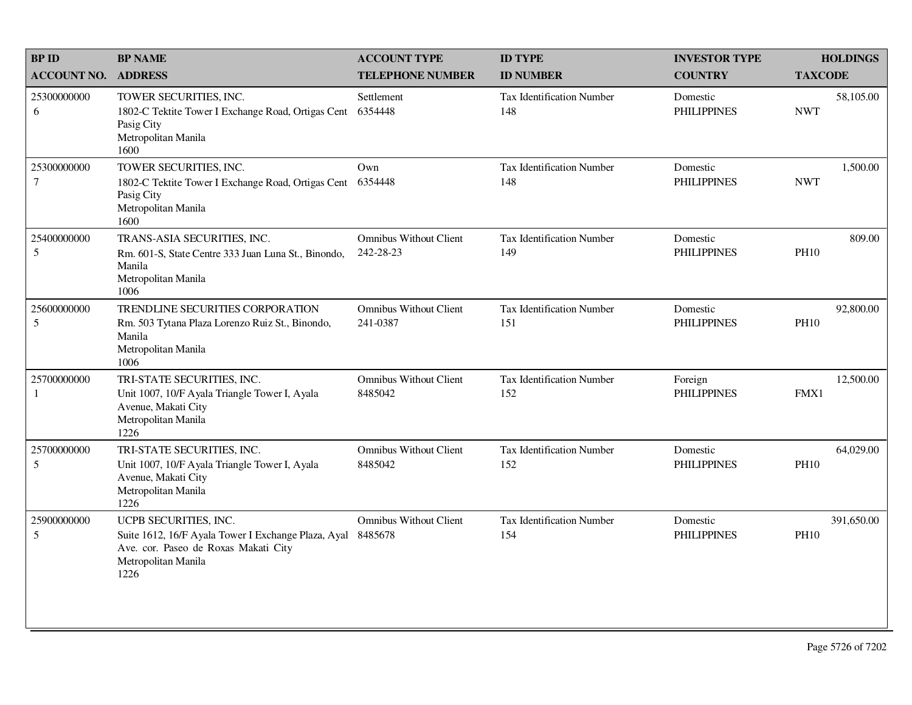| <b>BPID</b>                    | <b>BP NAME</b>                                                                                                                                      | <b>ACCOUNT TYPE</b>                        | <b>ID TYPE</b>                          | <b>INVESTOR TYPE</b>           | <b>HOLDINGS</b>           |
|--------------------------------|-----------------------------------------------------------------------------------------------------------------------------------------------------|--------------------------------------------|-----------------------------------------|--------------------------------|---------------------------|
| <b>ACCOUNT NO.</b>             | <b>ADDRESS</b>                                                                                                                                      | <b>TELEPHONE NUMBER</b>                    | <b>ID NUMBER</b>                        | <b>COUNTRY</b>                 | <b>TAXCODE</b>            |
| 25300000000<br>6               | TOWER SECURITIES, INC.<br>1802-C Tektite Tower I Exchange Road, Ortigas Cent<br>Pasig City<br>Metropolitan Manila<br>1600                           | Settlement<br>6354448                      | Tax Identification Number<br>148        | Domestic<br><b>PHILIPPINES</b> | 58,105.00<br><b>NWT</b>   |
| 25300000000<br>$7\phantom{.0}$ | TOWER SECURITIES, INC.<br>1802-C Tektite Tower I Exchange Road, Ortigas Cent<br>Pasig City<br>Metropolitan Manila<br>1600                           | Own<br>6354448                             | Tax Identification Number<br>148        | Domestic<br><b>PHILIPPINES</b> | 1,500.00<br><b>NWT</b>    |
| 25400000000<br>5               | TRANS-ASIA SECURITIES, INC.<br>Rm. 601-S, State Centre 333 Juan Luna St., Binondo,<br>Manila<br>Metropolitan Manila<br>1006                         | <b>Omnibus Without Client</b><br>242-28-23 | <b>Tax Identification Number</b><br>149 | Domestic<br><b>PHILIPPINES</b> | 809.00<br><b>PH10</b>     |
| 25600000000<br>5               | TRENDLINE SECURITIES CORPORATION<br>Rm. 503 Tytana Plaza Lorenzo Ruiz St., Binondo,<br>Manila<br>Metropolitan Manila<br>1006                        | <b>Omnibus Without Client</b><br>241-0387  | <b>Tax Identification Number</b><br>151 | Domestic<br><b>PHILIPPINES</b> | 92,800.00<br><b>PH10</b>  |
| 25700000000<br>$\mathbf{1}$    | TRI-STATE SECURITIES, INC.<br>Unit 1007, 10/F Ayala Triangle Tower I, Ayala<br>Avenue, Makati City<br>Metropolitan Manila<br>1226                   | <b>Omnibus Without Client</b><br>8485042   | <b>Tax Identification Number</b><br>152 | Foreign<br><b>PHILIPPINES</b>  | 12,500.00<br>FMX1         |
| 25700000000<br>5               | TRI-STATE SECURITIES, INC.<br>Unit 1007, 10/F Ayala Triangle Tower I, Ayala<br>Avenue, Makati City<br>Metropolitan Manila<br>1226                   | <b>Omnibus Without Client</b><br>8485042   | <b>Tax Identification Number</b><br>152 | Domestic<br><b>PHILIPPINES</b> | 64,029.00<br><b>PH10</b>  |
| 25900000000<br>5               | UCPB SECURITIES, INC.<br>Suite 1612, 16/F Ayala Tower I Exchange Plaza, Ayal<br>Ave. cor. Paseo de Roxas Makati City<br>Metropolitan Manila<br>1226 | <b>Omnibus Without Client</b><br>8485678   | Tax Identification Number<br>154        | Domestic<br><b>PHILIPPINES</b> | 391,650.00<br><b>PH10</b> |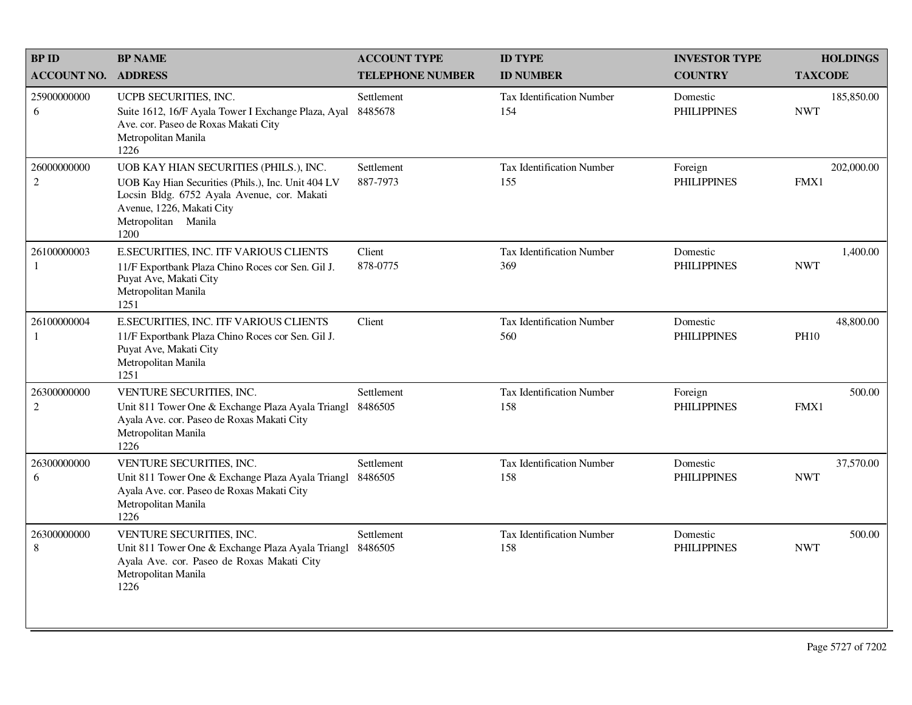| <b>BPID</b>                     | <b>BP NAME</b>                                                                                                                                                                                          | <b>ACCOUNT TYPE</b>     | <b>ID TYPE</b>                          | <b>INVESTOR TYPE</b>           | <b>HOLDINGS</b>          |
|---------------------------------|---------------------------------------------------------------------------------------------------------------------------------------------------------------------------------------------------------|-------------------------|-----------------------------------------|--------------------------------|--------------------------|
| <b>ACCOUNT NO.</b>              | <b>ADDRESS</b>                                                                                                                                                                                          | <b>TELEPHONE NUMBER</b> | <b>ID NUMBER</b>                        | <b>COUNTRY</b>                 | <b>TAXCODE</b>           |
| 25900000000<br>6                | UCPB SECURITIES, INC.<br>Suite 1612, 16/F Ayala Tower I Exchange Plaza, Ayal<br>Ave. cor. Paseo de Roxas Makati City<br>Metropolitan Manila<br>1226                                                     | Settlement<br>8485678   | <b>Tax Identification Number</b><br>154 | Domestic<br><b>PHILIPPINES</b> | 185,850.00<br><b>NWT</b> |
| 26000000000<br>$\overline{2}$   | UOB KAY HIAN SECURITIES (PHILS.), INC.<br>UOB Kay Hian Securities (Phils.), Inc. Unit 404 LV<br>Locsin Bldg. 6752 Ayala Avenue, cor. Makati<br>Avenue, 1226, Makati City<br>Metropolitan Manila<br>1200 | Settlement<br>887-7973  | Tax Identification Number<br>155        | Foreign<br><b>PHILIPPINES</b>  | 202,000.00<br>FMX1       |
| 26100000003<br>1                | E.SECURITIES, INC. ITF VARIOUS CLIENTS<br>11/F Exportbank Plaza Chino Roces cor Sen. Gil J.<br>Puyat Ave, Makati City<br>Metropolitan Manila<br>1251                                                    | Client<br>878-0775      | <b>Tax Identification Number</b><br>369 | Domestic<br><b>PHILIPPINES</b> | 1,400.00<br><b>NWT</b>   |
| 26100000004<br>1                | E.SECURITIES, INC. ITF VARIOUS CLIENTS<br>11/F Exportbank Plaza Chino Roces cor Sen. Gil J.<br>Puyat Ave, Makati City<br>Metropolitan Manila<br>1251                                                    | Client                  | Tax Identification Number<br>560        | Domestic<br><b>PHILIPPINES</b> | 48,800.00<br><b>PH10</b> |
| 26300000000<br>$\boldsymbol{2}$ | VENTURE SECURITIES, INC.<br>Unit 811 Tower One & Exchange Plaza Ayala Triangl<br>Ayala Ave. cor. Paseo de Roxas Makati City<br>Metropolitan Manila<br>1226                                              | Settlement<br>8486505   | Tax Identification Number<br>158        | Foreign<br><b>PHILIPPINES</b>  | 500.00<br>FMX1           |
| 26300000000<br>6                | VENTURE SECURITIES, INC.<br>Unit 811 Tower One & Exchange Plaza Ayala Triangl<br>Ayala Ave. cor. Paseo de Roxas Makati City<br>Metropolitan Manila<br>1226                                              | Settlement<br>8486505   | Tax Identification Number<br>158        | Domestic<br><b>PHILIPPINES</b> | 37,570.00<br><b>NWT</b>  |
| 26300000000<br>8                | VENTURE SECURITIES, INC.<br>Unit 811 Tower One & Exchange Plaza Ayala Triangl<br>Ayala Ave. cor. Paseo de Roxas Makati City<br>Metropolitan Manila<br>1226                                              | Settlement<br>8486505   | <b>Tax Identification Number</b><br>158 | Domestic<br><b>PHILIPPINES</b> | 500.00<br><b>NWT</b>     |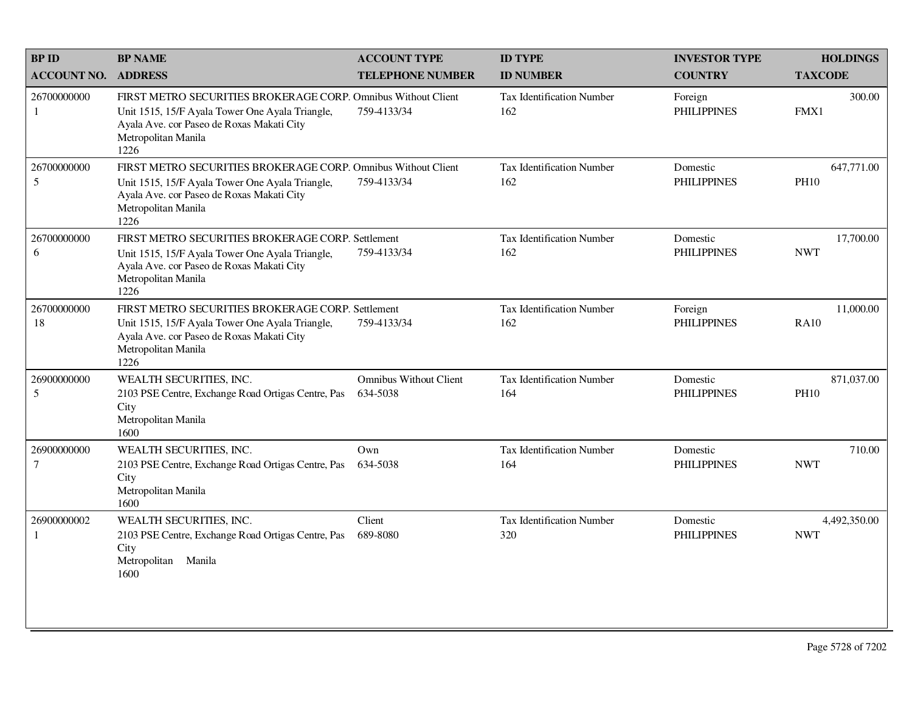| <b>BPID</b>                     | <b>BP NAME</b>                                                                                                                                                                               | <b>ACCOUNT TYPE</b>                       | <b>ID TYPE</b>                          | <b>INVESTOR TYPE</b>           | <b>HOLDINGS</b>            |
|---------------------------------|----------------------------------------------------------------------------------------------------------------------------------------------------------------------------------------------|-------------------------------------------|-----------------------------------------|--------------------------------|----------------------------|
| <b>ACCOUNT NO.</b>              | <b>ADDRESS</b>                                                                                                                                                                               | <b>TELEPHONE NUMBER</b>                   | <b>ID NUMBER</b>                        | <b>COUNTRY</b>                 | <b>TAXCODE</b>             |
| 26700000000<br>1                | FIRST METRO SECURITIES BROKERAGE CORP. Omnibus Without Client<br>Unit 1515, 15/F Ayala Tower One Ayala Triangle,<br>Ayala Ave. cor Paseo de Roxas Makati City<br>Metropolitan Manila<br>1226 | 759-4133/34                               | Tax Identification Number<br>162        | Foreign<br><b>PHILIPPINES</b>  | 300.00<br>FMX1             |
| 26700000000<br>5                | FIRST METRO SECURITIES BROKERAGE CORP. Omnibus Without Client<br>Unit 1515, 15/F Ayala Tower One Ayala Triangle,<br>Ayala Ave. cor Paseo de Roxas Makati City<br>Metropolitan Manila<br>1226 | 759-4133/34                               | Tax Identification Number<br>162        | Domestic<br><b>PHILIPPINES</b> | 647,771.00<br><b>PH10</b>  |
| 26700000000<br>6                | FIRST METRO SECURITIES BROKERAGE CORP. Settlement<br>Unit 1515, 15/F Ayala Tower One Ayala Triangle,<br>Ayala Ave. cor Paseo de Roxas Makati City<br>Metropolitan Manila<br>1226             | 759-4133/34                               | <b>Tax Identification Number</b><br>162 | Domestic<br><b>PHILIPPINES</b> | 17,700.00<br><b>NWT</b>    |
| 26700000000<br>18               | FIRST METRO SECURITIES BROKERAGE CORP. Settlement<br>Unit 1515, 15/F Ayala Tower One Ayala Triangle,<br>Ayala Ave. cor Paseo de Roxas Makati City<br>Metropolitan Manila<br>1226             | 759-4133/34                               | <b>Tax Identification Number</b><br>162 | Foreign<br><b>PHILIPPINES</b>  | 11,000.00<br><b>RA10</b>   |
| 26900000000<br>5                | WEALTH SECURITIES, INC.<br>2103 PSE Centre, Exchange Road Ortigas Centre, Pas<br>City<br>Metropolitan Manila<br>1600                                                                         | <b>Omnibus Without Client</b><br>634-5038 | <b>Tax Identification Number</b><br>164 | Domestic<br><b>PHILIPPINES</b> | 871,037.00<br><b>PH10</b>  |
| 26900000000<br>$\boldsymbol{7}$ | WEALTH SECURITIES, INC.<br>2103 PSE Centre, Exchange Road Ortigas Centre, Pas<br>City<br>Metropolitan Manila<br>1600                                                                         | Own<br>634-5038                           | <b>Tax Identification Number</b><br>164 | Domestic<br><b>PHILIPPINES</b> | 710.00<br><b>NWT</b>       |
| 26900000002<br>1                | WEALTH SECURITIES, INC.<br>2103 PSE Centre, Exchange Road Ortigas Centre, Pas<br>City<br>Metropolitan Manila<br>1600                                                                         | Client<br>689-8080                        | <b>Tax Identification Number</b><br>320 | Domestic<br><b>PHILIPPINES</b> | 4,492,350.00<br><b>NWT</b> |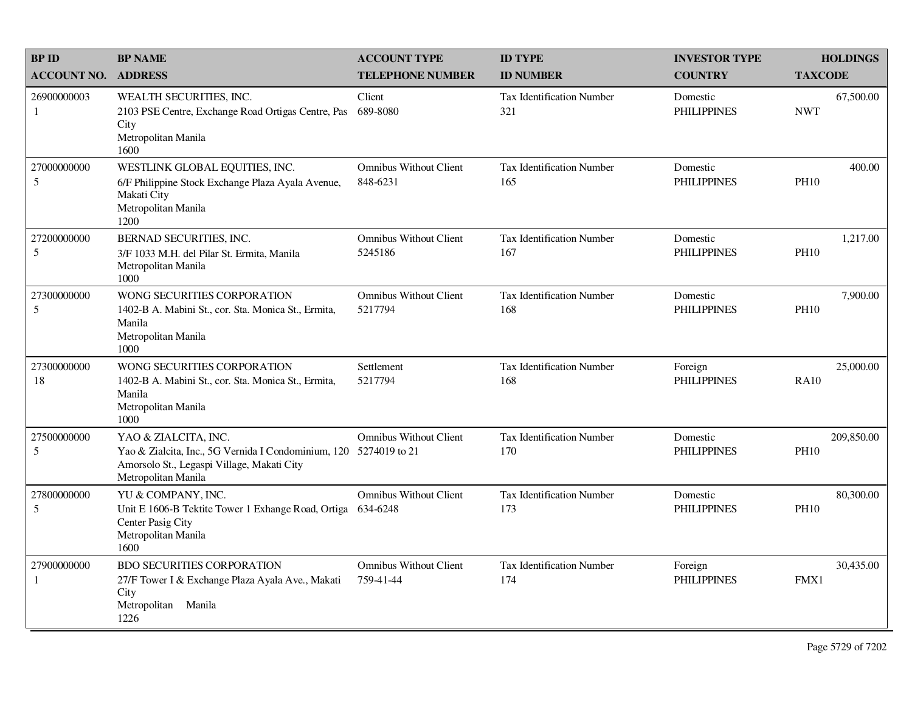| <b>BP ID</b>                | <b>BP NAME</b>                                                                                                                                                 | <b>ACCOUNT TYPE</b>                        | <b>ID TYPE</b>                          | <b>INVESTOR TYPE</b>           | <b>HOLDINGS</b>           |
|-----------------------------|----------------------------------------------------------------------------------------------------------------------------------------------------------------|--------------------------------------------|-----------------------------------------|--------------------------------|---------------------------|
| <b>ACCOUNT NO.</b>          | <b>ADDRESS</b>                                                                                                                                                 | <b>TELEPHONE NUMBER</b>                    | <b>ID NUMBER</b>                        | <b>COUNTRY</b>                 | <b>TAXCODE</b>            |
| 26900000003<br>1            | WEALTH SECURITIES, INC.<br>2103 PSE Centre, Exchange Road Ortigas Centre, Pas<br>City<br>Metropolitan Manila<br>1600                                           | Client<br>689-8080                         | <b>Tax Identification Number</b><br>321 | Domestic<br><b>PHILIPPINES</b> | 67,500.00<br><b>NWT</b>   |
| 27000000000<br>5            | WESTLINK GLOBAL EQUITIES, INC.<br>6/F Philippine Stock Exchange Plaza Ayala Avenue,<br>Makati City<br>Metropolitan Manila<br>1200                              | <b>Omnibus Without Client</b><br>848-6231  | <b>Tax Identification Number</b><br>165 | Domestic<br><b>PHILIPPINES</b> | 400.00<br><b>PH10</b>     |
| 27200000000<br>5            | BERNAD SECURITIES, INC.<br>3/F 1033 M.H. del Pilar St. Ermita, Manila<br>Metropolitan Manila<br>1000                                                           | <b>Omnibus Without Client</b><br>5245186   | <b>Tax Identification Number</b><br>167 | Domestic<br><b>PHILIPPINES</b> | 1,217.00<br><b>PH10</b>   |
| 27300000000<br>5            | WONG SECURITIES CORPORATION<br>1402-B A. Mabini St., cor. Sta. Monica St., Ermita,<br>Manila<br>Metropolitan Manila<br>1000                                    | <b>Omnibus Without Client</b><br>5217794   | Tax Identification Number<br>168        | Domestic<br><b>PHILIPPINES</b> | 7,900.00<br><b>PH10</b>   |
| 27300000000<br>18           | WONG SECURITIES CORPORATION<br>1402-B A. Mabini St., cor. Sta. Monica St., Ermita,<br>Manila<br>Metropolitan Manila<br>1000                                    | Settlement<br>5217794                      | <b>Tax Identification Number</b><br>168 | Foreign<br><b>PHILIPPINES</b>  | 25,000.00<br><b>RA10</b>  |
| 27500000000<br>5            | YAO & ZIALCITA, INC.<br>Yao & Zialcita, Inc., 5G Vernida I Condominium, 120 5274019 to 21<br>Amorsolo St., Legaspi Village, Makati City<br>Metropolitan Manila | <b>Omnibus Without Client</b>              | <b>Tax Identification Number</b><br>170 | Domestic<br><b>PHILIPPINES</b> | 209,850.00<br><b>PH10</b> |
| 27800000000<br>5            | YU & COMPANY, INC.<br>Unit E 1606-B Tektite Tower 1 Exhange Road, Ortiga<br>Center Pasig City<br>Metropolitan Manila<br>1600                                   | <b>Omnibus Without Client</b><br>634-6248  | <b>Tax Identification Number</b><br>173 | Domestic<br><b>PHILIPPINES</b> | 80,300.00<br><b>PH10</b>  |
| 27900000000<br>$\mathbf{1}$ | <b>BDO SECURITIES CORPORATION</b><br>27/F Tower I & Exchange Plaza Ayala Ave., Makati<br>City<br>Metropolitan<br>Manila<br>1226                                | <b>Omnibus Without Client</b><br>759-41-44 | <b>Tax Identification Number</b><br>174 | Foreign<br><b>PHILIPPINES</b>  | 30,435.00<br>FMX1         |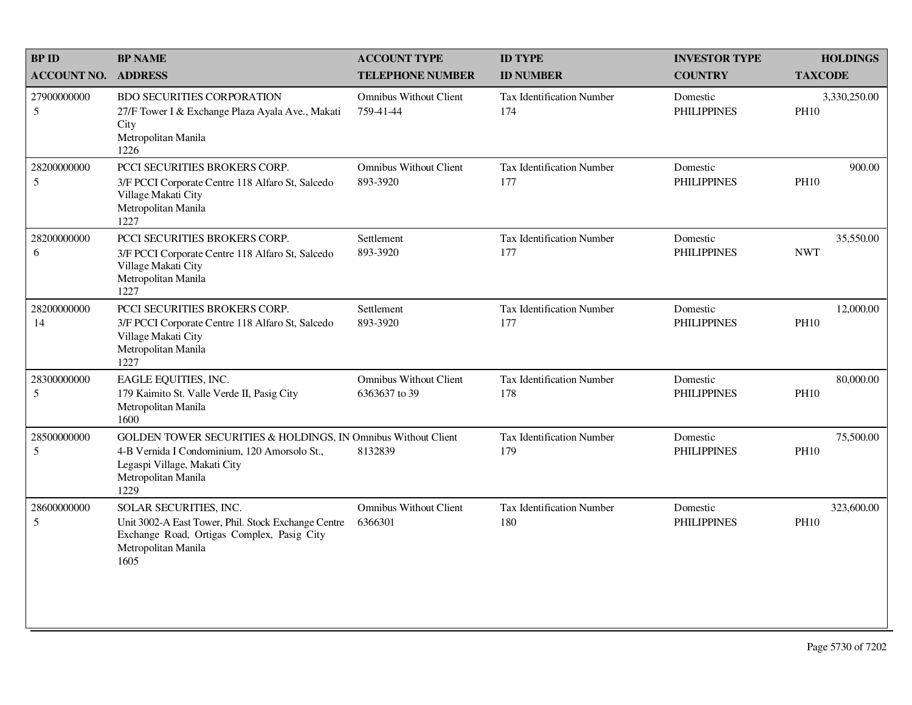| <b>BP ID</b>       | <b>BP NAME</b>                                                                                                                                                               | <b>ACCOUNT TYPE</b>                            | <b>ID TYPE</b>                          | <b>INVESTOR TYPE</b>           | <b>HOLDINGS</b>             |
|--------------------|------------------------------------------------------------------------------------------------------------------------------------------------------------------------------|------------------------------------------------|-----------------------------------------|--------------------------------|-----------------------------|
| <b>ACCOUNT NO.</b> | <b>ADDRESS</b>                                                                                                                                                               | <b>TELEPHONE NUMBER</b>                        | <b>ID NUMBER</b>                        | <b>COUNTRY</b>                 | <b>TAXCODE</b>              |
| 27900000000<br>5   | <b>BDO SECURITIES CORPORATION</b><br>27/F Tower I & Exchange Plaza Ayala Ave., Makati<br>City<br>Metropolitan Manila<br>1226                                                 | <b>Omnibus Without Client</b><br>759-41-44     | Tax Identification Number<br>174        | Domestic<br><b>PHILIPPINES</b> | 3,330,250.00<br><b>PH10</b> |
| 28200000000<br>5   | PCCI SECURITIES BROKERS CORP.<br>3/F PCCI Corporate Centre 118 Alfaro St, Salcedo<br>Village Makati City<br>Metropolitan Manila<br>1227                                      | <b>Omnibus Without Client</b><br>893-3920      | Tax Identification Number<br>177        | Domestic<br><b>PHILIPPINES</b> | 900.00<br><b>PH10</b>       |
| 28200000000<br>6   | PCCI SECURITIES BROKERS CORP.<br>3/F PCCI Corporate Centre 118 Alfaro St, Salcedo<br>Village Makati City<br>Metropolitan Manila<br>1227                                      | Settlement<br>893-3920                         | <b>Tax Identification Number</b><br>177 | Domestic<br><b>PHILIPPINES</b> | 35,550.00<br><b>NWT</b>     |
| 28200000000<br>14  | PCCI SECURITIES BROKERS CORP.<br>3/F PCCI Corporate Centre 118 Alfaro St, Salcedo<br>Village Makati City<br>Metropolitan Manila<br>1227                                      | Settlement<br>893-3920                         | <b>Tax Identification Number</b><br>177 | Domestic<br><b>PHILIPPINES</b> | 12,000.00<br><b>PH10</b>    |
| 28300000000<br>5   | EAGLE EQUITIES, INC.<br>179 Kaimito St. Valle Verde II, Pasig City<br>Metropolitan Manila<br>1600                                                                            | <b>Omnibus Without Client</b><br>6363637 to 39 | <b>Tax Identification Number</b><br>178 | Domestic<br><b>PHILIPPINES</b> | 80,000.00<br><b>PH10</b>    |
| 28500000000<br>5   | GOLDEN TOWER SECURITIES & HOLDINGS, IN Omnibus Without Client<br>4-B Vernida I Condominium, 120 Amorsolo St.,<br>Legaspi Village, Makati City<br>Metropolitan Manila<br>1229 | 8132839                                        | <b>Tax Identification Number</b><br>179 | Domestic<br><b>PHILIPPINES</b> | 75,500.00<br><b>PH10</b>    |
| 28600000000<br>5   | SOLAR SECURITIES, INC.<br>Unit 3002-A East Tower, Phil. Stock Exchange Centre<br>Exchange Road, Ortigas Complex, Pasig City<br>Metropolitan Manila<br>1605                   | <b>Omnibus Without Client</b><br>6366301       | Tax Identification Number<br>180        | Domestic<br><b>PHILIPPINES</b> | 323,600.00<br><b>PH10</b>   |
|                    |                                                                                                                                                                              |                                                |                                         |                                |                             |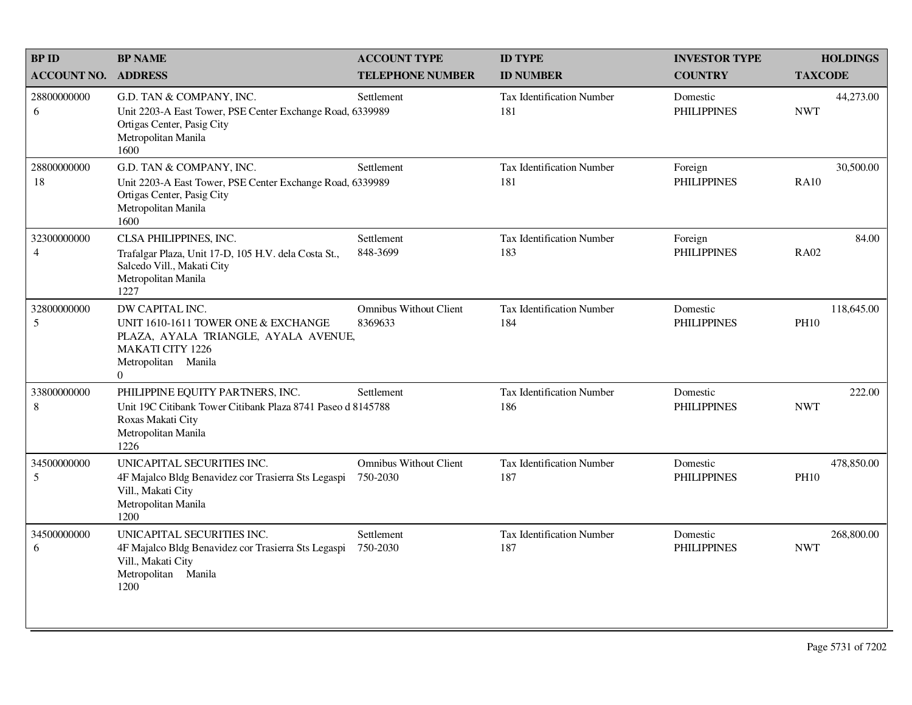| <b>BPID</b>                   | <b>BP NAME</b>                                                                                                                                                     | <b>ACCOUNT TYPE</b>                       | <b>ID TYPE</b>                          | <b>INVESTOR TYPE</b>           | <b>HOLDINGS</b>           |
|-------------------------------|--------------------------------------------------------------------------------------------------------------------------------------------------------------------|-------------------------------------------|-----------------------------------------|--------------------------------|---------------------------|
| <b>ACCOUNT NO.</b>            | <b>ADDRESS</b>                                                                                                                                                     | <b>TELEPHONE NUMBER</b>                   | <b>ID NUMBER</b>                        | <b>COUNTRY</b>                 | <b>TAXCODE</b>            |
| 28800000000<br>6              | G.D. TAN & COMPANY, INC.<br>Unit 2203-A East Tower, PSE Center Exchange Road, 6339989<br>Ortigas Center, Pasig City<br>Metropolitan Manila<br>1600                 | Settlement                                | <b>Tax Identification Number</b><br>181 | Domestic<br><b>PHILIPPINES</b> | 44,273.00<br><b>NWT</b>   |
| 28800000000<br>18             | G.D. TAN & COMPANY, INC.<br>Unit 2203-A East Tower, PSE Center Exchange Road, 6339989<br>Ortigas Center, Pasig City<br>Metropolitan Manila<br>1600                 | Settlement                                | <b>Tax Identification Number</b><br>181 | Foreign<br><b>PHILIPPINES</b>  | 30,500.00<br><b>RA10</b>  |
| 32300000000<br>$\overline{4}$ | CLSA PHILIPPINES, INC.<br>Trafalgar Plaza, Unit 17-D, 105 H.V. dela Costa St.,<br>Salcedo Vill., Makati City<br>Metropolitan Manila<br>1227                        | Settlement<br>848-3699                    | <b>Tax Identification Number</b><br>183 | Foreign<br><b>PHILIPPINES</b>  | 84.00<br><b>RA02</b>      |
| 32800000000<br>5              | DW CAPITAL INC.<br>UNIT 1610-1611 TOWER ONE & EXCHANGE<br>PLAZA, AYALA TRIANGLE, AYALA AVENUE,<br><b>MAKATI CITY 1226</b><br>Metropolitan Manila<br>$\overline{0}$ | <b>Omnibus Without Client</b><br>8369633  | <b>Tax Identification Number</b><br>184 | Domestic<br><b>PHILIPPINES</b> | 118,645.00<br><b>PH10</b> |
| 33800000000<br>8              | PHILIPPINE EQUITY PARTNERS, INC.<br>Unit 19C Citibank Tower Citibank Plaza 8741 Paseo d 8145788<br>Roxas Makati City<br>Metropolitan Manila<br>1226                | Settlement                                | Tax Identification Number<br>186        | Domestic<br><b>PHILIPPINES</b> | 222.00<br><b>NWT</b>      |
| 34500000000<br>5              | UNICAPITAL SECURITIES INC.<br>4F Majalco Bldg Benavidez cor Trasierra Sts Legaspi<br>Vill., Makati City<br>Metropolitan Manila<br>1200                             | <b>Omnibus Without Client</b><br>750-2030 | <b>Tax Identification Number</b><br>187 | Domestic<br><b>PHILIPPINES</b> | 478,850.00<br><b>PH10</b> |
| 34500000000<br>6              | UNICAPITAL SECURITIES INC.<br>4F Majalco Bldg Benavidez cor Trasierra Sts Legaspi<br>Vill., Makati City<br>Metropolitan Manila<br>1200                             | Settlement<br>750-2030                    | Tax Identification Number<br>187        | Domestic<br><b>PHILIPPINES</b> | 268,800.00<br><b>NWT</b>  |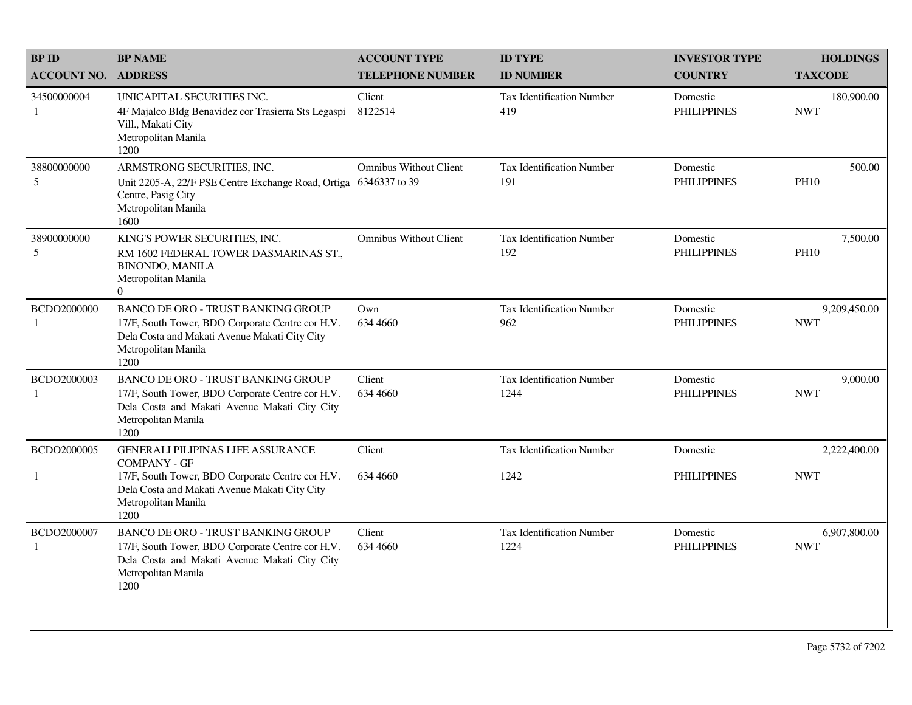| <b>BPID</b>                 | <b>BP NAME</b>                                                                                                                                                                | <b>ACCOUNT TYPE</b>                            | <b>ID TYPE</b>                          | <b>INVESTOR TYPE</b>           | <b>HOLDINGS</b>            |
|-----------------------------|-------------------------------------------------------------------------------------------------------------------------------------------------------------------------------|------------------------------------------------|-----------------------------------------|--------------------------------|----------------------------|
| <b>ACCOUNT NO.</b>          | <b>ADDRESS</b>                                                                                                                                                                | <b>TELEPHONE NUMBER</b>                        | <b>ID NUMBER</b>                        | <b>COUNTRY</b>                 | <b>TAXCODE</b>             |
| 34500000004<br>$\mathbf{1}$ | UNICAPITAL SECURITIES INC.<br>4F Majalco Bldg Benavidez cor Trasierra Sts Legaspi<br>Vill., Makati City<br>Metropolitan Manila<br>1200                                        | Client<br>8122514                              | <b>Tax Identification Number</b><br>419 | Domestic<br><b>PHILIPPINES</b> | 180,900.00<br><b>NWT</b>   |
| 38800000000<br>5            | ARMSTRONG SECURITIES, INC.<br>Unit 2205-A, 22/F PSE Centre Exchange Road, Ortiga<br>Centre, Pasig City<br>Metropolitan Manila<br>1600                                         | <b>Omnibus Without Client</b><br>6346337 to 39 | <b>Tax Identification Number</b><br>191 | Domestic<br><b>PHILIPPINES</b> | 500.00<br><b>PH10</b>      |
| 38900000000<br>5            | KING'S POWER SECURITIES, INC.<br>RM 1602 FEDERAL TOWER DASMARINAS ST.,<br><b>BINONDO, MANILA</b><br>Metropolitan Manila<br>$\Omega$                                           | <b>Omnibus Without Client</b>                  | <b>Tax Identification Number</b><br>192 | Domestic<br><b>PHILIPPINES</b> | 7,500.00<br><b>PH10</b>    |
| BCDO2000000<br>$\mathbf{1}$ | <b>BANCO DE ORO - TRUST BANKING GROUP</b><br>17/F, South Tower, BDO Corporate Centre cor H.V.<br>Dela Costa and Makati Avenue Makati City City<br>Metropolitan Manila<br>1200 | Own<br>634 4660                                | <b>Tax Identification Number</b><br>962 | Domestic<br><b>PHILIPPINES</b> | 9,209,450.00<br><b>NWT</b> |
| BCDO2000003<br>-1           | BANCO DE ORO - TRUST BANKING GROUP<br>17/F, South Tower, BDO Corporate Centre cor H.V.<br>Dela Costa and Makati Avenue Makati City City<br>Metropolitan Manila<br>1200        | Client<br>634 4660                             | Tax Identification Number<br>1244       | Domestic<br><b>PHILIPPINES</b> | 9,000.00<br><b>NWT</b>     |
| BCDO2000005                 | <b>GENERALI PILIPINAS LIFE ASSURANCE</b><br><b>COMPANY - GF</b>                                                                                                               | Client                                         | Tax Identification Number               | Domestic                       | 2,222,400.00               |
| $\mathbf{1}$                | 17/F, South Tower, BDO Corporate Centre cor H.V.<br>Dela Costa and Makati Avenue Makati City City<br>Metropolitan Manila<br>1200                                              | 634 4660                                       | 1242                                    | <b>PHILIPPINES</b>             | <b>NWT</b>                 |
| BCDO2000007<br>-1           | <b>BANCO DE ORO - TRUST BANKING GROUP</b><br>17/F, South Tower, BDO Corporate Centre cor H.V.<br>Dela Costa and Makati Avenue Makati City City<br>Metropolitan Manila<br>1200 | Client<br>634 4660                             | Tax Identification Number<br>1224       | Domestic<br><b>PHILIPPINES</b> | 6,907,800.00<br><b>NWT</b> |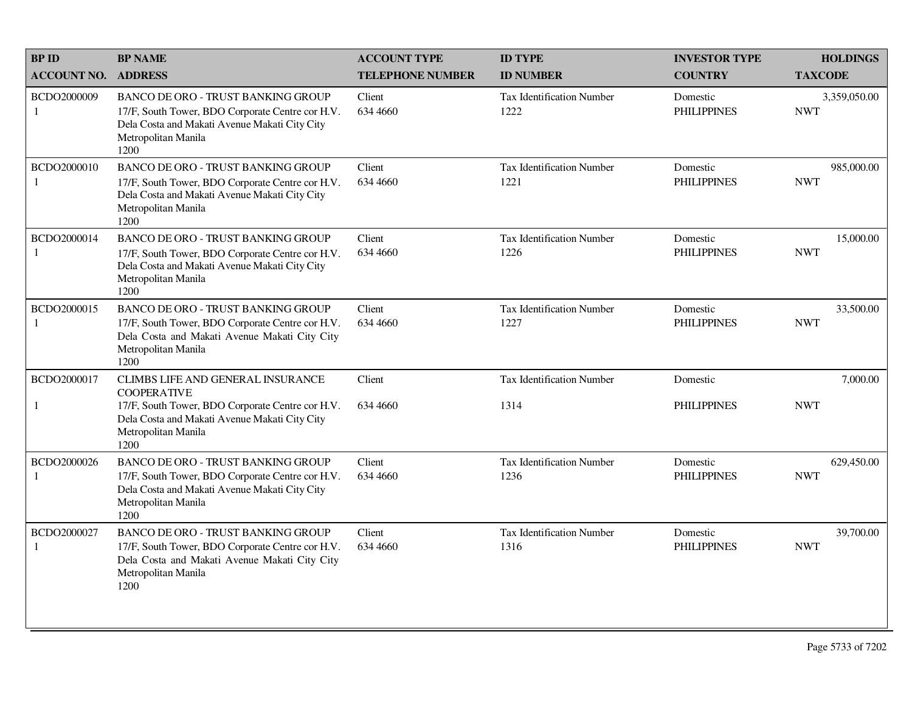| <b>BPID</b>        | <b>BP NAME</b>                                                                                                                                                                | <b>ACCOUNT TYPE</b>     | <b>ID TYPE</b>                           | <b>INVESTOR TYPE</b>           | <b>HOLDINGS</b>            |
|--------------------|-------------------------------------------------------------------------------------------------------------------------------------------------------------------------------|-------------------------|------------------------------------------|--------------------------------|----------------------------|
| <b>ACCOUNT NO.</b> | <b>ADDRESS</b>                                                                                                                                                                | <b>TELEPHONE NUMBER</b> | <b>ID NUMBER</b>                         | <b>COUNTRY</b>                 | <b>TAXCODE</b>             |
| BCDO2000009<br>1   | <b>BANCO DE ORO - TRUST BANKING GROUP</b><br>17/F, South Tower, BDO Corporate Centre cor H.V.<br>Dela Costa and Makati Avenue Makati City City<br>Metropolitan Manila<br>1200 | Client<br>634 4660      | Tax Identification Number<br>1222        | Domestic<br><b>PHILIPPINES</b> | 3,359,050.00<br><b>NWT</b> |
| BCDO2000010<br>1   | <b>BANCO DE ORO - TRUST BANKING GROUP</b><br>17/F, South Tower, BDO Corporate Centre cor H.V.<br>Dela Costa and Makati Avenue Makati City City<br>Metropolitan Manila<br>1200 | Client<br>634 4660      | <b>Tax Identification Number</b><br>1221 | Domestic<br><b>PHILIPPINES</b> | 985,000.00<br><b>NWT</b>   |
| BCDO2000014        | BANCO DE ORO - TRUST BANKING GROUP<br>17/F, South Tower, BDO Corporate Centre cor H.V.<br>Dela Costa and Makati Avenue Makati City City<br>Metropolitan Manila<br>1200        | Client<br>634 4660      | <b>Tax Identification Number</b><br>1226 | Domestic<br><b>PHILIPPINES</b> | 15,000.00<br><b>NWT</b>    |
| BCDO2000015<br>1   | <b>BANCO DE ORO - TRUST BANKING GROUP</b><br>17/F, South Tower, BDO Corporate Centre cor H.V.<br>Dela Costa and Makati Avenue Makati City City<br>Metropolitan Manila<br>1200 | Client<br>634 4660      | <b>Tax Identification Number</b><br>1227 | Domestic<br><b>PHILIPPINES</b> | 33,500.00<br><b>NWT</b>    |
| BCDO2000017        | CLIMBS LIFE AND GENERAL INSURANCE<br><b>COOPERATIVE</b>                                                                                                                       | Client                  | <b>Tax Identification Number</b>         | Domestic                       | 7,000.00                   |
| $\mathbf{1}$       | 17/F, South Tower, BDO Corporate Centre cor H.V.<br>Dela Costa and Makati Avenue Makati City City<br>Metropolitan Manila<br>1200                                              | 634 4660                | 1314                                     | <b>PHILIPPINES</b>             | <b>NWT</b>                 |
| BCDO2000026        | <b>BANCO DE ORO - TRUST BANKING GROUP</b><br>17/F, South Tower, BDO Corporate Centre cor H.V.<br>Dela Costa and Makati Avenue Makati City City<br>Metropolitan Manila<br>1200 | Client<br>634 4660      | <b>Tax Identification Number</b><br>1236 | Domestic<br><b>PHILIPPINES</b> | 629,450.00<br><b>NWT</b>   |
| BCDO2000027<br>-1  | BANCO DE ORO - TRUST BANKING GROUP<br>17/F, South Tower, BDO Corporate Centre cor H.V.<br>Dela Costa and Makati Avenue Makati City City<br>Metropolitan Manila<br>1200        | Client<br>634 4660      | <b>Tax Identification Number</b><br>1316 | Domestic<br><b>PHILIPPINES</b> | 39,700.00<br><b>NWT</b>    |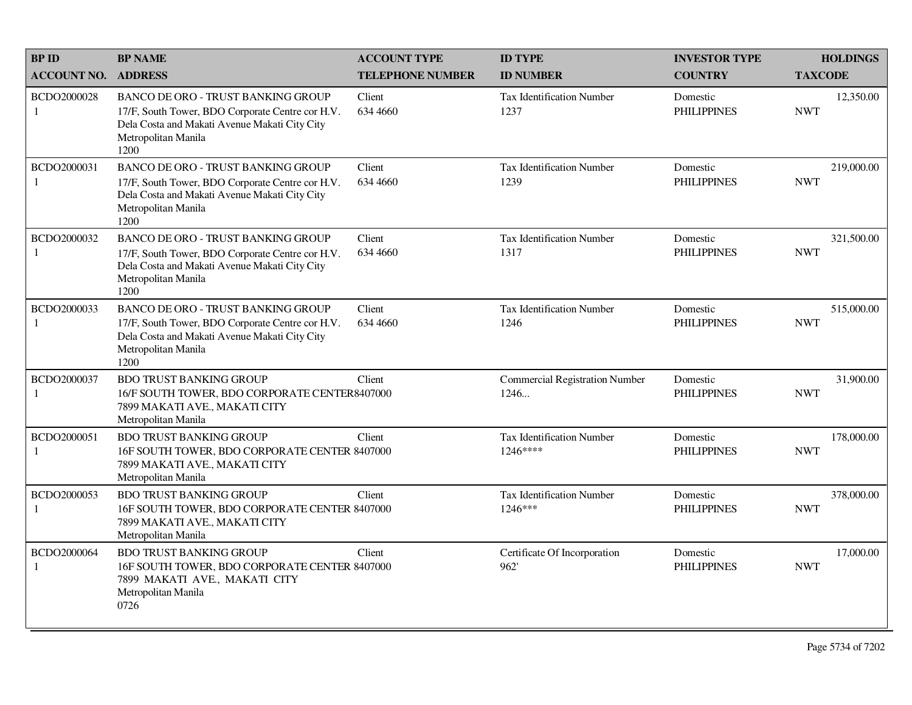| <b>BPID</b>                 | <b>BP NAME</b>                                                                                                                                                                | <b>ACCOUNT TYPE</b>     | <b>ID TYPE</b>                                | <b>INVESTOR TYPE</b>           | <b>HOLDINGS</b>          |
|-----------------------------|-------------------------------------------------------------------------------------------------------------------------------------------------------------------------------|-------------------------|-----------------------------------------------|--------------------------------|--------------------------|
| <b>ACCOUNT NO.</b>          | <b>ADDRESS</b>                                                                                                                                                                | <b>TELEPHONE NUMBER</b> | <b>ID NUMBER</b>                              | <b>COUNTRY</b>                 | <b>TAXCODE</b>           |
| BCDO2000028<br>1            | <b>BANCO DE ORO - TRUST BANKING GROUP</b><br>17/F, South Tower, BDO Corporate Centre cor H.V.<br>Dela Costa and Makati Avenue Makati City City<br>Metropolitan Manila<br>1200 | Client<br>634 4660      | <b>Tax Identification Number</b><br>1237      | Domestic<br><b>PHILIPPINES</b> | 12,350.00<br><b>NWT</b>  |
| BCDO2000031<br>1            | <b>BANCO DE ORO - TRUST BANKING GROUP</b><br>17/F, South Tower, BDO Corporate Centre cor H.V.<br>Dela Costa and Makati Avenue Makati City City<br>Metropolitan Manila<br>1200 | Client<br>634 4660      | <b>Tax Identification Number</b><br>1239      | Domestic<br><b>PHILIPPINES</b> | 219,000.00<br><b>NWT</b> |
| BCDO2000032<br>1            | <b>BANCO DE ORO - TRUST BANKING GROUP</b><br>17/F, South Tower, BDO Corporate Centre cor H.V.<br>Dela Costa and Makati Avenue Makati City City<br>Metropolitan Manila<br>1200 | Client<br>634 4660      | <b>Tax Identification Number</b><br>1317      | Domestic<br><b>PHILIPPINES</b> | 321,500.00<br><b>NWT</b> |
| BCDO2000033<br>-1           | <b>BANCO DE ORO - TRUST BANKING GROUP</b><br>17/F, South Tower, BDO Corporate Centre cor H.V.<br>Dela Costa and Makati Avenue Makati City City<br>Metropolitan Manila<br>1200 | Client<br>634 4660      | <b>Tax Identification Number</b><br>1246      | Domestic<br><b>PHILIPPINES</b> | 515,000.00<br><b>NWT</b> |
| BCDO2000037<br>-1           | <b>BDO TRUST BANKING GROUP</b><br>16/F SOUTH TOWER, BDO CORPORATE CENTER8407000<br>7899 MAKATI AVE., MAKATI CITY<br>Metropolitan Manila                                       | Client                  | <b>Commercial Registration Number</b><br>1246 | Domestic<br><b>PHILIPPINES</b> | 31,900.00<br><b>NWT</b>  |
| BCDO2000051<br>1            | <b>BDO TRUST BANKING GROUP</b><br>16F SOUTH TOWER, BDO CORPORATE CENTER 8407000<br>7899 MAKATI AVE., MAKATI CITY<br>Metropolitan Manila                                       | Client                  | <b>Tax Identification Number</b><br>1246****  | Domestic<br><b>PHILIPPINES</b> | 178,000.00<br><b>NWT</b> |
| BCDO2000053<br>-1           | <b>BDO TRUST BANKING GROUP</b><br>16F SOUTH TOWER, BDO CORPORATE CENTER 8407000<br>7899 MAKATI AVE., MAKATI CITY<br>Metropolitan Manila                                       | Client                  | Tax Identification Number<br>1246***          | Domestic<br><b>PHILIPPINES</b> | 378,000.00<br><b>NWT</b> |
| BCDO2000064<br>$\mathbf{1}$ | <b>BDO TRUST BANKING GROUP</b><br>16F SOUTH TOWER, BDO CORPORATE CENTER 8407000<br>7899 MAKATI AVE., MAKATI CITY<br>Metropolitan Manila<br>0726                               | Client                  | Certificate Of Incorporation<br>962'          | Domestic<br><b>PHILIPPINES</b> | 17,000.00<br><b>NWT</b>  |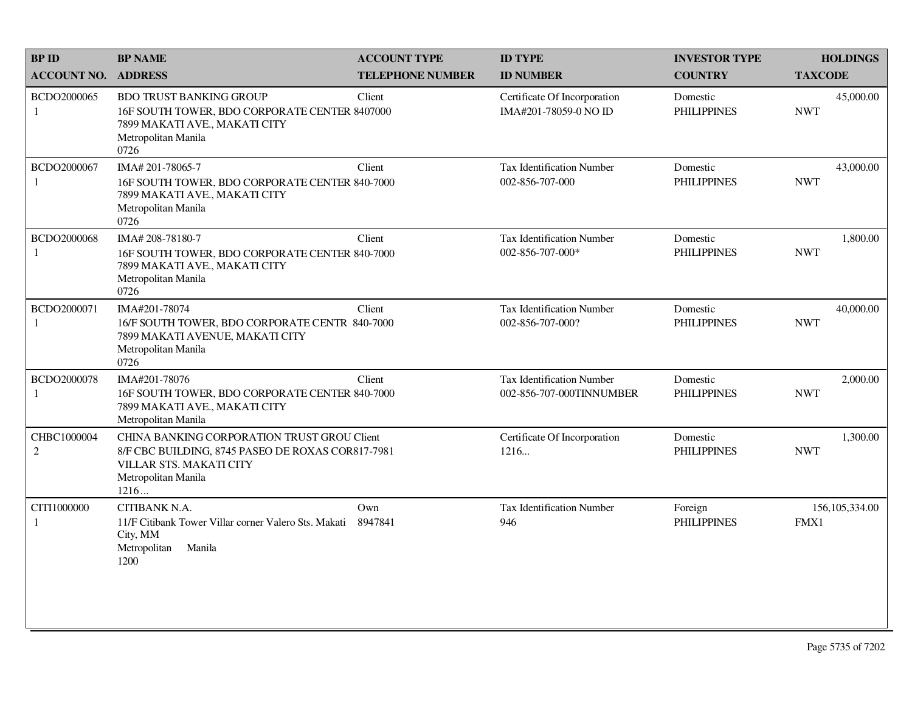| <b>BP ID</b>               | <b>BP NAME</b>                                                                                                                                             | <b>ACCOUNT TYPE</b>     | <b>ID TYPE</b>                                               | <b>INVESTOR TYPE</b>           | <b>HOLDINGS</b>          |
|----------------------------|------------------------------------------------------------------------------------------------------------------------------------------------------------|-------------------------|--------------------------------------------------------------|--------------------------------|--------------------------|
| <b>ACCOUNT NO. ADDRESS</b> |                                                                                                                                                            | <b>TELEPHONE NUMBER</b> | <b>ID NUMBER</b>                                             | <b>COUNTRY</b>                 | <b>TAXCODE</b>           |
| BCDO2000065<br>1           | <b>BDO TRUST BANKING GROUP</b><br>16F SOUTH TOWER, BDO CORPORATE CENTER 8407000<br>7899 MAKATI AVE., MAKATI CITY<br>Metropolitan Manila<br>0726            | Client                  | Certificate Of Incorporation<br>IMA#201-78059-0 NO ID        | Domestic<br><b>PHILIPPINES</b> | 45,000.00<br><b>NWT</b>  |
| BCDO2000067<br>1           | IMA# 201-78065-7<br>16F SOUTH TOWER, BDO CORPORATE CENTER 840-7000<br>7899 MAKATI AVE., MAKATI CITY<br>Metropolitan Manila<br>0726                         | Client                  | Tax Identification Number<br>002-856-707-000                 | Domestic<br><b>PHILIPPINES</b> | 43,000.00<br><b>NWT</b>  |
| BCDO2000068<br>1           | IMA#208-78180-7<br>16F SOUTH TOWER, BDO CORPORATE CENTER 840-7000<br>7899 MAKATI AVE., MAKATI CITY<br>Metropolitan Manila<br>0726                          | Client                  | <b>Tax Identification Number</b><br>002-856-707-000*         | Domestic<br><b>PHILIPPINES</b> | 1,800.00<br><b>NWT</b>   |
| BCDO2000071<br>-1          | IMA#201-78074<br>16/F SOUTH TOWER, BDO CORPORATE CENTR 840-7000<br>7899 MAKATI AVENUE, MAKATI CITY<br>Metropolitan Manila<br>0726                          | Client                  | <b>Tax Identification Number</b><br>002-856-707-000?         | Domestic<br><b>PHILIPPINES</b> | 40,000.00<br><b>NWT</b>  |
| BCDO2000078<br>-1          | IMA#201-78076<br>16F SOUTH TOWER, BDO CORPORATE CENTER 840-7000<br>7899 MAKATI AVE., MAKATI CITY<br>Metropolitan Manila                                    | Client                  | <b>Tax Identification Number</b><br>002-856-707-000TINNUMBER | Domestic<br><b>PHILIPPINES</b> | 2,000.00<br><b>NWT</b>   |
| CHBC1000004<br>2           | CHINA BANKING CORPORATION TRUST GROU Client<br>8/F CBC BUILDING, 8745 PASEO DE ROXAS COR817-7981<br>VILLAR STS. MAKATI CITY<br>Metropolitan Manila<br>1216 |                         | Certificate Of Incorporation<br>1216                         | Domestic<br><b>PHILIPPINES</b> | 1,300.00<br><b>NWT</b>   |
| CITI1000000<br>-1          | CITIBANK N.A.<br>11/F Citibank Tower Villar corner Valero Sts. Makati<br>City, MM<br>Metropolitan<br>Manila<br>1200                                        | Own<br>8947841          | <b>Tax Identification Number</b><br>946                      | Foreign<br><b>PHILIPPINES</b>  | 156, 105, 334.00<br>FMX1 |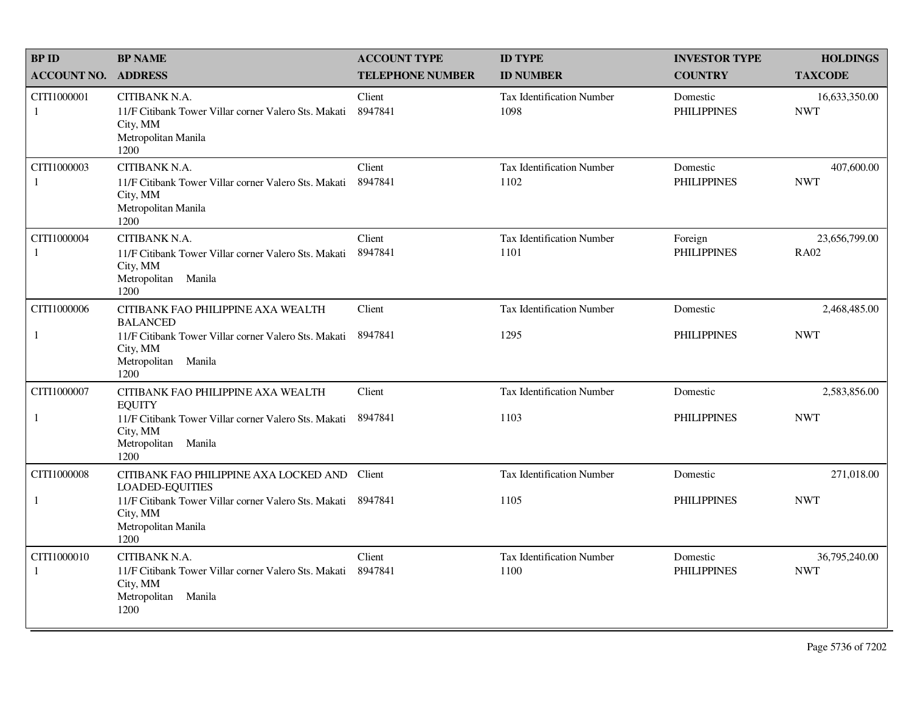| <b>BP ID</b>                | <b>BP NAME</b>                                                                                                      | <b>ACCOUNT TYPE</b>     | <b>ID TYPE</b>                           | <b>INVESTOR TYPE</b>           | <b>HOLDINGS</b>              |
|-----------------------------|---------------------------------------------------------------------------------------------------------------------|-------------------------|------------------------------------------|--------------------------------|------------------------------|
| <b>ACCOUNT NO.</b>          | <b>ADDRESS</b>                                                                                                      | <b>TELEPHONE NUMBER</b> | <b>ID NUMBER</b>                         | <b>COUNTRY</b>                 | <b>TAXCODE</b>               |
| CITI1000001<br>1            | CITIBANK N.A.<br>11/F Citibank Tower Villar corner Valero Sts. Makati<br>City, MM<br>Metropolitan Manila<br>1200    | Client<br>8947841       | <b>Tax Identification Number</b><br>1098 | Domestic<br><b>PHILIPPINES</b> | 16,633,350.00<br><b>NWT</b>  |
| CITI1000003<br>1            | CITIBANK N.A.<br>11/F Citibank Tower Villar corner Valero Sts. Makati<br>City, MM<br>Metropolitan Manila<br>1200    | Client<br>8947841       | Tax Identification Number<br>1102        | Domestic<br><b>PHILIPPINES</b> | 407,600.00<br><b>NWT</b>     |
| CITI1000004<br>1            | CITIBANK N.A.<br>11/F Citibank Tower Villar corner Valero Sts. Makati<br>City, MM<br>Metropolitan Manila<br>1200    | Client<br>8947841       | <b>Tax Identification Number</b><br>1101 | Foreign<br><b>PHILIPPINES</b>  | 23,656,799.00<br><b>RA02</b> |
| CITI1000006                 | CITIBANK FAO PHILIPPINE AXA WEALTH<br><b>BALANCED</b>                                                               | Client                  | <b>Tax Identification Number</b>         | Domestic                       | 2,468,485.00                 |
| 1                           | 11/F Citibank Tower Villar corner Valero Sts. Makati<br>City, MM<br>Metropolitan Manila<br>1200                     | 8947841                 | 1295                                     | <b>PHILIPPINES</b>             | <b>NWT</b>                   |
| CITI1000007                 | CITIBANK FAO PHILIPPINE AXA WEALTH<br><b>EQUITY</b>                                                                 | Client                  | Tax Identification Number                | Domestic                       | 2,583,856.00                 |
| 1                           | 11/F Citibank Tower Villar corner Valero Sts. Makati<br>City, MM<br>Metropolitan Manila<br>1200                     | 8947841                 | 1103                                     | <b>PHILIPPINES</b>             | <b>NWT</b>                   |
| CITI1000008                 | CITIBANK FAO PHILIPPINE AXA LOCKED AND<br><b>LOADED-EQUITIES</b>                                                    | Client                  | Tax Identification Number                | Domestic                       | 271,018.00                   |
| $\mathbf{1}$                | 11/F Citibank Tower Villar corner Valero Sts. Makati<br>City, MM<br>Metropolitan Manila<br>1200                     | 8947841                 | 1105                                     | <b>PHILIPPINES</b>             | <b>NWT</b>                   |
| CITI1000010<br>$\mathbf{1}$ | CITIBANK N.A.<br>11/F Citibank Tower Villar corner Valero Sts. Makati<br>City, MM<br>Metropolitan<br>Manila<br>1200 | Client<br>8947841       | <b>Tax Identification Number</b><br>1100 | Domestic<br><b>PHILIPPINES</b> | 36,795,240.00<br><b>NWT</b>  |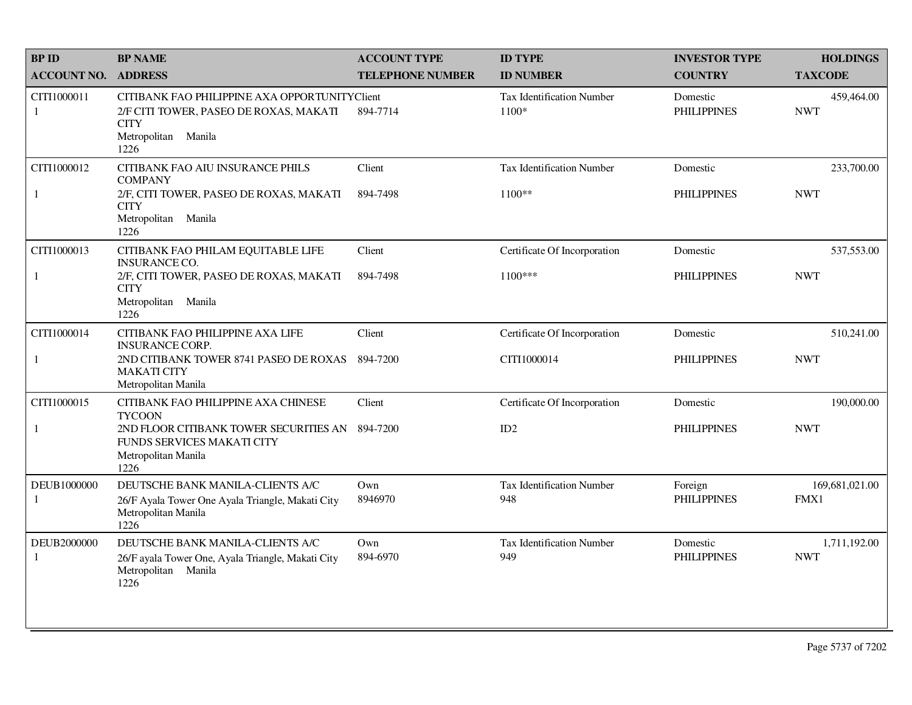| <b>BP ID</b>       | <b>BP NAME</b>                                                                                                                        | <b>ACCOUNT TYPE</b>     | <b>ID TYPE</b>                            | <b>INVESTOR TYPE</b>           | <b>HOLDINGS</b>            |
|--------------------|---------------------------------------------------------------------------------------------------------------------------------------|-------------------------|-------------------------------------------|--------------------------------|----------------------------|
| <b>ACCOUNT NO.</b> | <b>ADDRESS</b>                                                                                                                        | <b>TELEPHONE NUMBER</b> | <b>ID NUMBER</b>                          | <b>COUNTRY</b>                 | <b>TAXCODE</b>             |
| CITI1000011<br>1   | CITIBANK FAO PHILIPPINE AXA OPPORTUNITYClient<br>2/F CITI TOWER, PASEO DE ROXAS, MAKATI<br><b>CITY</b><br>Metropolitan Manila<br>1226 | 894-7714                | <b>Tax Identification Number</b><br>1100* | Domestic<br><b>PHILIPPINES</b> | 459,464.00<br><b>NWT</b>   |
| CITI1000012        | CITIBANK FAO AIU INSURANCE PHILS<br><b>COMPANY</b>                                                                                    | Client                  | <b>Tax Identification Number</b>          | Domestic                       | 233,700.00                 |
| 1                  | 2/F, CITI TOWER, PASEO DE ROXAS, MAKATI<br><b>CITY</b><br>Metropolitan Manila<br>1226                                                 | 894-7498                | $1100**$                                  | <b>PHILIPPINES</b>             | <b>NWT</b>                 |
| CITI1000013        | CITIBANK FAO PHILAM EQUITABLE LIFE<br><b>INSURANCE CO.</b>                                                                            | Client                  | Certificate Of Incorporation              | Domestic                       | 537,553.00                 |
| 1                  | 2/F, CITI TOWER, PASEO DE ROXAS, MAKATI<br><b>CITY</b><br>Metropolitan Manila<br>1226                                                 | 894-7498                | 1100***                                   | <b>PHILIPPINES</b>             | <b>NWT</b>                 |
| CITI1000014        | CITIBANK FAO PHILIPPINE AXA LIFE<br><b>INSURANCE CORP.</b>                                                                            | Client                  | Certificate Of Incorporation              | Domestic                       | 510,241.00                 |
| $\mathbf{1}$       | 2ND CITIBANK TOWER 8741 PASEO DE ROXAS<br><b>MAKATI CITY</b><br>Metropolitan Manila                                                   | 894-7200                | CITI1000014                               | <b>PHILIPPINES</b>             | <b>NWT</b>                 |
| CITI1000015        | CITIBANK FAO PHILIPPINE AXA CHINESE<br><b>TYCOON</b>                                                                                  | Client                  | Certificate Of Incorporation              | Domestic                       | 190,000.00                 |
| 1                  | 2ND FLOOR CITIBANK TOWER SECURITIES AN 894-7200<br>FUNDS SERVICES MAKATI CITY<br>Metropolitan Manila<br>1226                          |                         | ID2                                       | <b>PHILIPPINES</b>             | <b>NWT</b>                 |
| DEUB1000000<br>-1  | DEUTSCHE BANK MANILA-CLIENTS A/C<br>26/F Ayala Tower One Ayala Triangle, Makati City<br>Metropolitan Manila<br>1226                   | Own<br>8946970          | <b>Tax Identification Number</b><br>948   | Foreign<br><b>PHILIPPINES</b>  | 169,681,021.00<br>FMX1     |
| DEUB2000000<br>1   | DEUTSCHE BANK MANILA-CLIENTS A/C<br>26/F ayala Tower One, Ayala Triangle, Makati City<br>Metropolitan Manila<br>1226                  | Own<br>894-6970         | Tax Identification Number<br>949          | Domestic<br><b>PHILIPPINES</b> | 1,711,192.00<br><b>NWT</b> |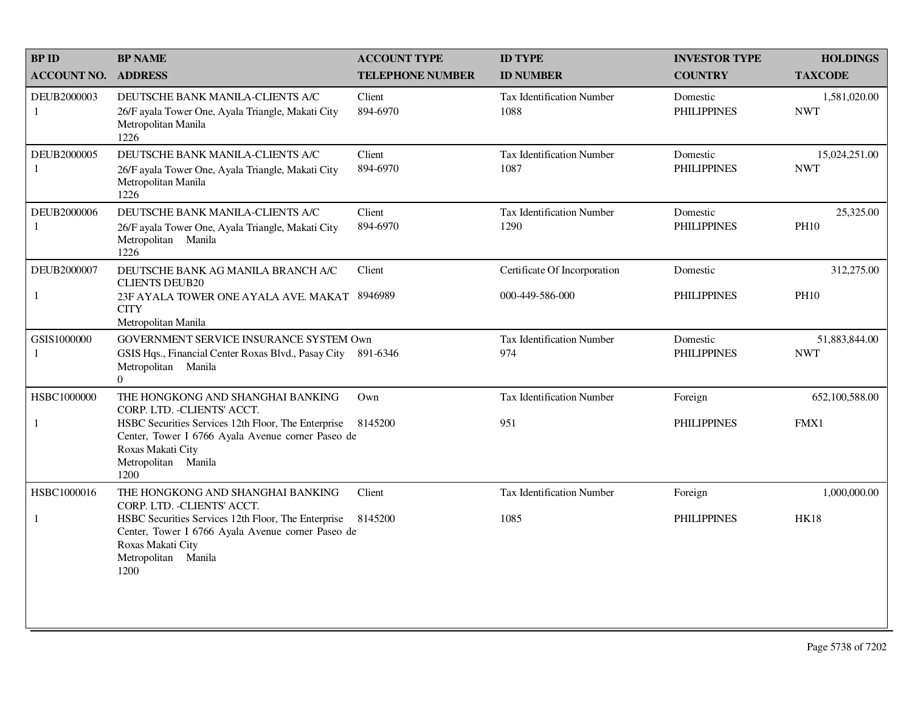| <b>BPID</b>        | <b>BP NAME</b>                                                                                                                                                  | <b>ACCOUNT TYPE</b>     | <b>ID TYPE</b>                           | <b>INVESTOR TYPE</b>           | <b>HOLDINGS</b>             |
|--------------------|-----------------------------------------------------------------------------------------------------------------------------------------------------------------|-------------------------|------------------------------------------|--------------------------------|-----------------------------|
| <b>ACCOUNT NO.</b> | <b>ADDRESS</b>                                                                                                                                                  | <b>TELEPHONE NUMBER</b> | <b>ID NUMBER</b>                         | <b>COUNTRY</b>                 | <b>TAXCODE</b>              |
| DEUB2000003<br>1   | DEUTSCHE BANK MANILA-CLIENTS A/C<br>26/F ayala Tower One, Ayala Triangle, Makati City<br>Metropolitan Manila<br>1226                                            | Client<br>894-6970      | <b>Tax Identification Number</b><br>1088 | Domestic<br><b>PHILIPPINES</b> | 1,581,020.00<br><b>NWT</b>  |
| DEUB2000005<br>1   | DEUTSCHE BANK MANILA-CLIENTS A/C<br>26/F ayala Tower One, Ayala Triangle, Makati City<br>Metropolitan Manila<br>1226                                            | Client<br>894-6970      | <b>Tax Identification Number</b><br>1087 | Domestic<br><b>PHILIPPINES</b> | 15,024,251.00<br><b>NWT</b> |
| DEUB2000006<br>1   | DEUTSCHE BANK MANILA-CLIENTS A/C<br>26/F ayala Tower One, Ayala Triangle, Makati City<br>Metropolitan Manila<br>1226                                            | Client<br>894-6970      | <b>Tax Identification Number</b><br>1290 | Domestic<br><b>PHILIPPINES</b> | 25,325.00<br><b>PH10</b>    |
| DEUB2000007        | DEUTSCHE BANK AG MANILA BRANCH A/C<br><b>CLIENTS DEUB20</b>                                                                                                     | Client                  | Certificate Of Incorporation             | Domestic                       | 312,275.00                  |
| 1                  | 23F AYALA TOWER ONE AYALA AVE. MAKAT 8946989<br><b>CITY</b><br>Metropolitan Manila                                                                              |                         | 000-449-586-000                          | <b>PHILIPPINES</b>             | <b>PH10</b>                 |
| GSIS1000000        | GOVERNMENT SERVICE INSURANCE SYSTEM Own                                                                                                                         |                         | <b>Tax Identification Number</b>         | Domestic                       | 51,883,844.00               |
| 1                  | GSIS Hqs., Financial Center Roxas Blvd., Pasay City<br>Metropolitan Manila<br>$\overline{0}$                                                                    | 891-6346                | 974                                      | <b>PHILIPPINES</b>             | <b>NWT</b>                  |
| HSBC1000000        | THE HONGKONG AND SHANGHAI BANKING<br>CORP. LTD. - CLIENTS' ACCT.                                                                                                | Own                     | <b>Tax Identification Number</b>         | Foreign                        | 652,100,588.00              |
| 1                  | HSBC Securities Services 12th Floor, The Enterprise<br>Center, Tower I 6766 Ayala Avenue corner Paseo de<br>Roxas Makati City<br>Metropolitan<br>Manila<br>1200 | 8145200                 | 951                                      | <b>PHILIPPINES</b>             | FMX1                        |
| HSBC1000016        | THE HONGKONG AND SHANGHAI BANKING<br>CORP. LTD. - CLIENTS' ACCT.                                                                                                | Client                  | <b>Tax Identification Number</b>         | Foreign                        | 1,000,000.00                |
| 1                  | HSBC Securities Services 12th Floor, The Enterprise<br>Center, Tower I 6766 Ayala Avenue corner Paseo de<br>Roxas Makati City<br>Metropolitan Manila<br>1200    | 8145200                 | 1085                                     | <b>PHILIPPINES</b>             | <b>HK18</b>                 |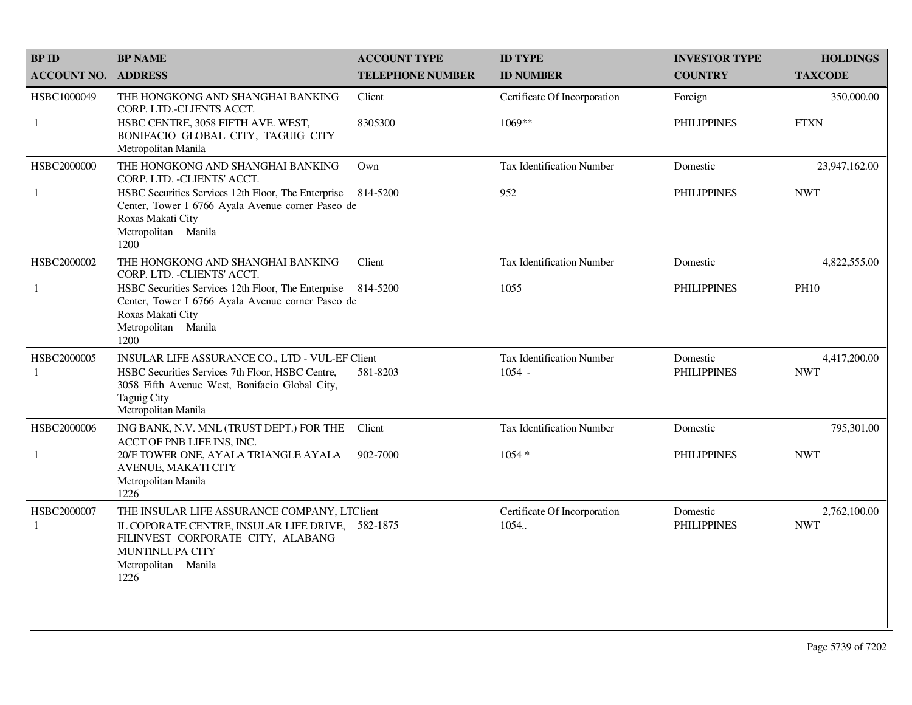| <b>BPID</b>                | <b>BP NAME</b>                                                                                                                                               | <b>ACCOUNT TYPE</b>     | <b>ID TYPE</b>                   | <b>INVESTOR TYPE</b> | <b>HOLDINGS</b> |
|----------------------------|--------------------------------------------------------------------------------------------------------------------------------------------------------------|-------------------------|----------------------------------|----------------------|-----------------|
| <b>ACCOUNT NO. ADDRESS</b> |                                                                                                                                                              | <b>TELEPHONE NUMBER</b> | <b>ID NUMBER</b>                 | <b>COUNTRY</b>       | <b>TAXCODE</b>  |
| HSBC1000049                | THE HONGKONG AND SHANGHAI BANKING<br>CORP. LTD.-CLIENTS ACCT.                                                                                                | Client                  | Certificate Of Incorporation     | Foreign              | 350,000.00      |
| $\mathbf{1}$               | HSBC CENTRE, 3058 FIFTH AVE. WEST,<br>BONIFACIO GLOBAL CITY, TAGUIG CITY<br>Metropolitan Manila                                                              | 8305300                 | 1069**                           | <b>PHILIPPINES</b>   | <b>FTXN</b>     |
| HSBC2000000                | THE HONGKONG AND SHANGHAI BANKING<br>CORP. LTD. - CLIENTS' ACCT.                                                                                             | Own                     | <b>Tax Identification Number</b> | Domestic             | 23,947,162.00   |
| 1                          | HSBC Securities Services 12th Floor, The Enterprise<br>Center, Tower I 6766 Ayala Avenue corner Paseo de<br>Roxas Makati City<br>Metropolitan Manila<br>1200 | 814-5200                | 952                              | <b>PHILIPPINES</b>   | <b>NWT</b>      |
| HSBC2000002                | THE HONGKONG AND SHANGHAI BANKING<br>CORP. LTD. - CLIENTS' ACCT.                                                                                             | Client                  | <b>Tax Identification Number</b> | Domestic             | 4,822,555.00    |
| 1                          | HSBC Securities Services 12th Floor, The Enterprise<br>Center, Tower I 6766 Ayala Avenue corner Paseo de<br>Roxas Makati City<br>Metropolitan Manila<br>1200 | 814-5200                | 1055                             | <b>PHILIPPINES</b>   | <b>PH10</b>     |
| HSBC2000005                | INSULAR LIFE ASSURANCE CO., LTD - VUL-EF Client                                                                                                              |                         | <b>Tax Identification Number</b> | Domestic             | 4,417,200.00    |
| 1                          | HSBC Securities Services 7th Floor, HSBC Centre,<br>3058 Fifth Avenue West, Bonifacio Global City,<br>Taguig City<br>Metropolitan Manila                     | 581-8203                | $1054 -$                         | <b>PHILIPPINES</b>   | <b>NWT</b>      |
| HSBC2000006                | ING BANK, N.V. MNL (TRUST DEPT.) FOR THE<br>ACCT OF PNB LIFE INS, INC.                                                                                       | Client                  | Tax Identification Number        | Domestic             | 795,301.00      |
| 1                          | 20/F TOWER ONE, AYALA TRIANGLE AYALA<br>AVENUE, MAKATI CITY<br>Metropolitan Manila<br>1226                                                                   | 902-7000                | $1054*$                          | <b>PHILIPPINES</b>   | <b>NWT</b>      |
| HSBC2000007                | THE INSULAR LIFE ASSURANCE COMPANY, LTClient                                                                                                                 |                         | Certificate Of Incorporation     | Domestic             | 2,762,100.00    |
| 1                          | IL COPORATE CENTRE, INSULAR LIFE DRIVE, 582-1875<br>FILINVEST CORPORATE CITY, ALABANG<br>MUNTINLUPA CITY<br>Metropolitan Manila<br>1226                      |                         | 1054.                            | <b>PHILIPPINES</b>   | <b>NWT</b>      |
|                            |                                                                                                                                                              |                         |                                  |                      |                 |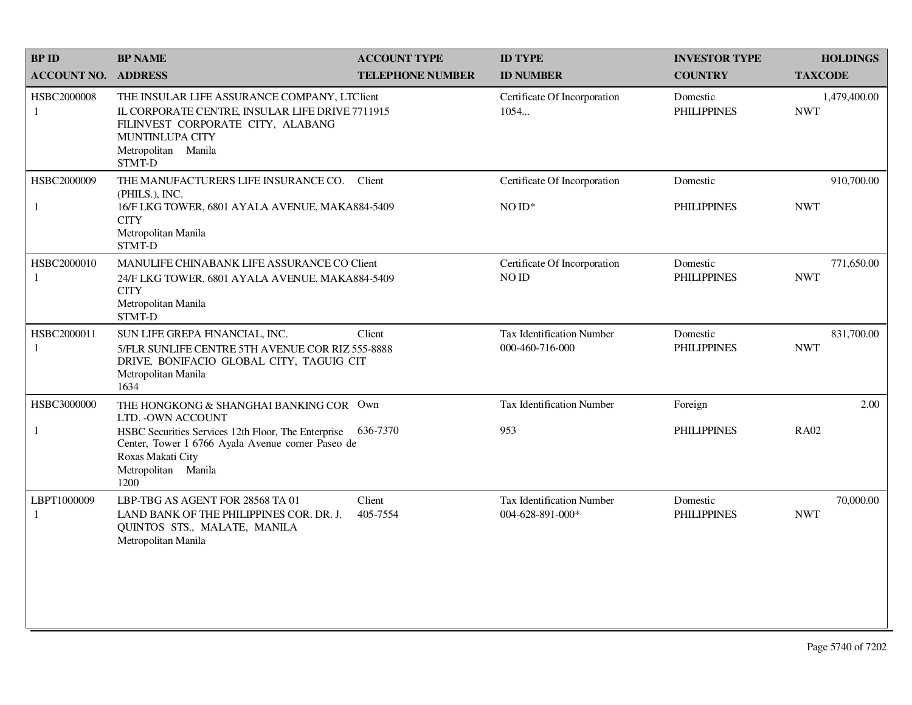| <b>BPID</b>        | <b>BP NAME</b>                                                                                                                                                                           | <b>ACCOUNT TYPE</b>     | <b>ID TYPE</b>                                       | <b>INVESTOR TYPE</b>           | <b>HOLDINGS</b>            |
|--------------------|------------------------------------------------------------------------------------------------------------------------------------------------------------------------------------------|-------------------------|------------------------------------------------------|--------------------------------|----------------------------|
| <b>ACCOUNT NO.</b> | <b>ADDRESS</b>                                                                                                                                                                           | <b>TELEPHONE NUMBER</b> | <b>ID NUMBER</b>                                     | <b>COUNTRY</b>                 | <b>TAXCODE</b>             |
| HSBC2000008<br>-1  | THE INSULAR LIFE ASSURANCE COMPANY, LTClient<br>IL CORPORATE CENTRE, INSULAR LIFE DRIVE 7711915<br>FILINVEST CORPORATE CITY, ALABANG<br>MUNTINLUPA CITY<br>Metropolitan Manila<br>STMT-D |                         | Certificate Of Incorporation<br>1054                 | Domestic<br><b>PHILIPPINES</b> | 1,479,400.00<br><b>NWT</b> |
| HSBC2000009<br>1   | THE MANUFACTURERS LIFE INSURANCE CO.<br>(PHILS.), INC.<br>16/F LKG TOWER, 6801 AYALA AVENUE, MAKA884-5409<br><b>CITY</b><br>Metropolitan Manila<br>STMT-D                                | Client                  | Certificate Of Incorporation<br>$NOID*$              | Domestic<br><b>PHILIPPINES</b> | 910,700.00<br><b>NWT</b>   |
| HSBC2000010<br>1   | MANULIFE CHINABANK LIFE ASSURANCE CO Client<br>24/F LKG TOWER, 6801 AYALA AVENUE, MAKA884-5409<br><b>CITY</b><br>Metropolitan Manila<br>STMT-D                                           |                         | Certificate Of Incorporation<br>NO ID                | Domestic<br><b>PHILIPPINES</b> | 771,650.00<br><b>NWT</b>   |
| HSBC2000011<br>1   | SUN LIFE GREPA FINANCIAL, INC.<br>5/FLR SUNLIFE CENTRE 5TH AVENUE COR RIZ 555-8888<br>DRIVE, BONIFACIO GLOBAL CITY, TAGUIG CIT<br>Metropolitan Manila<br>1634                            | Client                  | Tax Identification Number<br>000-460-716-000         | Domestic<br><b>PHILIPPINES</b> | 831,700.00<br><b>NWT</b>   |
| HSBC3000000        | THE HONGKONG & SHANGHAI BANKING COR Own<br>LTD. - OWN ACCOUNT                                                                                                                            |                         | <b>Tax Identification Number</b>                     | Foreign                        | 2.00                       |
| $\mathbf{1}$       | HSBC Securities Services 12th Floor, The Enterprise<br>Center, Tower I 6766 Ayala Avenue corner Paseo de<br>Roxas Makati City<br>Metropolitan Manila<br>1200                             | 636-7370                | 953                                                  | <b>PHILIPPINES</b>             | <b>RA02</b>                |
| LBPT1000009<br>1   | LBP-TBG AS AGENT FOR 28568 TA 01<br>LAND BANK OF THE PHILIPPINES COR. DR. J.<br>QUINTOS STS., MALATE, MANILA<br>Metropolitan Manila                                                      | Client<br>405-7554      | <b>Tax Identification Number</b><br>004-628-891-000* | Domestic<br><b>PHILIPPINES</b> | 70,000.00<br><b>NWT</b>    |
|                    |                                                                                                                                                                                          |                         |                                                      |                                |                            |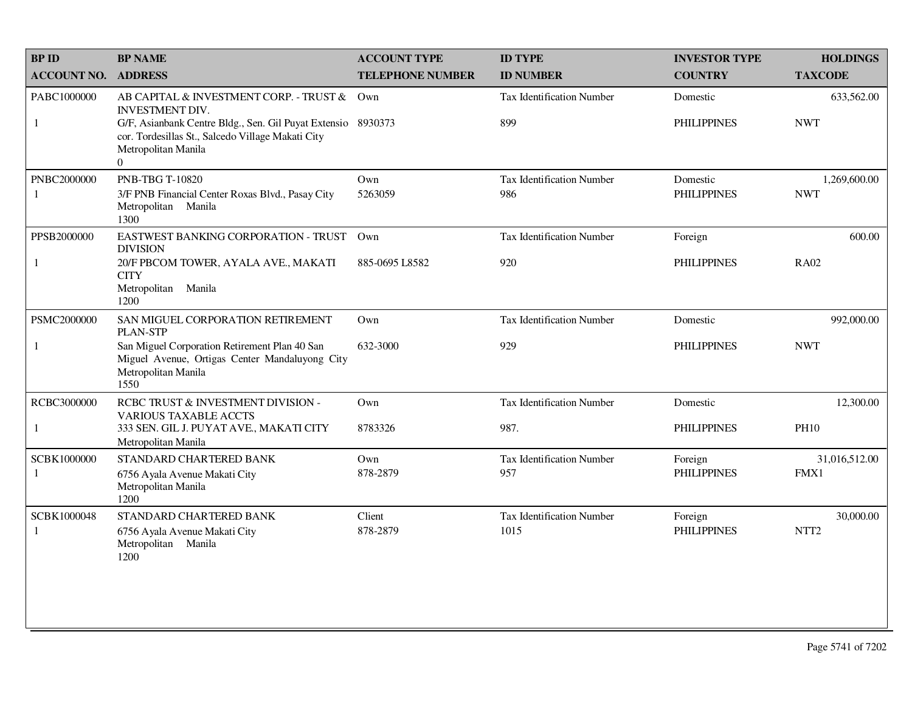| <b>BPID</b>        | <b>BP NAME</b>                                                                                                                                       | <b>ACCOUNT TYPE</b>     | <b>ID TYPE</b>                   | <b>INVESTOR TYPE</b> | <b>HOLDINGS</b>  |
|--------------------|------------------------------------------------------------------------------------------------------------------------------------------------------|-------------------------|----------------------------------|----------------------|------------------|
| <b>ACCOUNT NO.</b> | <b>ADDRESS</b>                                                                                                                                       | <b>TELEPHONE NUMBER</b> | <b>ID NUMBER</b>                 | <b>COUNTRY</b>       | <b>TAXCODE</b>   |
| PABC1000000        | AB CAPITAL & INVESTMENT CORP. - TRUST &<br><b>INVESTMENT DIV.</b>                                                                                    | Own                     | Tax Identification Number        | Domestic             | 633,562.00       |
| $\mathbf{1}$       | G/F, Asianbank Centre Bldg., Sen. Gil Puyat Extensio 8930373<br>cor. Tordesillas St., Salcedo Village Makati City<br>Metropolitan Manila<br>$\Omega$ |                         | 899                              | <b>PHILIPPINES</b>   | <b>NWT</b>       |
| PNBC2000000        | PNB-TBG T-10820                                                                                                                                      | Own                     | Tax Identification Number        | Domestic             | 1,269,600.00     |
| 1                  | 3/F PNB Financial Center Roxas Blvd., Pasay City<br>Metropolitan Manila<br>1300                                                                      | 5263059                 | 986                              | <b>PHILIPPINES</b>   | <b>NWT</b>       |
| PPSB2000000        | EASTWEST BANKING CORPORATION - TRUST<br><b>DIVISION</b>                                                                                              | Own                     | Tax Identification Number        | Foreign              | 600.00           |
| 1                  | 20/F PBCOM TOWER, AYALA AVE., MAKATI<br><b>CITY</b>                                                                                                  | 885-0695 L8582          | 920                              | <b>PHILIPPINES</b>   | <b>RA02</b>      |
|                    | Metropolitan Manila<br>1200                                                                                                                          |                         |                                  |                      |                  |
| PSMC2000000        | SAN MIGUEL CORPORATION RETIREMENT<br>PLAN-STP                                                                                                        | Own                     | Tax Identification Number        | Domestic             | 992,000.00       |
| 1                  | San Miguel Corporation Retirement Plan 40 San<br>Miguel Avenue, Ortigas Center Mandaluyong City<br>Metropolitan Manila<br>1550                       | 632-3000                | 929                              | <b>PHILIPPINES</b>   | <b>NWT</b>       |
| RCBC3000000        | RCBC TRUST & INVESTMENT DIVISION -<br><b>VARIOUS TAXABLE ACCTS</b>                                                                                   | Own                     | <b>Tax Identification Number</b> | Domestic             | 12,300.00        |
| $\mathbf{1}$       | 333 SEN. GIL J. PUYAT AVE., MAKATI CITY<br>Metropolitan Manila                                                                                       | 8783326                 | 987.                             | <b>PHILIPPINES</b>   | <b>PH10</b>      |
| SCBK1000000        | STANDARD CHARTERED BANK                                                                                                                              | Own                     | <b>Tax Identification Number</b> | Foreign              | 31,016,512.00    |
| 1                  | 6756 Ayala Avenue Makati City<br>Metropolitan Manila<br>1200                                                                                         | 878-2879                | 957                              | <b>PHILIPPINES</b>   | FMX1             |
| SCBK1000048        | STANDARD CHARTERED BANK                                                                                                                              | Client                  | Tax Identification Number        | Foreign              | 30,000.00        |
| 1                  | 6756 Ayala Avenue Makati City<br>Metropolitan Manila<br>1200                                                                                         | 878-2879                | 1015                             | <b>PHILIPPINES</b>   | NTT <sub>2</sub> |
|                    |                                                                                                                                                      |                         |                                  |                      |                  |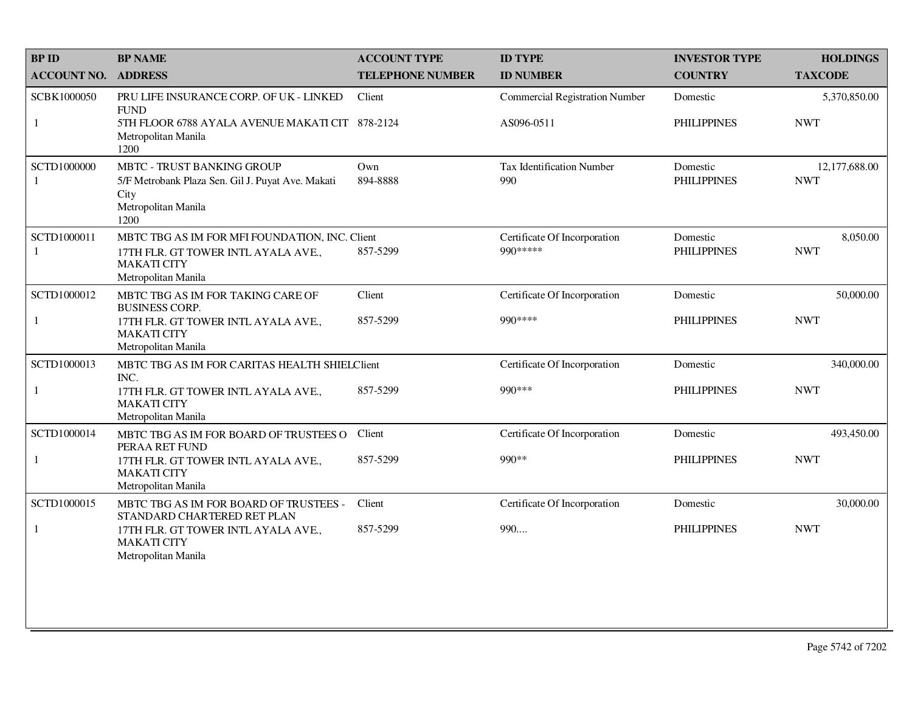| <b>BPID</b>        | <b>BP NAME</b>                                                                                                                     | <b>ACCOUNT TYPE</b>     | <b>ID TYPE</b>                            | <b>INVESTOR TYPE</b>           | <b>HOLDINGS</b>             |
|--------------------|------------------------------------------------------------------------------------------------------------------------------------|-------------------------|-------------------------------------------|--------------------------------|-----------------------------|
| <b>ACCOUNT NO.</b> | <b>ADDRESS</b>                                                                                                                     | <b>TELEPHONE NUMBER</b> | <b>ID NUMBER</b>                          | <b>COUNTRY</b>                 | <b>TAXCODE</b>              |
| SCBK1000050        | PRU LIFE INSURANCE CORP. OF UK - LINKED<br><b>FUND</b>                                                                             | Client                  | <b>Commercial Registration Number</b>     | Domestic                       | 5,370,850.00                |
| $\mathbf{1}$       | 5TH FLOOR 6788 AYALA AVENUE MAKATI CIT 878-2124<br>Metropolitan Manila<br>1200                                                     |                         | AS096-0511                                | <b>PHILIPPINES</b>             | <b>NWT</b>                  |
| SCTD1000000<br>-1  | MBTC - TRUST BANKING GROUP<br>5/F Metrobank Plaza Sen. Gil J. Puyat Ave. Makati<br>City<br>Metropolitan Manila<br>1200             | Own<br>894-8888         | Tax Identification Number<br>990          | Domestic<br><b>PHILIPPINES</b> | 12,177,688.00<br><b>NWT</b> |
| SCTD1000011<br>1   | MBTC TBG AS IM FOR MFI FOUNDATION, INC. Client<br>17TH FLR. GT TOWER INTL AYALA AVE.,<br><b>MAKATI CITY</b><br>Metropolitan Manila | 857-5299                | Certificate Of Incorporation<br>990 ***** | Domestic<br><b>PHILIPPINES</b> | 8,050.00<br><b>NWT</b>      |
| SCTD1000012        | MBTC TBG AS IM FOR TAKING CARE OF<br><b>BUSINESS CORP.</b>                                                                         | Client                  | Certificate Of Incorporation              | Domestic                       | 50,000.00                   |
| $\mathbf{1}$       | 17TH FLR. GT TOWER INTL AYALA AVE.,<br><b>MAKATI CITY</b><br>Metropolitan Manila                                                   | 857-5299                | 990****                                   | <b>PHILIPPINES</b>             | <b>NWT</b>                  |
| SCTD1000013        | MBTC TBG AS IM FOR CARITAS HEALTH SHIELClient<br>INC.                                                                              |                         | Certificate Of Incorporation              | Domestic                       | 340,000.00                  |
| $\mathbf{1}$       | 17TH FLR. GT TOWER INTL AYALA AVE.,<br><b>MAKATI CITY</b><br>Metropolitan Manila                                                   | 857-5299                | 990 ***                                   | <b>PHILIPPINES</b>             | <b>NWT</b>                  |
| SCTD1000014        | MBTC TBG AS IM FOR BOARD OF TRUSTEES O<br>PERAA RET FUND                                                                           | Client                  | Certificate Of Incorporation              | Domestic                       | 493,450.00                  |
| $\mathbf{1}$       | 17TH FLR. GT TOWER INTL AYALA AVE.,<br><b>MAKATI CITY</b><br>Metropolitan Manila                                                   | 857-5299                | 990**                                     | <b>PHILIPPINES</b>             | <b>NWT</b>                  |
| SCTD1000015        | MBTC TBG AS IM FOR BOARD OF TRUSTEES -<br>STANDARD CHARTERED RET PLAN                                                              | Client                  | Certificate Of Incorporation              | Domestic                       | 30,000.00                   |
| $\mathbf{1}$       | 17TH FLR. GT TOWER INTL AYALA AVE.,<br><b>MAKATI CITY</b><br>Metropolitan Manila                                                   | 857-5299                | 990                                       | <b>PHILIPPINES</b>             | <b>NWT</b>                  |
|                    |                                                                                                                                    |                         |                                           |                                |                             |